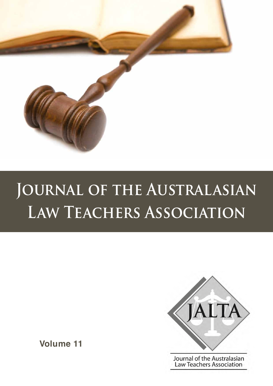

# **Journal of the Australasian Law Teachers Association**



**Volume 11**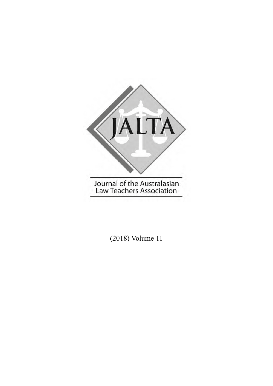

(2018) Volume 11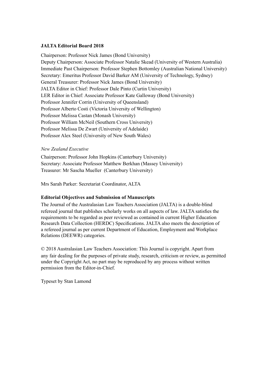## **JALTA Editorial Board 2018**

Chairperson: Professor Nick James (Bond University) Deputy Chairperson: Associate Professor Natalie Skead (University of Western Australia) Immediate Past Chairperson: Professor Stephen Bottomley (Australian National University) Secretary: Emeritus Professor David Barker AM (University of Technology, Sydney) General Treasurer: Professor Nick James (Bond University) JALTA Editor in Chief: Professor Dale Pinto (Curtin University) LER Editor in Chief: Associate Professor Kate Galloway (Bond University) Professor Jennifer Corrin (University of Queensland) Professor Alberto Costi (Victoria University of Wellington) Professor Melissa Castan (Monash University) Professor William McNeil (Southern Cross University) Professor Melissa De Zwart (University of Adelaide) Professor Alex Steel (University of New South Wales)

### *New Zealand Executive*

Chairperson: Professor John Hopkins (Canterbury University) Secretary: Associate Professor Matthew Berkhan (Massey University) Treasurer: Mr Sascha Mueller (Canterbury University)

Mrs Sarah Parker: Secretariat Coordinator, ALTA

## **Editorial Objectives and Submission of Manuscripts**

The Journal of the Australasian Law Teachers Association (JALTA) is a double-blind refereed journal that publishes scholarly works on all aspects of law. JALTA satisfies the requirements to be regarded as peer reviewed as contained in current Higher Education Research Data Collection (HERDC) Specifications. JALTA also meets the description of a refereed journal as per current Department of Education, Employment and Workplace Relations (DEEWR) categories.

© 2018 Australasian Law Teachers Association: This Journal is copyright. Apart from any fair dealing for the purposes of private study, research, criticism or review, as permitted under the Copyright Act, no part may be reproduced by any process without written permission from the Editor-in-Chief.

Typeset by Stan Lamond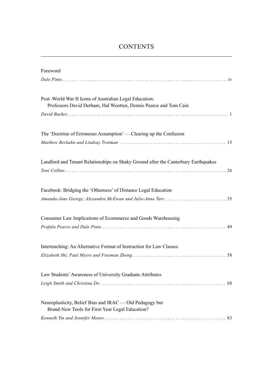# **CONTENTS**

| Foreword                                                                                                                   |
|----------------------------------------------------------------------------------------------------------------------------|
|                                                                                                                            |
| Post-World War II Icons of Australian Legal Education:<br>Professors David Derham, Hal Wootten, Dennis Pearce and Tom Cain |
|                                                                                                                            |
| The 'Doctrine of Erroneous Assumption' — Clearing up the Confusion                                                         |
|                                                                                                                            |
| Landlord and Tenant Relationships on Shaky Ground after the Canterbury Earthquakes                                         |
|                                                                                                                            |
| Facebook: Bridging the 'Otherness' of Distance Legal Education                                                             |
|                                                                                                                            |
| Consumer Law Implications of Ecommerce and Goods Warehousing                                                               |
|                                                                                                                            |
| Interteaching: An Alternative Format of Instruction for Law Classes                                                        |
|                                                                                                                            |
| Law Students' Awareness of University Graduate Attributes                                                                  |
| 68                                                                                                                         |
| Neuroplasticity, Belief Bias and IRAC — Old Pedagogy but<br>Brand-New Tools for First-Year Legal Education?                |
|                                                                                                                            |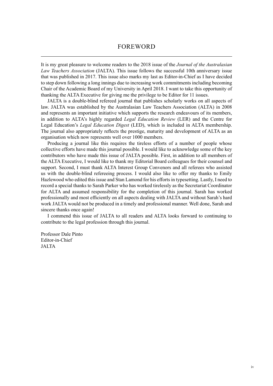## FOREWORD

It is my great pleasure to welcome readers to the 2018 issue of the *Journal of the Australasian Law Teachers Association* (JALTA). This issue follows the successful 10th anniversary issue that was published in 2017. This issue also marks my last as Editor-in-Chief as I have decided to step down following a long innings due to increasing work commitments including becoming Chair of the Academic Board of my University in April 2018. I want to take this opportunity of thanking the ALTA Executive for giving me the privilege to be Editor for 11 issues.

JALTA is a double-blind refereed journal that publishes scholarly works on all aspects of law. JALTA was established by the Australasian Law Teachers Association (ALTA) in 2008 and represents an important initiative which supports the research endeavours of its members, in addition to ALTA's highly regarded *Legal Education Review* (LER) and the Centre for Legal Education's *Legal Education Digest* (LED), which is included in ALTA membership. The journal also appropriately reflects the prestige, maturity and development of ALTA as an organisation which now represents well over 1000 members.

Producing a journal like this requires the tireless efforts of a number of people whose collective efforts have made this journal possible. I would like to acknowledge some of the key contributors who have made this issue of JALTA possible. First, in addition to all members of the ALTA Executive, I would like to thank my Editorial Board colleagues for their counsel and support. Second, I must thank ALTA Interest Group Convenors and all referees who assisted us with the double-blind refereeing process. I would also like to offer my thanks to Emily Hazlewood who edited this issue and Stan Lamond for his efforts in typesetting. Lastly, I need to record a special thanks to Sarah Parker who has worked tirelessly as the Secretariat Coordinator for ALTA and assumed responsibility for the completion of this journal. Sarah has worked professionally and most efficiently on all aspects dealing with JALTA and without Sarah's hard work JALTA would not be produced in a timely and professional manner. Well done, Sarah and sincere thanks once again!

I commend this issue of JALTA to all readers and ALTA looks forward to continuing to contribute to the legal profession through this journal.

Professor Dale Pinto Editor-in-Chief JALTA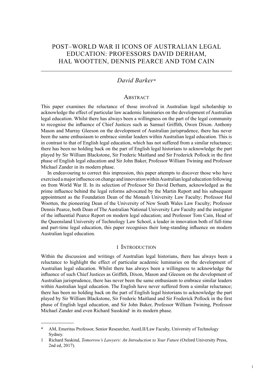# POST–WORLD WAR II ICONS OF AUSTRALIAN LEGAL EDUCATION: PROFESSORS DAVID DERHAM, HAL WOOTTEN, DENNIS PEARCE AND TOM CAIN

## *David Barker\**

#### **ABSTRACT**

This paper examines the reluctance of those involved in Australian legal scholarship to acknowledge the effect of particular law academic luminaries on the development of Australian legal education. Whilst there has always been a willingness on the part of the legal community to recognise the influence of Chief Justices such as Samuel Griffith, Owen Dixon. Anthony Mason and Murray Gleeson on the development of Australian jurisprudence, there has never been the same enthusiasm to embrace similar leaders within Australian legal education. This is in contrast to that of English legal education, which has not suffered from a similar reluctance; there has been no holding back on the part of English legal historians to acknowledge the part played by Sir William Blackstone, Sir Frederic Maitland and Sir Frederick Pollock in the first phase of English legal education and Sir John Baker, Professor William Twining and Professor Michael Zander in its modern phase.

In endeavouring to correct this impression, this paper attempts to discover those who have exercised a major influence on change and innovation within Australian legal education following on from World War II. In its selection of Professor Sir David Derham, acknowledged as the prime influence behind the legal reforms advocated by the Martin Report and his subsequent appointment as the Foundation Dean of the Monash University Law Faculty; Professor Hal Wootten, the pioneering Dean of the University of New South Wales Law Faculty; Professor Dennis Pearce, both Dean of The Australian National University Law Faculty and the instigator of the influential Pearce Report on modern legal education; and Professor Tom Cain, Head of the Queensland University of Technology Law School, a leader in innovation both of full-time and part-time legal education, this paper recognises their long-standing influence on modern Australian legal education.

#### I Introduction

Within the discussion and writings of Australian legal historians, there has always been a reluctance to highlight the effect of particular academic luminaries on the development of Australian legal education. Whilst there has always been a willingness to acknowledge the influence of such Chief Justices as Griffith, Dixon, Mason and Gleeson on the development of Australian jurisprudence, there has never been the same enthusiasm to embrace similar leaders within Australian legal education. The English have never suffered from a similar reluctance; there has been no holding back on the part of English legal historians to acknowledge the part played by Sir William Blackstone, Sir Frederic Maitland and Sir Frederick Pollock in the first phase of English legal education, and Sir John Baker, Professor William Twining, Professor Michael Zander and even Richard Susskind<sup>1</sup> in its modern phase.

AM, Emeritus Professor, Senior Researcher, AustLII/Law Faculty, University of Technology Sydney.

<sup>1</sup> Richard Suskind, *Tomorrow's Lawyers: An Introduction to Your Future* (Oxford University Press, 2nd ed, 2017).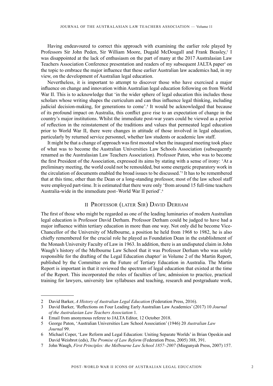Having endeavoured to correct this approach with examining the earlier role played by Professors Sir John Peden, Sir William Moore, Dugald McDougall and Frank Beasley,<sup>2</sup> I was disappointed at the lack of enthusiasm on the part of many at the 2017 Australasian Law Teachers Association Conference presentation and readers of my subsequent JALTA paper<sup>3</sup> on the topic to embrace the major influence that these earlier Australian law academics had, in my view, on the development of Australian legal education.

Nevertheless, it is important to attempt to discover those who have exercised a major influence on change and innovation within Australian legal education following on from World War II. This is to acknowledge that 'in the wider sphere of legal education this includes those scholars whose writing shapes the curriculum and can thus influence legal thinking, including judicial decision-making, for generations to come'.4 It would be acknowledged that because of its profound impact on Australia, this conflict gave rise to an expectation of change in the country's major institutions. Whilst the immediate post-war years could be viewed as a period of reflection in the reinstatement of the traditions and values that permeated legal education prior to World War II, there were changes in attitude of those involved in legal education, particularly by returned service personnel, whether law students or academic law staff.

It might be that a change of approach was first mooted when the inaugural meeting took place of what was to become the Australian Universities Law Schools Association (subsequently renamed as the Australasian Law Teachers Association). Professor Paton, who was to become the first President of the Association, expressed its aims by stating with a sense of irony: 'At a preliminary meeting, the world could not be remoulded, but some energetic preparatory work in the circulation of documents enabled the broad issues to be discussed.'5 It has to be remembered that at this time, other than the Dean or a long-standing professor, most of the law school staff were employed part-time. It is estimated that there were only 'from around 15 full-time teachers Australia-wide in the immediate post–World War II period'.6

#### II Professor (later Sir) David Derham

The first of those who might be regarded as one of the leading luminaries of modern Australian legal education is Professor David Derham. Professor Derham could be judged to have had a major influence within tertiary education in more than one way. Not only did he become Vice-Chancellor of the University of Melbourne, a position he held from 1968 to 1982, he is also chiefly remembered for the crucial role he played as Foundation Dean in the establishment of the Monash University Faculty of Law in 1963. In addition, there is an undisputed claim in John Waugh's history of the Melbourne Law School that it was Professor Derham who was solely responsible for the drafting of the Legal Education chapter<sup>7</sup> in Volume 2 of the Martin Report, published by the Committee on the Future of Tertiary Education in Australia. The Martin Report is important in that it reviewed the spectrum of legal education that existed at the time of the Report. This incorporated the roles of faculties of law, admission to practice, practical training for lawyers, university law syllabuses and teaching, research and postgraduate work,

<sup>2</sup> David Barker, *A History of Australian Legal Education* (Federation Press, 2016).

<sup>3</sup> David Barker, 'Reflections on Four Leading Early Australian Law Academics' (2017) 10 *Journal of the Australasian Law Teachers Association* 1.

<sup>4</sup> Email from anonymous referee to JALTA Editor, 12 October 2018.

<sup>5</sup> George Paton, 'Australian Universities Law School Association' (1946) 20 *Australian Law Journal* 99.

<sup>6</sup> Michael Coper, 'Law Reform and Legal Education: Uniting Separate Worlds' in Brian Opeskin and David Weisbrot (eds), *The Promise of Law Reform* (Federation Press, 2005) 388, 391.

<sup>7</sup> John Waugh, *First Principles: the Melbourne Law School 1857–2007* (Miegunyah Press, 2007) 157.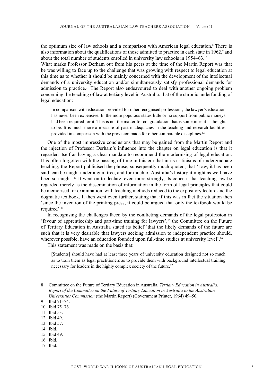the optimum size of law schools and a comparison with American legal education.<sup>8</sup> There is also information about the qualifications of those admitted to practice in each state in 1962,<sup>9</sup> and about the total number of students enrolled in university law schools in 1954–63.10

What marks Professor Derham out from his peers at the time of the Martin Report was that he was willing to face up to the challenge that was growing with respect to legal education at this time as to whether it should be mainly concerned with the development of the intellectual demands of a university education and/or simultaneously satisfy professional demands for admission to practice.11 The Report also endeavoured to deal with another ongoing problem concerning the teaching of law at tertiary level in Australia: that of the chronic underfunding of legal education:

In comparison with education provided for other recognised professions, the lawyer's education has never been expensive. In the more populous states little or no support from public moneys had been required for it. This is not the matter for congratulation that is sometimes it is thought to be. It is much more a measure of past inadequacies in the teaching and research facilities provided in comparison with the provision made for other comparable disciplines.12

One of the most impressive conclusions that may be gained from the Martin Report and the injection of Professor Derham's influence into the chapter on legal education is that it regarded itself as having a clear mandate to recommend the modernising of legal education. It is often forgotten with the passing of time in this era that in its criticisms of undergraduate teaching, the Report publicised the phrase, subsequently much quoted, that 'Law, it has been said, can be taught under a gum tree, and for much of Australia's history it might as well have been so taught<sup>', 13</sup> It went on to declare, even more strongly, its concern that teaching law be regarded merely as the dissemination of information in the form of legal principles that could be memorised for examination, with teaching methods reduced to the expository lecture and the dogmatic textbook. It then went even further, stating that if this was in fact the situation then 'since the invention of the printing press, it could be argued that only the textbook would be required'.14

In recognising the challenges faced by the conflicting demands of the legal profession in 'favour of apprenticeship and part-time training for lawyers',<sup>15</sup> the Committee on the Future of Tertiary Education in Australia stated its belief 'that the likely demands of the future are such that it is very desirable that lawyers seeking admission to independent practice should, wherever possible, have an education founded upon full-time studies at university level'.<sup>16</sup>

This statement was made on the basis that:

[Students] should have had at least three years of university education designed not so much as to train them as legal practitioners as to provide them with background intellectual training necessary for leaders in the highly complex society of the future.<sup>17</sup>

- 13 Ibid 57.
- 14 Ibid.

- 16 Ibid.
- 17 Ibid.

<sup>8</sup> Committee on the Future of Tertiary Education in Australia, *Tertiary Education in Australia: Report of the Committee on the Future of Tertiary Education in Australia to the Australian Universities Commission* (the Martin Report) (Government Printer, 1964) 49–50.

<sup>9</sup> Ibid 71–74.

<sup>10</sup> Ibid 75–76.

<sup>11</sup> Ibid 53.

<sup>12</sup> Ibid 49.

<sup>15</sup> Ibid 49.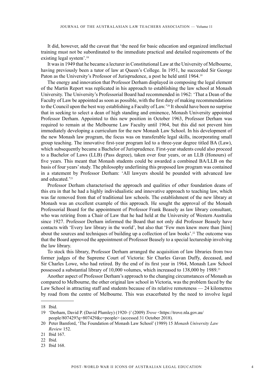It did, however, add the caveat that 'the need for basic education and organized intellectual training must not be subordinated to the immediate practical and detailed requirements of the existing legal system'.18

It was in 1949 that he became a lecturer in Constitutional Law at the University of Melbourne, having previously been a tutor of law at Queen's College. In 1951, he succeeded Sir George Paton as the University's Professor of Jurisprudence, a post he held until 1964.<sup>19</sup>

The energy and innovation that Professor Derham displayed in composing the legal element of the Martin Report was replicated in his approach to establishing the law school at Monash University. The University's Professorial Board had recommended in 1962: 'That a Dean of the Faculty of Law be appointed as soon as possible, with the first duty of making recommendations to the Council upon the best way establishing a Faculty of Law.'20 It should have been no surprise that in seeking to select a dean of high standing and eminence, Monash University appointed Professor Derham. Appointed to this new position in October 1963, Professor Derham was required to remain at the Melbourne Law Faculty until 1964, but this did not prevent him immediately developing a curriculum for the new Monash Law School. In his development of the new Monash law program, the focus was on transferable legal skills, incorporating small group teaching. The innovative first-year program led to a three-year degree titled BA (Law), which subsequently became a Bachelor of Jurisprudence. First-year students could also proceed to a Bachelor of Laws (LLB) (Pass degree), taken over four years, or an LLB (Honours) of five years. This meant that Monash students could be awarded a combined BA/LLB on the basis of four years' study. The philosophy underlining this proposed law program was contained in a statement by Professor Derham: 'All lawyers should be pounded with advanced law and educated<sup>'21</sup>

Professor Derham characterised the approach and qualities of other foundation deans of this era in that he had a highly individualistic and innovative approach to teaching law, which was far removed from that of traditional law schools. The establishment of the new library at Monash was an excellent example of this approach. He sought the approval of the Monash Professorial Board for the appointment of Professor Frank Beasely as law library consultant, who was retiring from a Chair of Law that he had held at the University of Western Australia since 1927. Professor Derham informed the Board that not only did Professor Beasely have contacts with 'Every law library in the world', but also that 'Few men knew more than [him] about the sources and techniques of building up a collection of law books'.22 The outcome was that the Board approved the appointment of Professor Beasely to a special lectureship involving the law library.

To stock this library, Professor Derham arranged the acquisition of law libraries from two former judges of the Supreme Court of Victoria: Sir Charles Gavan Duffy, deceased, and Sir Charles Lowe, who had retired. By the end of its first year in 1964, Monash Law School possessed a substantial library of 10,000 volumes, which increased to 138,000 by 1989.23

Another aspect of Professor Derham's approach to the changing circumstances of Monash as compared to Melbourne, the other original law school in Victoria, was the problem faced by the Law School in attracting staff and students because of its relative remoteness — 24 kilometres by road from the centre of Melbourne. This was exacerbated by the need to involve legal

<sup>18</sup> Ibid.

<sup>19</sup> 'Derham, David P. (David Plumley) (1920–)' (2009) *Trove* <https://trove.nla.gov.au/ people/807429?q=807429&c=people> (accessed 31 October 2018).

<sup>20</sup> Peter Bamford, 'The Foundation of Monash Law School' (1989) 15 *Monash University Law Review* 152.

<sup>21</sup> Ibid 167.

<sup>22</sup> Ibid.

<sup>23</sup> Ibid 168.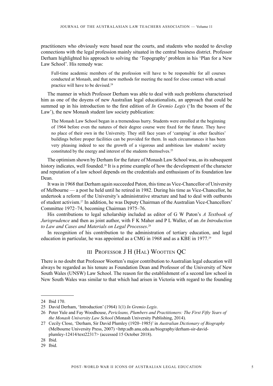practitioners who obviously were based near the courts, and students who needed to develop connections with the legal profession mainly situated in the central business district. Professor Derham highlighted his approach to solving the 'Topography' problem in his 'Plan for a New Law School'. His remedy was:

Full-time academic members of the profession will have to be responsible for all courses conducted at Monash, and that new methods for meeting the need for close contact with actual practice will have to be devised  $24$ 

The manner in which Professor Derham was able to deal with such problems characterised him as one of the doyens of new Australian legal educationalists, an approach that could be summed up in his introduction to the first edition of *In Gremio Legis* ('In the bosom of the Law'), the new Monash student law society publication:

The Monash Law School began in a tremendous hurry. Students were enrolled at the beginning of 1964 before even the natures of their degree course were fixed for the future. They have no place of their own in the University. They still face years of 'camping' in other faculties' buildings before proper facilities can be provided for them. In such circumstances it has been very pleasing indeed to see the growth of a vigorous and ambitious law students' society constituted by the energy and interest of the students themselves.25

The optimism shown by Derham for the future of Monash Law School was, as its subsequent history indicates, well founded.<sup>26</sup> It is a prime example of how the development of the character and reputation of a law school depends on the credentials and enthusiasm of its foundation law Dean.

It was in 1968 that Derham again succeeded Paton, this time as Vice-Chancellor of University of Melbourne — a post he held until he retired in 1982. During his time as Vice-Chancellor, he undertook a reform of the University's administrative structure and had to deal with outbursts of student activism.27 In addition, he was Deputy Chairman of the Australian Vice-Chancellors' Committee 1972–74, becoming Chairman 1975–76.

His contributions to legal scholarship included as editor of G W Paton's *A Textbook of Jurisprudence* and then as joint author, with F K Maher and P L Waller, of an *An Introduction to Law and Cases and Materials on Legal Processes*. 28

In recognition of his contribution to the administration of tertiary education, and legal education in particular, he was appointed as a CMG in 1968 and as a KBE in 1977.29

## III Professor J H (Hal) Wootten QC

There is no doubt that Professor Wootten's major contribution to Australian legal education will always be regarded as his tenure as Foundation Dean and Professor of the University of New South Wales (UNSW) Law School. The reason for the establishment of a second law school in New South Wales was similar to that which had arisen in Victoria with regard to the founding

<sup>24</sup> Ibid 170.

<sup>25</sup> David Derham, 'Introduction' (1964) 1(1) *In Gremio Legis*.

<sup>26</sup> Peter Yule and Fay Woodhouse, *Pericleans, Plumbers and Practitioners: The First Fifty Years of the Monash University Law School* (Monash University Publishing, 2014).

<sup>27</sup> Cecily Close, 'Derham, Sir David Plumley (1920–1985)' in *Australian Dictionary of Biography* (Melbourne University Press, 2007) <http:adb.anu.edu.au/biography/derham-sir-davidplumley-12414/text22317> (accessed 15 October 2018).

<sup>28</sup> Ibid.

<sup>29</sup> Ibid.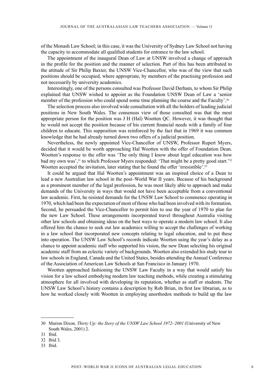of the Monash Law School; in this case, it was the University of Sydney Law School not having the capacity to accommodate all qualified students for entrance to the law school.

The appointment of the inaugural Dean of Law at UNSW involved a change of approach in the profile for the position and the manner of selection. Part of this has been attributed to the attitude of Sir Philip Baxter, the UNSW Vice-Chancellor, who was of the view that such positions should be occupied, where appropriate, by members of the practising profession and not necessarily by university academics.

Interestingly, one of the persons consulted was Professor David Derham, to whom Sir Philip explained that UNSW wished to appoint as the Foundation UNSW Dean of Law a 'senior member of the profession who could spend some time planning the course and the Faculty'.<sup>30</sup>

The selection process also involved wide consultation with all the holders of leading judicial positions in New South Wales. The consensus view of those consulted was that the most appropriate person for the position was J H (Hal) Wootten QC. However, it was thought that he would not accept the position because of his current financial needs with a family of four children to educate. This supposition was reinforced by the fact that in 1969 it was common knowledge that he had already turned down two offers of a judicial position.

Nevertheless, the newly appointed Vice-Chancellor of UNSW, Professor Rupert Myers, decided that it would be worth approaching Hal Wootten with the offer of Foundation Dean. Wootten's response to the offer was 'The only thing I know about legal education was how bad my own was',31 to which Professor Myers responded: 'That might be a pretty good start.'32 Wootten accepted the invitation, later stating that he found the offer 'irresistible'.<sup>33</sup>

It could be argued that Hal Wootten's appointment was an inspired choice of a Dean to lead a new Australian law school in the post–World War II years. Because of his background as a prominent member of the legal profession, he was most likely able to approach and make demands of the University in ways that would not have been acceptable from a conventional law academic. First, he resisted demands for the UNSW Law School to commence operating in 1970, which had been the expectation of most of those who had been involved with its formation. Second, he persuaded the Vice-Chancellor to permit him to use the year of 1970 to plan for the new Law School. These arrangements incorporated travel throughout Australia visiting other law schools and obtaining ideas on the best ways to operate a modern law school. It also offered him the chance to seek out law academics willing to accept the challenges of working in a law school that incorporated new concepts relating to legal education, and to put these into operation. The UNSW Law School's records indicate Wootten using the year's delay as a chance to appoint academic staff who supported his vision, the new Dean selecting his original academic staff from an eclectic variety of backgrounds. Wootten also extended his study tour to law schools in England, Canada and the United States, besides attending the Annual Conference of the Association of American Law Schools at San Francisco in January 1970.

Wootten approached fashioning the UNSW Law Faculty in a way that would satisfy his vision for a law school embodying modern law teaching methods, while creating a stimulating atmosphere for all involved with developing its reputation, whether as staff or students. The UNSW Law School's history contains a description by Rob Brian, its first law librarian, as to how he worked closely with Wootten in employing unorthodox methods to build up the law

<sup>30</sup> Marion Dixon*, Thirty Up: the Story of the UNSW Law School 1972–2001* (University of New South Wales, 2001) 2.

<sup>31</sup> Ibid.

<sup>32</sup> Ibid 3.

<sup>33</sup> Ibid.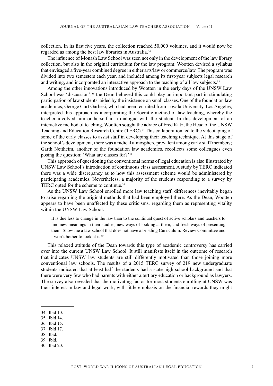collection. In its first five years, the collection reached 50,000 volumes, and it would now be regarded as among the best law libraries in Australia.34

The influence of Monash Law School was seen not only in the development of the law library collection, but also in the original curriculum for the law program: Wootten devised a syllabus that envisaged a five-year combined degree in either arts/law or commerce/law. The program was divided into two semesters each year, and included among its first-year subjects legal research and writing, and incorporated an interactive approach to the teaching of all law subjects.35

Among the other innovations introduced by Wootten in the early days of the UNSW Law School was 'discussion';<sup>36</sup> the Dean believed this could play an important part in stimulating participation of law students, aided by the insistence on small classes. One of the foundation law academics, George Curt Garbesi, who had been recruited from Loyala University, Los Angeles, interpreted this approach as incorporating the Socratic method of law teaching, whereby the teacher involved him or herself in a dialogue with the student. In this development of an interactive method of teaching, Wootten sought the advice of Fred Katz, the Head of the UNSW Teaching and Education Research Centre (TERC).37 This collaboration led to the videotaping of some of the early classes to assist staff in developing their teaching technique. At this stage of the school's development, there was a radical atmosphere prevalent among early staff members; Garth Nettheim, another of the foundation law academics, recollects some colleagues even posing the question: 'What are classes for?'38

This approach of questioning the conventional norms of legal education is also illustrated by UNSW Law School's introduction of continuous class assessment. A study by TERC indicated there was a wide discrepancy as to how this assessment scheme would be administered by participating academics. Nevertheless, a majority of the students responding to a survey by TERC opted for the scheme to continue.39

As the UNSW Law School enrolled more law teaching staff, differences inevitably began to arise regarding the original methods that had been employed there. As the Dean, Wootten appears to have been unaffected by these criticisms, regarding them as representing vitality within the UNSW Law School:

It is due less to change in the law than to the continual quest of active scholars and teachers to find new meanings in their studies, new ways of looking at them, and fresh ways of presenting them. Show me a law school that does not have a bristling Curriculum. Review Committee and I won't bother to look at it.40

This relaxed attitude of the Dean towards this type of academic controversy has carried over into the current UNSW Law School. It still manifests itself in the outcome of research that indicates UNSW law students are still differently motivated than those joining more conventional law schools. The results of a 2015 TERC survey of 219 new undergraduate students indicated that at least half the students had a state high school background and that there were very few who had parents with either a tertiary education or background as lawyers. The survey also revealed that the motivating factor for most students enrolling at UNSW was their interest in law and legal work, with little emphasis on the financial rewards they might

- 36 Ibid 15.
- 37 Ibid 17.
- 38 Ibid.
- 39 Ibid.
- 40 Ibid 20.

<sup>34</sup> Ibid 10.

<sup>35</sup> Ibid 14.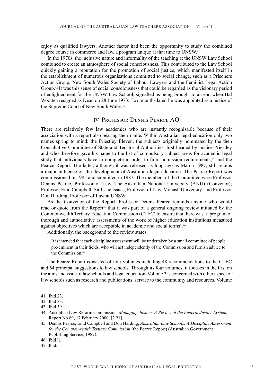enjoy as qualified lawyers. Another factor had been the opportunity to study the combined degree course in commerce and law, a program unique at that time to UNSW.<sup>41</sup>

In the 1970s, the inclusive nature and informality of the teaching at the UNSW Law School combined to create an atmosphere of social consciousness. This contributed to the Law School quickly gaining a reputation for the promotion of social justice, which manifested itself in the establishment of numerous organisations committed to social change, such as a Prisoners Action Group, New South Wales Society of Labour Lawyers and the Feminist Legal Action Group.42 It was this sense of social consciousness that could be regarded as the visionary period of enlightenment for the UNSW Law School, signalled as being brought to an end when Hal Wootten resigned as Dean on 28 June 1973. Two months later, he was appointed as a justice of the Supreme Court of New South Wales.<sup>43</sup>

## IV Professor Dennis Pearce AO

There are relatively few law academics who are instantly recognisable because of their association with a report also bearing their name. Within Australian legal education only two names spring to mind: the Priestley Eleven, the subjects originally nominated by the then Consultative Committee of State and Territorial Authorities, first headed by Justice Priestley and who therefore gave his name to the list of compulsory subject areas for academic legal study that individuals have to complete in order to fulfil admission requirements;<sup>44</sup> and the Pearce Report. The latter, although it was released as long ago as March 1987, still retains a major influence on the development of Australian legal education. The Pearce Report was commissioned in 1985 and submitted in 1987. The members of the Committee were Professor Dennis Pearce, Professor of Law, The Australian National University (ANU) (Convenor); Professor Enid Campbell; Sir Isaac Isaacs, Professor of Law, Monash University; and Professor Don Harding, Professor of Law at UNSW.

As the Convenor of the Report, Professor Dennis Pearce reminds anyone who would read or quote from the Report<sup>45</sup> that it was part of a general ongoing review initiated by the Commonwealth Tertiary Education Commission (CTEC) to ensure that there was 'a program of thorough and authoritative assessments of the work of higher education institutions measured against objectives which are acceptable in academic and social terms'.46

Additionally, the background to the review states:

It is intended that each discipline assessment will be undertaken by a small committee of people pre-eminent in their fields, who will act independently of the Commission and furnish advice to the Commission.<sup>47</sup>

The Pearce Report consisted of four volumes including 48 recommendations to the CTEC and 64 principal suggestions to law schools. Through its four volumes, it focuses in the first on the aims and issue of law schools and legal education. Volume 2 is concerned with other aspect of law schools such as research and publications, service to the community and resources. Volume

<sup>41</sup> Ibid 23.

<sup>42</sup> Ibid 33.

<sup>43</sup> Ibid 39.

<sup>44</sup> Australian Law Reform Commission, *Managing Justice: A Review of the Federal Justice System*, Report No 89, 17 February 2000, [2.21].

<sup>45</sup> Dennis Pearce, Enid Campbell and Don Harding, *Australian Law Schools: A Discipline Assessment for the Commonwealth Tertiary Commission* (the Pearce Report) (Australian Government Publishing Service, 1987).

<sup>46</sup> Ibid li.

<sup>47</sup> Ibid.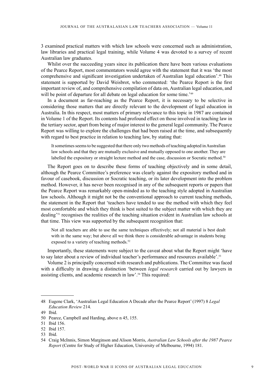3 examined practical matters with which law schools were concerned such as administration, law libraries and practical legal training, while Volume 4 was devoted to a survey of recent Australian law graduates.

Whilst over the succeeding years since its publication there have been various evaluations of the Pearce Report, most commentators would agree with the statement that it was 'the most comprehensive and significant investigation undertaken of Australian legal education'.48 This statement is supported by David Weisbrot, who commented: 'the Pearce Report is the first important review of, and comprehensive compilation of data on, Australian legal education, and will be point of departure for all debate on legal education for some time.<sup>'49</sup>

In a document as far-reaching as the Pearce Report, it is necessary to be selective in considering those matters that are directly relevant to the development of legal education in Australia. In this respect, most matters of primary relevance to this topic in 1987 are contained in Volume 1 of the Report. Its contents had profound effect on those involved in teaching law in the tertiary sector, apart from being of major interest to the general legal community. The Pearce Report was willing to explore the challenges that had been raised at the time, and subsequently with regard to best practice in relation to teaching law, by stating that:

It sometimes seems to be suggested that there only two methods of teaching adopted in Australian law schools and that they are mutually exclusive and mutually opposed to one another. They are labelled the expository or straight lecture method and the case, discussion or Socratic method.<sup>50</sup>

The Report goes on to describe these forms of teaching objectively and in some detail, although the Pearce Committee's preference was clearly against the expository method and in favour of casebook, discussion or Socratic teaching, or its later development into the problem method. However, it has never been recognised in any of the subsequent reports or papers that the Pearce Report was remarkably open-minded as to the teaching style adopted in Australian law schools. Although it might not be the conventional approach to current teaching methods, the statement in the Report that 'teachers have tended to use the method with which they feel most comfortable and which they think is best suited to the subject matter with which they are dealing'51 recognises the realities of the teaching situation evident in Australian law schools at that time. This view was supported by the subsequent recognition that:

Not all teachers are able to use the same techniques effectively; not all material is best dealt with in the same way; but above all we think there is considerable advantage in students being exposed to a variety of teaching methods.<sup>52</sup>

Importantly, these statements were subject to the caveat about what the Report might 'have to say later about a review of individual teacher's performance and resources available'.<sup>53</sup>

Volume 2 is principally concerned with research and publications. The Committee was faced with a difficulty in drawing a distinction 'between *legal research* carried out by lawyers in assisting clients, and academic research in law'.54 This required:

<sup>48</sup> Eugene Clark, 'Australian Legal Education A Decade after the Pearce Report' (1997) 8 *Legal Education Review* 214.

<sup>49</sup> Ibid.

<sup>50</sup> Pearce, Campbell and Harding, above n 45, 155.

<sup>51</sup> Ibid 156.

<sup>52</sup> Ibid 157.

<sup>53</sup> Ibid.

<sup>54</sup> Craig McInnis, Simon Marginson and Alison Morris, *Australian Law Schools after the 1987 Pearce Report* (Centre for Study of Higher Education, University of Melbourne, 1994) 181.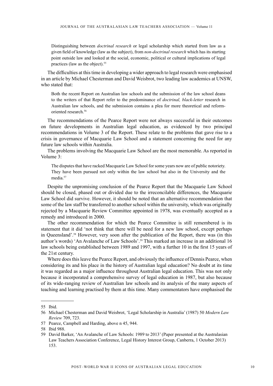Distinguishing between *doctrinal research* or legal scholarship which started from law as a given field of knowledge (law as the subject), from *non-doctrinal research* which has its starting point outside law and looked at the social, economic, political or cultural implications of legal practices (law as the object).<sup>55</sup>

The difficulties at this time in developing a wider approach to legal research were emphasised in an article by Michael Chesterman and David Weisbrot, two leading law academics at UNSW, who stated that:

Both the recent Report on Australian law schools and the submission of the law school deans to the writers of that Report refer to the predominance of *doctrinal, black-letter* research in Australian law schools, and the submission contains a plea for more theoretical and reformoriented research.<sup>56</sup>

The recommendations of the Pearce Report were not always successful in their outcomes on future developments in Australian legal education, as evidenced by two principal recommendations in Volume 3 of the Report. These relate to the problems that gave rise to a crisis in governance of Macquarie Law School and a statement concerning the need for any future law schools within Australia.

The problems involving the Macquarie Law School are the most memorable. As reported in Volume 3:

The disputes that have racked Macquarie Law School for some years now are of public notoriety. They have been pursued not only within the law school but also in the University and the media.<sup>57</sup>

Despite the unpromising conclusion of the Pearce Report that the Macquarie Law School should be closed, phased out or divided due to the irreconcilable differences, the Macquarie Law School did survive. However, it should be noted that an alternative recommendation that some of the law staff be transferred to another school within the university, which was originally rejected by a Macquarie Review Committee appointed in 1978, was eventually accepted as a remedy and introduced in 2000.

The other recommendation for which the Pearce Committee is still remembered is its statement that it did 'not think that there will be need for a new law school, except perhaps in Queensland'.58 However, very soon after the publication of the Report, there was (in this author's words) 'An Avalanche of Law Schools'.59 This marked an increase in an additional 16 law schools being established between 1989 and 1997, with a further 10 in the first 15 years of the 21st century.

Where does this leave the Pearce Report, and obviously the influence of Dennis Pearce, when considering its and his place in the history of Australian legal education? No doubt at its time it was regarded as a major influence throughout Australian legal education. This was not only because it incorporated a comprehensive survey of legal education in 1987, but also because of its wide-ranging review of Australian law schools and its analysis of the many aspects of teaching and learning practised by them at this time. Many commentators have emphasised the

<sup>55</sup> Ibid.

<sup>56</sup> Michael Chesterman and David Weisbrot, 'Legal Scholarship in Australia' (1987) 50 *Modern Law Review* 709, 723.

<sup>57</sup> Pearce, Campbell and Harding, above n 45, 944.

<sup>58</sup> Ibid 988.

<sup>59</sup> David Barker, 'An Avalanche of Law Schools: 1989 to 2013' (Paper presented at the Australasian Law Teachers Association Conference, Legal History Interest Group, Canberra, 1 October 2013) 153.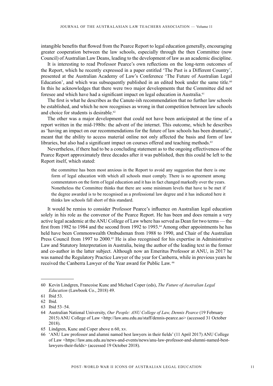intangible benefits that flowed from the Pearce Report to legal education generally, encouraging greater cooperation between the law schools, especially through the then Committee (now Council) of Australian Law Deans, leading to the development of law as an academic discipline.

It is interesting to read Professor Pearce's own reflections on the long-term outcomes of the Report, which he recently expressed in a paper entitled 'The Past is a Different Country', presented at the Australian Academy of Law's Conference 'The Future of Australian Legal Education', and which was subsequently published in an edited book under the same title.<sup>60</sup> In this he acknowledges that there were two major developments that the Committee did not foresee and which have had a significant impact on legal education in Australia.<sup>61</sup>

The first is what he describes as the Canute-ish recommendation that no further law schools be established, and which he now recognises as wrong in that competition between law schools and choice for students is desirable.<sup>62</sup>

The other was a major development that could not have been anticipated at the time of a report written in the mid-1980s: the advent of the internet. This outcome, which he describes as 'having an impact on our recommendations for the future of law schools has been dramatic', meant that the ability to access material online not only affected the basis and form of law libraries, but also had a significant impact on courses offered and teaching methods. $63$ 

Nevertheless, if there had to be a concluding statement as to the ongoing effectiveness of the Pearce Report approximately three decades after it was published, then this could be left to the Report itself, which stated:

the committee has been most anxious in the Report to avoid any suggestion that there is one form of legal education with which all schools must comply. There is no agreement among commentators on the form of legal education and it has in fact changed markedly over the years. Nonetheless the Committee thinks that there are some minimum levels that have to be met if the degree awarded is to be recognised as a professional law degree and it has indicated here it thinks law schools fall short of this standard.

It would be remiss to consider Professor Pearce's influence on Australian legal education solely in his role as the convenor of the Pearce Report. He has been and does remain a very active legal academic at the ANU College of Law where has served as Dean for two terms — the first from 1982 to 1984 and the second from 1992 to 1993.<sup>64</sup> Among other appointments he has held have been Commonwealth Ombudsman from 1988 to 1990, and Chair of the Australian Press Council from 1997 to 2000.<sup>65</sup> He is also recognised for his expertise in Administrative Law and Statutory Interpretation in Australia, being the author of the leading text in the former and co-author in the latter subject. Although now an Emeritus Professor at ANU, in 2017 he was named the Regulatory Practice Lawyer of the year for Canberra, while in previous years he received the Canberra Lawyer of the Year award for Public Law. <sup>66</sup>

<sup>60</sup> Kevin Lindgren, Francoise Kunc and Michael Coper (eds), *The Future of Australian Legal Education* (Lawbook Co., 2018) 49.

<sup>61</sup> Ibid 53.

<sup>62</sup> Ibid.

<sup>63</sup> Ibid 53–54.

<sup>64</sup> Australian National University, *Our People: ANU College of Law, Dennis Pearce* (19 February 2015) ANU College of Law <http://law.anu.edu.au/staff/dennis-pearce.ao> (accessed 31 October 2018).

<sup>65</sup> Lindgren, Kunc and Coper above n 60, xv.

<sup>66</sup> 'ANU Law professor and alumni named best lawyers in their fields' (11 April 2017) ANU College of Law <https://law.anu.edu.au/news-and-events/news/anu-law-professor-and-alumni-named-bestlawyers-their-fields> (accessed 19 October 2018).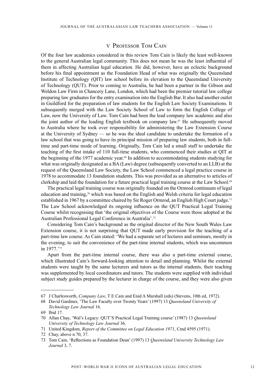## V PROFESSOR TOM CAIN

Of the four law academics considered in this review Tom Cain is likely the least well-known to the general Australian legal community. This does not mean he was the least influential of them in affecting Australian legal education. He did, however, have an eclectic background before his final appointment as the Foundation Head of what was originally the Queensland Institute of Technology (QIT) law school before its elevation to the Queensland University of Technology (QUT). Prior to coming to Australia, he had been a partner in the Gibson and Weldon Law Firm in Chancery Lane, London, which had been the premier tutorial law college preparing law graduates for the entry examination into the English Bar. It also had another outlet in Guildford for the preparation of law students for the English Law Society Examinations. It subsequently merged with the Law Society School of Law to form the English College of Law, now the University of Law. Tom Cain had been the lead company law academic and also the joint author of the leading English textbook on company law.<sup>67</sup> He subsequently moved to Australia where he took over responsibility for administering the Law Extension Course at the University of Sydney — so he was the ideal candidate to undertake the formation of a law school that was going to have its principal mission of preparing law students, both in fulltime and part-time mode of learning. Originally, Tom Cain led a small staff to undertake the teaching of the first intake of 110 full-time students, who commenced their studies at QIT at the beginning of the 1977 academic year.<sup>68</sup> In addition to accommodating students studying for what was originally designated as a BA (Law) degree (subsequently converted to an LLB) at the request of the Queensland Law Society, the Law School commenced a legal practice course in 1978 to accommodate 13 foundation students. This was provided as an alternative to articles of clerkship and laid the foundation for a future practical legal training course at the Law School.<sup>69</sup>

The practical legal training course was originally founded on the Ormrod continuum of legal education and training,<sup>70</sup> which was based on the English and Welsh criteria for legal education established in 1967 by a committee chaired by Sir Roger Ormrod, an English High Court judge.<sup>71</sup> The Law School acknowledged its ongoing influence on the QUT Practical Legal Training Course whilst recognising that 'the original objectives of the Course were those adopted at the Australian Professional Legal Conference in Australia'.72

Considering Tom Cain's background as the original director of the New South Wales Law Extension course, it is not surprising that QUT made early provision for the teaching of a part-time law course. As Cain stated: 'We had a separate set of lectures and seminars, mostly in the evening, to suit the convenience of the part-time internal students, which was uncommon in 1977<sup></sup>'73

Apart from the part-time internal course, there was also a part-time external course, which illustrated Cain's forward-looking attention to detail and planning. Whilst the external students were taught by the same lecturers and tutors as the internal students, their teaching was supplemented by local coordinators and tutors. The students were supplied with individual subject study guides prepared by the lecturer in charge of the course, and they were also given

<sup>67</sup> J Charlesworth, *Company Law*, T E Cain and Enid A Marshall (eds) (Stevens, 10th ed, 1972).

<sup>68</sup> David Gardiner, 'The Law Faculty over Twenty Years' (1997) 13 *Queensland University of Technology Law Journal* 16.

<sup>69</sup> Ibid 17.

<sup>70</sup> Allan Chay, 'Wal's Legacy: QUT'S Practical Legal Training course' (1987) 13 *Queensland University of Technology Law Journal* 36.

<sup>71</sup> United Kingdom, *Report of the Committee on Legal Education 1971*, Cmd 4595 (1971).

<sup>72</sup> Chay, above n 70, 37.

<sup>73</sup> Tom Cain, 'Reflections as Foundation Dean' (1997) 13 *Queensland University Technology Law Journal* 3, 7.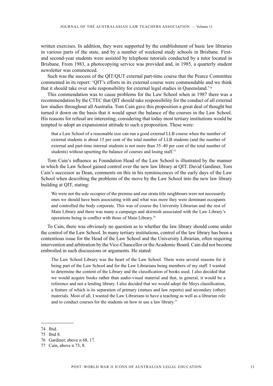written exercises. In addition, they were supported by the establishment of basic law libraries in various parts of the state, and by a number of weekend study schools in Brisbane. Firstand second-year students were assisted by telephone tutorials conducted by a tutor located in Brisbane. From 1983, a photocopying service was provided and, in 1985, a quarterly student newsletter was commenced.

Such was the success of the QIT/QUT external part-time course that the Pearce Committee commented in its report: 'QIT's efforts in its external course were commendable and we think that it should take over sole responsibility for external legal studies in Queensland.'74

This commendation was to cause problems for the Law School when in 1987 there was a recommendation by the CTEC that QIT should take responsibility for the conduct of all external law studies throughout all Australia. Tom Cain gave this proposition a great deal of thought but turned it down on the basis that it would upset the balance of the courses in the Law School. His reasons for refusal are interesting, considering that today most tertiary institutions would be tempted to adopt an expansionist attitude to such a proposition. These were:

that a Law School of a reasonable size can run a good external LLB course when the number of external students is about 15 per cent of the total number of LLB students (and the number of external and part-time internal students is not more than 35–40 per cent of the total number of students) without upsetting the balance of courses and losing staff.<sup>75</sup>

Tom Cain's influence as Foundation Head of the Law School is illustrated by the manner in which the Law School gained control over the new law library at QIT. David Gardiner, Tom Cain's successor as Dean, comments on this in his reminiscences of the early days of the Law School when describing the problems of the move by the Law School into the new law library building at QIT, stating:

We were not the sole occupier of the premise and our strata title neighbours were not necessarily ones we should have been associating with and what was more they were dominant occupants and controlled the body corporate. This was of course the University Librarian and the rest of Main Library and there was many a campaign and skirmish associated with the Law Library's operations being in conflict with those of Main Library.<sup>76</sup>

To Cain, there was obviously no question as to whether the law library should come under the control of the Law School. In many tertiary institutions, control of the law library has been a contentious issue for the Head of the Law School and the University Librarian, often requiring intervention and arbitration by the Vice-Chancellor or the Academic Board. Cain did not become embroiled in such discussions or arguments. He stated:

The Law School Library was the heart of the Law School. There were several reasons for it being part of the Law School and for the Law Librarians being members of my staff. I wanted to determine the content of the Library and the classification of books used. I also decided that we would acquire books rather than audio-visual material and that, in general, it would be a reference and not a lending library. I also decided that we would adopt the Moys classification, a feature of which is its separation of primary (statues and law reports) and secondary (other) materials. Most of all, I wanted the Law Librarians to have a teaching as well as a librarian role and to conduct courses for the students on how to use a law library.<sup>77</sup>

<sup>74</sup> Ibid.

<sup>75</sup> Ibid 8.

<sup>76</sup> Gardiner, above n 68, 17.

<sup>77</sup> Cain, above n 73, 8.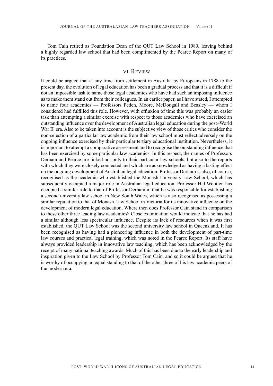Tom Cain retired as Foundation Dean of the QUT Law School in 1989, leaving behind a highly regarded law school that had been complimented by the Pearce Report on many of its practices.

## VI Review

It could be argued that at any time from settlement in Australia by Europeans in 1788 to the present day, the evolution of legal education has been a gradual process and that it is a difficult if not an impossible task to name those legal academics who have had such an imposing influence as to make them stand out from their colleagues. In an earlier paper, as I have stated, I attempted to name four academics — Professors Peden, Moore, McDougall and Beasley — whom I considered had fulfilled this role. However, with effluxion of time this was probably an easier task than attempting a similar exercise with respect to those academics who have exercised an outstanding influence over the development of Australian legal education during the post–World War II era. Also to be taken into account is the subjective view of those critics who consider the non-selection of a particular law academic from their law school must reflect adversely on the ongoing influence exercised by their particular tertiary educational institution. Nevertheless, it is important to attempt a comparative assessment and to recognise the outstanding influence that has been exercised by some particular law academics. In this respect, the names of Professors Derham and Pearce are linked not only to their particular law schools, but also to the reports with which they were closely connected and which are acknowledged as having a lasting effect on the ongoing development of Australian legal education. Professor Derham is also, of course, recognised as the academic who established the Monash University Law School, which has subsequently occupied a major role in Australian legal education. Professor Hal Wootten has occupied a similar role to that of Professor Derham in that he was responsible for establishing a second university law school in New South Wales, which is also recognised as possessing a similar reputation to that of Monash Law School in Victoria for its innovative influence on the development of modern legal education. Where then does Professor Cain stand in comparison to these other three leading law academics? Close examination would indicate that he has had a similar although less spectacular influence. Despite its lack of resources when it was first established, the QUT Law School was the second university law school in Queensland. It has been recognised as having had a pioneering influence in both the development of part-time law courses and practical legal training, which was noted in the Pearce Report. Its staff have always provided leadership in innovative law teaching, which has been acknowledged by the receipt of many national teaching awards. Much of this has been due to the early leadership and inspiration given to the Law School by Professor Tom Cain, and so it could be argued that he is worthy of occupying an equal standing to that of the other three of his law academic peers of the modern era.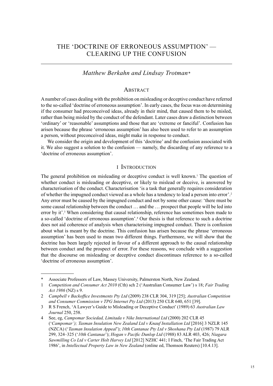# THE 'DOCTRINE OF ERRONEOUS ASSUMPTION' — CLEARING UP THE CONFUSION

## *Matthew Berkahn and Lindsay Trotman\**

#### **ABSTRACT**

A number of cases dealing with the prohibition on misleading or deceptive conduct have referred to the so-called 'doctrine of erroneous assumption'. In early cases, the focus was on determining if the consumer had preconceived ideas, already in their mind, that caused them to be misled, rather than being misled by the conduct of the defendant. Later cases draw a distinction between 'ordinary' or 'reasonable' assumptions and those that are 'extreme or fanciful'. Confusion has arisen because the phrase 'erroneous assumption' has also been used to refer to an assumption a person, without preconceived ideas, might make in response to conduct.

We consider the origin and development of this 'doctrine' and the confusion associated with it. We also suggest a solution to the confusion — namely, the discarding of any reference to a 'doctrine of erroneous assumption'.

#### I Introduction

The general prohibition on misleading or deceptive conduct is well known.<sup>1</sup> The question of whether conduct is misleading or deceptive, or likely to mislead or deceive, is answered by characterisation of the conduct. Characterisation 'is a task that generally requires consideration of whether the impugned conduct viewed as a whole has a tendency to lead a person into error'.2 Any error must be caused by the impugned conduct and not by some other cause: 'there must be some causal relationship between the conduct … and the … prospect that people will be led into error by it'.<sup>3</sup> When considering that causal relationship, reference has sometimes been made to a so-called 'doctrine of erroneous assumption'.4 Our thesis is that reference to such a doctrine does not aid coherence of analysis when characterising impugned conduct. There is confusion about what is meant by the doctrine. This confusion has arisen because the phrase 'erroneous assumption' has been used to mean two different things. Furthermore, we will show that the doctrine has been largely rejected in favour of a different approach to the causal relationship between conduct and the prospect of error. For these reasons, we conclude with a suggestion that the discourse on misleading or deceptive conduct discontinues reference to a so-called 'doctrine of erroneous assumption'.

<sup>\*</sup> Associate Professors of Law, Massey University, Palmerston North, New Zealand.

<sup>1</sup> *Competition and Consumer Act 2010* (Cth) sch 2 ('Australian Consumer Law') s 18; *Fair Trading Act 1986* (NZ) s 9.

<sup>2</sup> *Campbell v Backoffice Investments Pty Ltd* (2009) 238 CLR 304, 319 [25]; *Australian Competition and Consumer Commission v TPG Internet Pty Ltd* (2013) 250 CLR 640, 651 [39].

<sup>3</sup> R S French, 'A Lawyer's Guide to Misleading or Deceptive Conduct' (1989) 63 *Australian Law Journal* 250, 258.

<sup>4</sup> See, eg, *Campomar Sociedad, Limitada v Nike International Ltd* (2000) 202 CLR 45 ('*Campomar'); Tasman Insulation New Zealand Ltd v Knauf Installation Ltd* [2016] 3 NZLR 145 (NZCA) ('*Tasman Insulation Appeal*'); *10th Cantanae Pty Ltd v Shoshana Pty Ltd* (1987) 79 ALR 299, 324–325 ('*10th Cantanae*'); *Hogan v Pacific Dunlop Ltd* (1988) 83 ALR 403, 426; *Niagara Sawmilling Co Ltd v Carter Holt Harvey Ltd* [2012] NZHC 441; I Finch, 'The Fair Trading Act 1986', in *Intellectual Property Law in New Zealand* (online ed, Thomson Reuters) [10.4.13].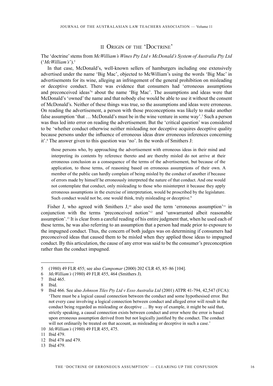#### II Origin of the 'Doctrine'

#### The 'doctrine' stems from *McWilliam's Wines Pty Ltd v McDonald's System of Australia Pty Ltd*  ('*McWilliam's*').5

In that case, McDonald's, well-known sellers of hamburgers including one extensively advertised under the name 'Big Mac', objected to McWilliam's using the words 'Big Mac' in advertisements for its wine, alleging an infringement of the general prohibition on misleading or deceptive conduct. There was evidence that consumers had 'erroneous assumptions and preconceived ideas'6 about the name 'Big Mac'. The assumptions and ideas were that McDonald's 'owned' the name and that nobody else would be able to use it without the consent of McDonald's. Neither of these things was true, so the assumptions and ideas were erroneous. On reading the advertisement, a person with those preconceptions was likely to make another false assumption 'that ... McDonald's must be in the wine venture in some way'.<sup>7</sup> Such a person was thus led into error on reading the advertisement. But the 'critical question' was considered to be 'whether conduct otherwise neither misleading nor deceptive acquires deceptive quality because persons under the influence of erroneous ideas draw erroneous inferences concerning it'.8 The answer given to this question was 'no'. In the words of Smithers J:

those persons who, by approaching the advertisement with erroneous ideas in their mind and interpreting its contents by reference thereto and are thereby misled do not arrive at their erroneous conclusion as a consequence of the terms of the advertisement, but because of the application, to those terms, of reasoning based on erroneous assumptions of their own. A member of the public can hardly complain of being misled by the conduct of another if because of errors made by himself he erroneously interpreted the nature of that conduct. And one would not contemplate that conduct, only misleading to those who misinterpret it because they apply erroneous assumptions in the exercise of interpretation, would be proscribed by the legislature. Such conduct would not be, one would think, truly misleading or deceptive.<sup>9</sup>

Fisher J, who agreed with Smithers  $J<sub>10</sub>$  also used the term 'erroneous assumption'<sup>11</sup> in conjunction with the terms 'preconceived notion'12 and 'unwarranted albeit reasonable assumption'.13 It is clear from a careful reading of his entire judgment that, when he used each of these terms, he was also referring to an assumption that a person had made prior to exposure to the impugned conduct. Thus, the concern of both judges was on determining if consumers had preconceived ideas that caused them to be misled when they applied those ideas to impugned conduct. By this articulation, the cause of any error was said to be the consumer's preconception rather than the conduct impugned.

<sup>5</sup> (1980) 49 FLR 455; see also *Campomar* (2000) 202 CLR 45, 85–86 [104].

<sup>6</sup> *McWilliam's* (1980) 49 FLR 455, 464 (Smithers J).

<sup>7</sup> Ibid 465.

<sup>8</sup> Ibid.

<sup>9</sup> Ibid 466. See also *Johnson Tiles Pty Ltd v Esso Australia Ltd* (2001) ATPR 41-794, 42,547 (FCA): 'There must be a logical causal connection between the conduct and some hypothesised error. But not every case involving a logical connection between conduct and alleged error will result in the conduct being regarded as misleading or deceptive … By way of example, it might be said that, strictly speaking, a causal connection exists between conduct and error where the error is based upon erroneous assumption derived from but not logically justified by the conduct. The conduct will not ordinarily be treated on that account, as misleading or deceptive in such a case.'

<sup>10</sup> *McWilliam's* (1980) 49 FLR 455, 475.

<sup>11</sup> Ibid 479.

<sup>12</sup> Ibid 478 and 479.

<sup>13</sup> Ibid 479.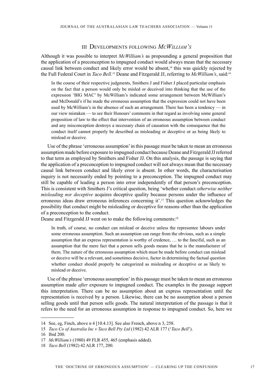## III Developments following *McWilliam's*

Although it was possible to interpret *McWilliam's* as propounding a general proposition that the application of a preconception to impugned conduct would always mean that the necessary causal link between conduct and likely error would be absent,<sup>14</sup> this was quickly rejected by the Full Federal Court in *Taco Bell.*15 Deane and Fitzgerald JJ, referring to *McWilliam's*, said:16

In the course of their respective judgments, Smithers J and Fisher J placed particular emphasis on the fact that a person would only be misled or deceived into thinking that the use of the expression 'BIG MAC' by McWilliam's indicated some arrangement between McWilliam's and McDonald's if he made the erroneous assumption that the expression could not have been used by McWilliam's in the absence of such an arrangement. There has been a tendency — in our view mistaken — to see their Honours' comments in that regard as involving some general proposition of law to the effect that intervention of an erroneous assumption between conduct and any misconception destroys a necessary chain of causation with the consequence that the conduct itself cannot properly be described as misleading or deceptive or as being likely to mislead or deceive.

Use of the phrase 'erroneous assumption' in this passage must be taken to mean an erroneous assumption made before exposure to impugned conduct because Deane and Fitzgerald JJ referred to that term as employed by Smithers and Fisher JJ. On this analysis, the passage is saying that the application of a preconception to impugned conduct will not always mean that the necessary causal link between conduct and likely error is absent. In other words, the characterisation inquiry is not necessarily ended by pointing to a preconception. The impugned conduct may still be capable of leading a person into error independently of that person's preconception. This is consistent with Smithers J's critical question, being 'whether conduct *otherwise neither misleading nor deceptive* acquires deceptive quality because persons under the influence of erroneous ideas draw erroneous inferences concerning it'.17 This question acknowledges the possibility that conduct might be misleading or deceptive for reasons other than the application of a preconception to the conduct.

Deane and Fitzgerald JJ went on to make the following comments:<sup>18</sup>

In truth, of course, no conduct can mislead or deceive unless the representee labours under some erroneous assumption. Such an assumption can range from the obvious, such as a simple assumption that an express representation is worthy of credence, … to the fanciful, such as an assumption that the mere fact that a person sells goods means that he is the manufacturer of them. The nature of the erroneous assumption which must be made before conduct can mislead or deceive will be a relevant, and sometimes decisive, factor in determining the factual question whether conduct should properly be categorized as misleading or deceptive or as likely to mislead or deceive.

Use of the phrase 'erroneous assumption' in this passage must be taken to mean an erroneous assumption made *after* exposure to impugned conduct. The examples in the passage support this interpretation. There can be no assumption about an express representation until the representation is received by a person. Likewise, there can be no assumption about a person selling goods until that person sells goods. The natural interpretation of the passage is that it refers to the need for an erroneous assumption in response to impugned conduct. So, here we

<sup>14</sup> See, eg, Finch, above n 4 [10.4.13]. See also French, above n 3, 258.

<sup>15</sup> *Taco Co of Australia Inc v Taco Bell Pty Ltd* (1982) 42 ALR 177 ('*Taco Bell*').

<sup>16</sup> Ibid 200.

<sup>17</sup> *McWilliam's* (1980) 49 FLR 455, 465 (emphasis added).

<sup>18</sup> *Taco Bell* (1982) 42 ALR 177, 200.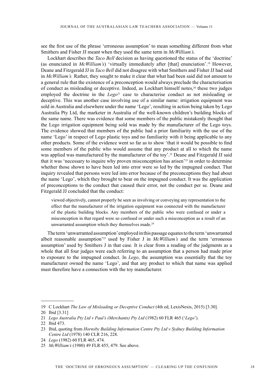see the first use of the phrase 'erroneous assumption' to mean something different from what Smithers and Fisher JJ meant when they used the same term in *McWilliam's.*

Lockhart describes the *Taco Bell* decision as having questioned the status of the 'doctrine' (as enunciated in *McWilliam's*) 'virtually immediately after [that] enunciation'.19 However, Deane and Fitzgerald JJ in *Taco Bell* did not disagree with what Smithers and Fisher JJ had said in *McWilliam's.* Rather, they sought to make it clear that what had been said did not amount to a general rule that the existence of a preconception would always preclude the characterisation of conduct as misleading or deceptive. Indeed, as Lockhart himself notes,20 these two judges employed the doctrine in the *Lego*<sup>21</sup> case to characterise conduct as not misleading or deceptive. This was another case involving use of a similar name: irrigation equipment was sold in Australia and elsewhere under the name 'Lego', resulting in action being taken by Lego Australia Pty Ltd, the marketer in Australia of the well-known children's building blocks of the same name. There was evidence that some members of the public mistakenly thought that the Lego irrigation equipment being sold was made by the manufacturer of the Lego toys. The evidence showed that members of the public had a prior familiarity with the use of the name 'Lego' in respect of Lego plastic toys and no familiarity with it being applicable to any other products. Some of the evidence went so far as to show 'that it would be possible to find some members of the public who would assume that any product at all to which the name was applied was manufactured by the manufacturer of the toy'.<sup>22</sup> Deane and Fitzgerald JJ said that it was 'necessary to inquire why proven misconception has arisen'23 in order to determine whether those shown to have been led into error were so led by the impugned conduct. That inquiry revealed that persons were led into error because of the preconceptions they had about the name 'Lego', which they brought to bear on the impugned conduct. It was the application of preconceptions to the conduct that caused their error, not the conduct per se. Deane and Fitzgerald JJ concluded that the conduct:

viewed objectively, cannot properly be seen as involving or conveying any representation to the effect that the manufacturer of the irrigation equipment was connected with the manufacturer of the plastic building blocks. Any members of the public who were confused or under a misconception in that regard were so confused or under such a misconception as a result of an unwarranted assumption which they themselves made. $24$ 

The term 'unwarranted assumption' employed in this passage equates to the term 'unwarranted albeit reasonable assumption'25 used by Fisher J in *McWilliam's* and the term 'erroneous assumption' used by Smithers J in that case*.* It is clear from a reading of the judgments as a whole that all four judges were each referring to an assumption that a person had made prior to exposure to the impugned conduct. In *Lego*, the assumption was essentially that the toy manufacturer owned the name 'Lego', and that any product to which that name was applied must therefore have a connection with the toy manufacturer.

<sup>19</sup> C Lockhart *The Law of Misleading or Deceptive Conduct* (4th ed, LexisNexis, 2015) [3.30].

<sup>20</sup> Ibid [3.31]

<sup>21</sup> *Lego Australia Pty Ltd v Paul's (Merchants) Pty Ltd* (1982) 60 FLR 465 ('*Lego*').

<sup>22</sup> Ibid 473.

<sup>23</sup> Ibid, quoting from *Hornsby Building Information Centre Pty Ltd v Sydney Building Information Centre Ltd* (1978) 140 CLR 216, 228.

<sup>24</sup> *Lego* (1982) 60 FLR 465, 474.

<sup>25</sup> *McWilliam's* (1980) 49 FLR 455, 479. See above.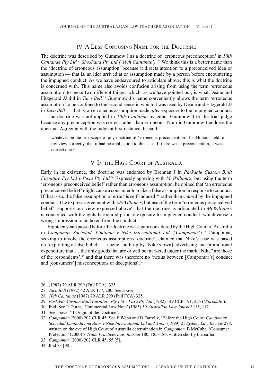## IV A Less Confusing Name for the Doctrine

The doctrine was described by Gummow J as a doctrine of 'erroneous preconception' in *10th Cantanae Pty Ltd v Shoshana Pty Ltd ('10th Cantanae').* 26 We think this is a better name than the 'doctrine of erroneous assumption' because it directs attention to a preconceived idea or assumption — that is, an idea arrived at or assumption made by a person before encountering the impugned conduct. As we have endeavoured to articulate above, this is what the doctrine is concerned with. This name also avoids confusion arising from using the term 'erroneous assumption' to mean two different things, which, as we have pointed out, is what Deane and Fitzgerald JJ did in *Taco Bell*.<sup>27</sup> Gummow J's name conveniently allows the term 'erroneous' assumption' to be confined to the second sense in which it was used by Deane and Fitzgerald JJ in *Taco Bell* — that is, an erroneous assumption made *after* exposure to the impugned conduct.

The doctrine was not applied in *10th Cantanae* by either Gummow J or the trial judge because any preconception was correct rather than erroneous. Nor did Gummow J endorse the doctrine. Agreeing with the judge at first instance, he said:

whatever be the true scope of any doctrine of 'erroneous preconception', his Honour held, in my view correctly, that it had no application to this case. If there was a preconception, it was a correct one.<sup>28</sup>

## V In the High Court of Australia

Early in its existence, the doctrine was endorsed by Brennan J in *Parkdale Custom Built Furniture Pty Ltd v Puxu Pty Ltd*. 29 Expressly agreeing with *McWilliam's,* but using the term 'erroneous preconceived belief' rather than erroneous assumption, he opined that 'an erroneous preconceived belief' might cause a consumer to make a false assumption in response to conduct. If that is so, the false assumption or error 'is self-induced'<sup>30</sup> rather than caused by the impugned conduct. The express agreement with *McWilliam's*, but use of the term 'erroneous preconceived belief', supports our view expressed above<sup>31</sup> that the doctrine as articulated in *McWilliam's* is concerned with thoughts harboured prior to exposure to impugned conduct, which cause a wrong impression to be taken from the conduct.

Eighteen years passed before the doctrine was again considered by the High Court of Australia in *Campomar Sociedad, Limitada v Nike International Ltd* ('*Campomar*').32 Campomar, seeking to invoke the erroneous assumptions 'doctrine', claimed that Nike's case was based on 'exploiting a false belief — a belief built up by [Nike's own] advertising and promotional expenditure that … the only goods that are or will be marketed under the mark "Nike" are those of the respondents',33 and that there was therefore no 'nexus between [Campomar's] conduct and [consumers'] misconceptions or deceptions'.<sup>34</sup>

<sup>26</sup> (1987) 79 ALR 299 (Full FCA), 325.

<sup>27</sup> *Taco Bell* (1982) 42 ALR 177, 200. See above.

<sup>28</sup> *10th Cantanae* (1987) 79 ALR 299 (Full FCA) 325.

<sup>29</sup> *Parkdale Custom Built Furniture Pty Ltd v Puxu Pty Ltd* (1982) 149 CLR 191, 225 ('*Parkdale*').

<sup>30</sup> Ibid. See R Durie, 'Commercial Law Note' (1985) 59 *Australian Law Journal* 115, 117.

<sup>31</sup> See above, 'II Origin of the Doctrine'.

<sup>32</sup> *Campomar* (2000) 202 CLR 45. See E Webb and D Farrelly, 'Before the High Court: *Campomar Sociedad Limitada and Anor v Nike International Ltd and Anor*' (1999) 21 *Sydney Law Review* 278, written on the eve of High Court of Australia determination in *Campomar*; B McCabe, 'Consumer Protection' (2000) 8 *Trade Practices Law Journal* 180, 185–186, written shortly thereafter.

<sup>33</sup> *Campomar* (2000) 202 CLR 45, 55 [5].

<sup>34</sup> Ibid 83 [98].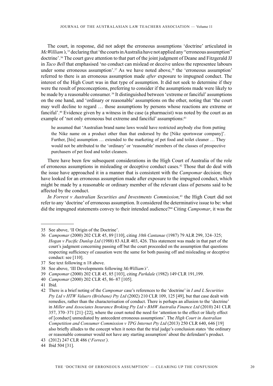The court, in response, did not adopt the erroneous assumptions 'doctrine' articulated in *McWilliam's,*35 declaring that 'the courts in Australia have not applied any "erroneous assumption" doctrine'.36 The court gave attention to that part of the joint judgment of Deane and Fitzgerald JJ in *Taco Bell* that emphasised 'no conduct can mislead or deceive unless the representee labours under some erroneous assumption'.<sup>37</sup> As we have noted above,<sup>38</sup> the 'erroneous assumption' referred to there is an erroneous assumption made *after* exposure to impugned conduct. The interest of the High Court was in that type of assumption. It did not seek to determine if they were the result of preconceptions, preferring to consider if the assumptions made were likely to be made by a reasonable consumer. 39 It distinguished between 'extreme or fanciful' assumptions on the one hand, and 'ordinary or reasonable' assumptions on the other, noting that 'the court may well decline to regard … those assumptions by persons whose reactions are extreme or fanciful'.40 Evidence given by a witness in the case (a pharmacist) was noted by the court as an example of 'not only erroneous but extreme and fanciful' assumptions:<sup>41</sup>

he assumed that 'Australian brand name laws would have restricted anybody else from putting the Nike name on a product other than that endorsed by the [Nike sportswear company]'. Further, [his] assumption … extended to the marketing of pet food and toilet cleaner … They would not be attributed to the 'ordinary' or 'reasonable' members of the classes of prospective purchasers of pet food and toilet cleaners.

There have been few subsequent considerations in the High Court of Australia of the role of erroneous assumptions in misleading or deceptive conduct cases.42 Those that do deal with the issue have approached it in a manner that is consistent with the *Campomar* decision; they have looked for an erroneous assumption made after exposure to the impugned conduct, which might be made by a reasonable or ordinary member of the relevant class of persons said to be affected by the conduct.

*In Forrest v Australian Securities and Investments Commission,*43 the High Court did not refer to any 'doctrine' of erroneous assumption. It considered the determinative issue to be: what did the impugned statements convey to their intended audience?44 Citing *Campomar*, it was the

<sup>35</sup> See above, 'II Origin of the Doctrine'.

<sup>36</sup> *Campomar* (2000) 202 CLR 45, 89 [110], citing *10th Cantanae* (1987) 79 ALR 299, 324–325; *Hogan v Pacific Dunlop Ltd* (1988) 83 ALR 403, 426. This statement was made in that part of the court's judgment concerning passing off but the court proceeded on the assumption that questions respecting sufficiency of causation were the same for both passing off and misleading or deceptive conduct: see [110].

<sup>37</sup> See text following n 18 above.

<sup>38</sup> See above, 'III Developments following *McWilliam's*'.

<sup>39</sup> *Campomar* (2000) 202 CLR 45, 85 [103], citing *Parkdale* (1982) 149 CLR 191,199.

<sup>40</sup> *Campomar* (2000) 202 CLR 45, 86–87 [105].

<sup>41</sup> Ibid.

<sup>42</sup> There is a brief noting of the *Campomar* case's references to the 'doctrine' in *I and L Securities Pty Ltd v HTW Valuers (Brisbane) Pty Ltd* (2002) 210 CLR 109, 125 [49], but that case dealt with remedies, rather than the characterisation of conduct. There is perhaps an allusion to the 'doctrine' in *Miller and Associates Insurance Broking Pty Ltd v BMW Australia Finance Ltd* (2010) 241 CLR 357, 370–371 [21]–[22], where the court noted the need for 'attention to the effect or likely effect of [conduct] unmediated by antecedent erroneous assumptions'. The *High Court in Australian Competition and Consumer Commission v TPG Internet Pty Ltd* (2013) 250 CLR 640, 646 [19] also briefly alludes to the concept when it notes that the trial judge's conclusion states 'the ordinary or reasonable consumer would not have any starting assumption' about the defendant's product.

<sup>43</sup> (2012) 247 CLR 486 ('*Forrest').*

<sup>44</sup> Ibid 504 [31].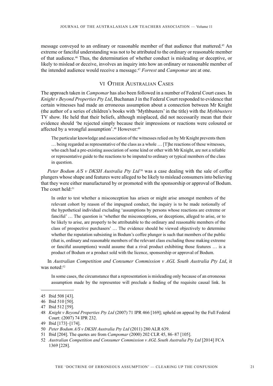message conveyed to an ordinary or reasonable member of that audience that mattered.45 An extreme or fanciful understanding was not to be attributed to the ordinary or reasonable member of that audience.46 Thus, the determination of whether conduct is misleading or deceptive, or likely to mislead or deceive, involves an inquiry into how an ordinary or reasonable member of the intended audience would receive a message.47 *Forrest* and *Campomar* are at one.

## VI Other Australian Cases

The approach taken in *Campomar* has also been followed in a number of Federal Court cases. In *Knight v Beyond Properties Pty Ltd*, Buchanan J in the Federal Court responded to evidence that certain witnesses had made an erroneous assumption about a connection between Mr Knight (the author of a series of children's books with 'Mythbusters' in the title) with the *Mythbusters*  TV show. He held that their beliefs, although misplaced, did not necessarily mean that their evidence should 'be rejected simply because their impressions or reactions were coloured or affected by a wrongful assumption'.<sup>48</sup> However:<sup>49</sup>

The particular knowledge and association of the witnesses relied on by Mr Knight prevents them … being regarded as representative of the class as a whole … [T]he reactions of these witnesses, who each had a pre-existing association of some kind or other with Mr Knight, are not a reliable or representative guide to the reactions to be imputed to ordinary or typical members of the class in question.

*Peter Bodum A/S v DKSH Australia Pty Ltd*<sup>50</sup> was a case dealing with the sale of coffee plungers whose shape and features were alleged to be likely to mislead consumers into believing that they were either manufactured by or promoted with the sponsorship or approval of Bodum. The court held:<sup>51</sup>

In order to test whether a misconception has arisen or might arise amongst members of the relevant cohort by reason of the impugned conduct, the inquiry is to be made notionally of the hypothetical individual excluding 'assumptions by persons whose reactions are extreme or fanciful' … The question is 'whether the misconceptions, or deceptions, alleged to arise, or to be likely to arise, are properly to be attributable to the ordinary and reasonable members of the class of prospective purchasers' … The evidence should be viewed objectively to determine whether the reputation subsisting in Bodum's coffee plunger is such that members of the public (that is, ordinary and reasonable members of the relevant class excluding those making extreme or fanciful assumptions) would assume that a rival product exhibiting those features … is a product of Bodum or a product sold with the licence, sponsorship or approval of Bodum.

In *Australian Competition and Consumer Commission v AGL South Australia Pty Ltd*, it was noted:<sup>52</sup>

In some cases, the circumstance that a representation is misleading only because of an erroneous assumption made by the representee will preclude a finding of the requisite causal link. In

<sup>45</sup> Ibid 508 [43].

<sup>46</sup> Ibid 510 [50].

<sup>47</sup> Ibid 512 [59].

<sup>48</sup> *Knight v Beyond Properties Pty Ltd* (2007) 71 IPR 466 [169]; upheld on appeal by the Full Federal Court: (2007) 74 IPR 232.

<sup>49</sup> Ibid [173]–[174].

<sup>50</sup> *Peter Bodum A/S v DKSH Australia Pty Ltd* (2011) 280 ALR 639.

<sup>51</sup> Ibid [204]. The quotes are from *Campomar* (2000) 202 CLR 45, 86–87 [105].

<sup>52</sup> *Australian Competition and Consumer Commission v AGL South Australia Pty Ltd* [2014] FCA 1369 [228].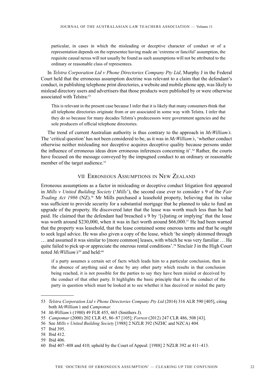particular, in cases in which the misleading or deceptive character of conduct or of a representation depends on the representee having made an 'extreme or fanciful' assumption, the requisite causal nexus will not usually be found as such assumptions will not be attributed to the ordinary or reasonable class of representees.

In *Telstra Corporation Ltd v Phone Directories Company Pty Ltd*, Murphy J in the Federal Court held that the erroneous assumption doctrine was relevant to a claim that the defendant's conduct, in publishing telephone print directories, a website and mobile phone app, was likely to mislead directory users and advertisers that those products were published by or were otherwise associated with Telstra:<sup>53</sup>

This is relevant in the present case because I infer that it is likely that many consumers think that all telephone directories originate from or are associated in some way with Telstra. I infer that they do so because for many decades Telstra's predecessors were government agencies and the sole producers of official telephone directories.

The trend of current Australian authority is thus contrary to the approach in *McWilliam's.*  The 'critical question' has not been considered to be, as it was in *McWilliam's*, 'whether conduct otherwise neither misleading nor deceptive acquires deceptive quality because persons under the influence of erroneous ideas draw erroneous inferences concerning it'.54 Rather, the courts have focused on the message conveyed by the impugned conduct to an ordinary or reasonable member of the target audience.<sup>55</sup>

## VII Erroneous Assumptions in New Zealand

Erroneous assumptions as a factor in misleading or deceptive conduct litigation first appeared in *Mills v United Building Society* ('*Mills*'), the second case ever to consider s 9 of the *Fair Trading Act 1986* (NZ).<sup>56</sup> Mr Mills purchased a leasehold property, believing that its value was sufficient to provide security for a substantial mortgage that he planned to take to fund an upgrade of the property. He discovered later that the lease was worth much less than he had paid. He claimed that the defendant had breached s 9 by '[s]tating or implying' that the lease was worth around \$230,000, when it was in fact worth around \$66,000.<sup>57</sup> He had been warned that the property was leasehold, that the lease contained some onerous terms and that he ought to seek legal advice. He was also given a copy of the lease, which 'he simply skimmed through … and assumed it was similar to [more common] leases, with which he was very familiar … He quite failed to pick up or appreciate the onerous rental conditions'.<sup>58</sup> Sinclair J in the High Court noted *McWilliam's*<sup>59</sup> and held:<sup>60</sup>

if a party assumes a certain set of facts which leads him to a particular conclusion, then in the absence of anything said or done by any other party which results in that conclusion being reached, it is not possible for the parties to say they have been misled or deceived by the conduct of that other party. It highlights the basic principle that it is the conduct of the party in question which must be looked at to see whether it has deceived or misled the party

<sup>53</sup> *Telstra Corporation Ltd v Phone Directories Company Pty Ltd* (2014) 316 ALR 590 [405], citing both *McWilliam's* and *Campomar.*

<sup>54</sup> *McWilliam's* (1980) 49 FLR 455, 465 (Smithers J).

<sup>55</sup> *Campomar* (2000) 202 CLR 45, 86–87 [105]; *Forrest* (2012) 247 CLR 486, 508 [43].

<sup>56</sup> See *Mills v United Building Society* [1988] 2 NZLR 392 (NZHC and NZCA) 404.

<sup>57</sup> Ibid 395.

<sup>58</sup> Ibid 412.

<sup>59</sup> Ibid 406.

<sup>60</sup> Ibid 407–408 and 410; upheld by the Court of Appeal: [1988] 2 NZLR 392 at 411–413.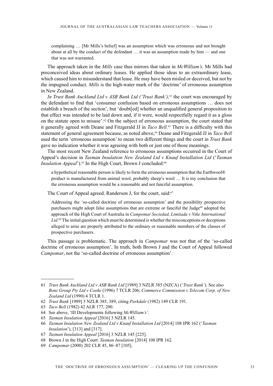complaining … [Mr Mills's belief] was an assumption which was erroneous and not brought about at all by the conduct of the defendant … it was an assumption made by him — and one that was not warranted.

The approach taken in the *Mills* case thus mirrors that taken in *McWilliam's*. Mr Mills had preconceived ideas about ordinary leases. He applied those ideas to an extraordinary lease, which caused him to misunderstand that lease. He may have been misled or deceived, but not by the impugned conduct. *Mills* is the high-water mark of the 'doctrine' of erroneous assumption in New Zealand.

*In Trust Bank Auckland Ltd v ASB Bank Ltd ('Trust Bank'),*61 the court was encouraged by the defendant to find that 'consumer confusion based on erroneous assumptions … does not establish a breach of the section', but 'doubt[ed] whether an unqualified general proposition to that effect was intended to be laid down and, if it were, would respectfully regard it as a gloss on the statute open to misuse'.62 On the subject of erroneous assumption, the court stated that it generally agreed with Deane and Fitzgerald JJ in *Taco Bell.*63 There is a difficulty with this statement of general agreement because, as noted above,64 Deane and Fitzgerald JJ in *Taco Bell*  used the term 'erroneous assumption' to mean two different things and the court in *Trust Bank*  gave no indication whether it was agreeing with both or just one of those meanings.

The most recent New Zealand reference to erroneous assumptions occurred in the Court of Appeal's decision in *Tasman Insulation New Zealand Ltd v Knauf Installation Ltd* ('*Tasman Insulation Appeal*').<sup>65</sup> In the High Court, Brown J concluded:<sup>66</sup>

a hypothetical reasonable person is likely to form the erroneous assumption that the Earthwool® product is manufactured from animal wool, probably sheep's wool … It is my conclusion that the erroneous assumption would be a reasonable and not fanciful assumption.

The Court of Appeal agreed. Randerson J, for the court, said:<sup>67</sup>

Addressing the 'so-called doctrine of erroneous assumption' and the possibility prospective purchasers might adopt false assumptions that are extreme or fanciful the Judge<sup>68</sup> adopted the approach of the High Court of Australia in *Campomar Sociedad, Limitada v Nike International Ltd.*69 The initial question which must be determined is whether the misconceptions or deceptions alleged to arise are properly attributed to the ordinary or reasonable members of the classes of prospective purchasers.

This passage is problematic. The approach in *Campomar* was not that of the 'so-called doctrine of erroneous assumption'. In truth, both Brown J and the Court of Appeal followed *Campomar*, not the 'so-called doctrine of erroneous assumption'.

<sup>61</sup> *Trust Bank Auckland Ltd v ASB Bank Ltd* [1989] 3 NZLR 385 (NZCA) ('*Trust Bank'*). See also *Bonz Group Pty Ltd v Cooke* (1996) 7 TCLR 206; *Commerce Commission v Telecom Corp. of New Zealand Ltd* (1990) 4 TCLR 1.

<sup>62</sup> *Trust Bank* [1989] 3 NZLR 385, 389, citing *Parkdale* (1982) 149 CLR 191.

<sup>63</sup> *Taco Bell* (1982) 42 ALR 177, 200.

<sup>64</sup> See above, 'III Developments following *McWilliam's'.*

<sup>65</sup> *Tasman Insulation Appeal* [2016] 3 NZLR 145.

<sup>66</sup> *Tasman Insulation New Zealand Ltd v Knauf Installation Ltd* [2014] 108 IPR 162 ('*Tasman Insulation*'), [313] and [317].

<sup>67</sup> *Tasman Insulation Appeal* [2016] 3 NZLR 145 [225].

<sup>68</sup> Brown J in the High Court: *Tasman Insulation* [2014] 108 IPR 162.

<sup>69</sup> *Campomar* (2000) 202 CLR 45, 86–87 [105].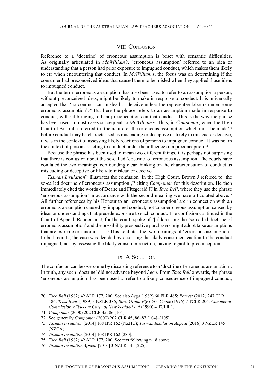## VIII CONFUSION

Reference to a 'doctrine' of erroneous assumption is beset with semantic difficulties. As originally articulated in *McWilliam's*, 'erroneous assumption' referred to an idea or understanding that a person had prior exposure to impugned conduct, which makes them likely to err when encountering that conduct. In *McWilliam's*, the focus was on determining if the consumer had preconceived ideas that caused them to be misled when they applied those ideas to impugned conduct.

But the term 'erroneous assumption' has also been used to refer to an assumption a person, without preconceived ideas, might be likely to make in response to conduct. It is universally accepted that 'no conduct can mislead or deceive unless the representee labours under some erroneous assumption'.70 But here the phrase refers to an assumption made in response to conduct, without bringing to bear preconceptions on that conduct. This is the way the phrase has been used in most cases subsequent to *McWilliam's.* Thus, in *Campomar*, when the High Court of Australia referred to 'the nature of the erroneous assumption which must be made'71 before conduct may be characterised as misleading or deceptive or likely to mislead or deceive, it was in the context of assessing likely reactions of persons to impugned conduct. It was not in the context of persons reacting to conduct under the influence of a preconception.<sup>72</sup>

Because the phrase has been used to mean two different things, it is perhaps not surprising that there is confusion about the so-called 'doctrine' of erroneous assumption. The courts have conflated the two meanings, confounding clear thinking on the characterisation of conduct as misleading or deceptive or likely to mislead or deceive.

*Tasman Insulation*<sup>73</sup> illustrates the confusion. In the High Court, Brown J referred to 'the so-called doctrine of erroneous assumption',74 citing *Campomar* for this description. He then immediately cited the words of Deane and Fitzgerald JJ in *Taco Bell*, where they use the phrase 'erroneous assumption' in accordance with the second meaning we have articulated above.75 All further references by his Honour to an 'erroneous assumption' are in connection with an erroneous assumption caused by impugned conduct, not to an erroneous assumption caused by ideas or understandings that precede exposure to such conduct. The confusion continued in the Court of Appeal. Randerson J, for the court, spoke of '[a]ddressing the 'so-called doctrine of erroneous assumption' and the possibility prospective purchasers might adopt false assumptions that are extreme or fanciful …'.76 This conflates the two meanings of 'erroneous assumption'. In both courts, the case was decided by assessing the likely consumer reaction to the conduct impugned, not by assessing the likely consumer reaction, having regard to preconceptions.

## IX A Solution

The confusion can be overcome by discarding reference to a 'doctrine of erroneous assumption'. In truth, any such 'doctrine' did not advance beyond *Lego.* From *Taco Bell* onwards, the phrase 'erroneous assumption' has been used to refer to a likely consequence of impugned conduct,

<sup>70</sup> *Taco Bell* (1982) 42 ALR 177, 200; See also *Lego* (1982) 60 FLR 465; *Forrest* (2012) 247 CLR 486; *Trust Bank* [1989] 3 NZLR 385; *Bonz Group Pty Ltd v Cooke* (1996) 7 TCLR 206; *Commerce Commission v Telecom Corp. of New Zealand Ltd* (1990) 4 TCLR 1.

<sup>71</sup> *Campomar* (2000) 202 CLR 45, 86 [104].

<sup>72</sup> See generally *Campomar* (2000) 202 CLR 45, 86–87 [104]–[105].

<sup>73</sup> *Tasman Insulation* [2014] 108 IPR 162 (NZHC); *Tasman Insulation Appeal* [2016] 3 NZLR 145 (NZCA).

<sup>74</sup> *Tasman Insulation* [2014] 108 IPR 162 [280].

<sup>75</sup> *Taco Bell* (1982) 42 ALR 177, 200. See text following n 18 above.

<sup>76</sup> *Tasman Insulation Appeal* [2016] 3 NZLR 145 [225].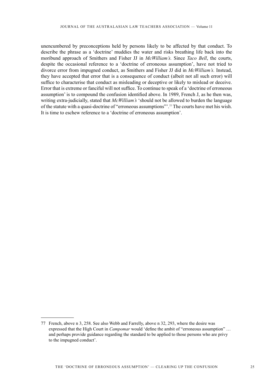unencumbered by preconceptions held by persons likely to be affected by that conduct. To describe the phrase as a 'doctrine' muddies the water and risks breathing life back into the moribund approach of Smithers and Fisher JJ in *McWilliam's.* Since *Taco Bell*, the courts, despite the occasional reference to a 'doctrine of erroneous assumption', have not tried to divorce error from impugned conduct, as Smithers and Fisher JJ did in *McWilliam's.* Instead, they have accepted that error that is a consequence of conduct (albeit not all such error) will suffice to characterise that conduct as misleading or deceptive or likely to mislead or deceive. Error that is extreme or fanciful will not suffice. To continue to speak of a 'doctrine of erroneous assumption' is to compound the confusion identified above. In 1989, French J, as he then was, writing extra-judicially, stated that *McWilliam's* 'should not be allowed to burden the language of the statute with a quasi-doctrine of "erroneous assumptions"'.77 The courts have met his wish. It is time to eschew reference to a 'doctrine of erroneous assumption'.

<sup>77</sup> French, above n 3, 258. See also Webb and Farrelly, above n 32, 293, where the desire was expressed that the High Court in *Campomar* would 'define the ambit of "erroneous assumption" … and perhaps provide guidance regarding the standard to be applied to those persons who are privy to the impugned conduct'.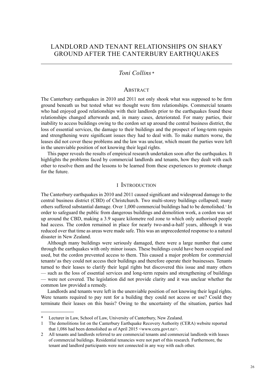# LANDLORD AND TENANT RELATIONSHIPS ON SHAKY GROUND AFTER THE CANTERBURY EARTHQUAKES

## *Toni Collins \**

#### **ABSTRACT**

The Canterbury earthquakes in 2010 and 2011 not only shook what was supposed to be firm ground beneath us but tested what we thought were firm relationships. Commercial tenants who had enjoyed good relationships with their landlords prior to the earthquakes found these relationships changed afterwards and, in many cases, deteriorated. For many parties, their inability to access buildings owing to the cordon set up around the central business district, the loss of essential services, the damage to their buildings and the prospect of long-term repairs and strengthening were significant issues they had to deal with. To make matters worse, the leases did not cover these problems and the law was unclear, which meant the parties were left in the unenviable position of not knowing their legal rights.

This paper reveals the results of empirical research undertaken soon after the earthquakes. It highlights the problems faced by commercial landlords and tenants, how they dealt with each other to resolve them and the lessons to be learned from these experiences to promote change for the future.

## I Introduction

The Canterbury earthquakes in 2010 and 2011 caused significant and widespread damage to the central business district (CBD) of Christchurch. Two multi-storey buildings collapsed; many others suffered substantial damage. Over 1,000 commercial buildings had to be demolished.<sup>1</sup> In order to safeguard the public from dangerous buildings and demolition work, a cordon was set up around the CBD, making a 3.9 square kilometre red zone to which only authorised people had access. The cordon remained in place for nearly two-and-a-half years, although it was reduced over that time as areas were made safe. This was an unprecedented response to a natural disaster in New Zealand.

Although many buildings were seriously damaged, there were a large number that came through the earthquakes with only minor issues. These buildings could have been occupied and used, but the cordon prevented access to them. This caused a major problem for commercial tenants2 as they could not access their buildings and therefore operate their businesses. Tenants turned to their leases to clarify their legal rights but discovered this issue and many others — such as the loss of essential services and long-term repairs and strengthening of buildings — were not covered. The legislation did not provide clarity and it was unclear whether the common law provided a remedy.

Landlords and tenants were left in the unenviable position of not knowing their legal rights. Were tenants required to pay rent for a building they could not access or use? Could they terminate their leases on this basis? Owing to the uncertainty of the situation, parties had

<sup>\*</sup> Lecturer in Law, School of Law, University of Canterbury, New Zealand.

<sup>1</sup> The demolitions list on the Canterbury Earthquake Recovery Authority (CERA) website reported that 1,086 had been demolished as of April 2015 <www.cera.govt.nz>.

<sup>2</sup> All tenants and landlords referred to are commercial tenants and commercial landlords with leases of commercial buildings. Residential tenancies were not part of this research. Furthermore, the tenant and landlord participants were not connected in any way with each other.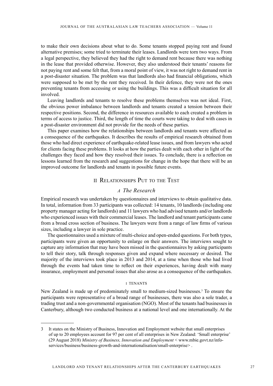to make their own decisions about what to do. Some tenants stopped paying rent and found alternative premises; some tried to terminate their leases. Landlords were torn two ways. From a legal perspective, they believed they had the right to demand rent because there was nothing in the lease that provided otherwise. However, they also understood their tenants' reasons for not paying rent and some felt that, from a moral point of view, it was not right to demand rent in a post-disaster situation. The problem was that landlords also had financial obligations, which were supposed to be met by the rent they received. In their defence, they were not the ones preventing tenants from accessing or using the buildings. This was a difficult situation for all involved.

Leaving landlords and tenants to resolve these problems themselves was not ideal. First, the obvious power imbalance between landlords and tenants created a tension between their respective positions. Second, the difference in resources available to each created a problem in terms of access to justice. Third, the length of time the courts were taking to deal with cases in a post-disaster environment did not provide for the needs of these parties.

This paper examines how the relationships between landlords and tenants were affected as a consequence of the earthquakes. It describes the results of empirical research obtained from those who had direct experience of earthquake-related lease issues, and from lawyers who acted for clients facing these problems. It looks at how the parties dealt with each other in light of the challenges they faced and how they resolved their issues. To conclude, there is a reflection on lessons learned from the research and suggestions for change in the hope that there will be an improved outcome for landlords and tenants in possible future events.

## II Relationships Put to the Test

## *A The Research*

Empirical research was undertaken by questionnaires and interviews to obtain qualitative data. In total, information from 33 participants was collected: 14 tenants, 10 landlords (including one property manager acting for landlords) and 11 lawyers who had advised tenants and/or landlords who experienced issues with their commercial leases. The landlord and tenant participants came from a broad cross section of business. The lawyers were from a range of law firms of various sizes, including a lawyer in sole practice.

The questionnaires used a mixture of multi-choice and open-ended questions. For both types, participants were given an opportunity to enlarge on their answers. The interviews sought to capture any information that may have been missed in the questionnaires by asking participants to tell their story, talk through responses given and expand where necessary or desired. The majority of the interviews took place in 2013 and 2014, at a time when those who had lived through the events had taken time to reflect on their experiences, having dealt with many insurance, employment and personal issues that also arose as a consequence of the earthquakes.

#### I TENANTS

New Zealand is made up of predominately small to medium-sized businesses.<sup>3</sup> To ensure the participants were representative of a broad range of businesses, there was also a sole trader, a trading trust and a non-governmental organisation (NGO). Most of the tenants had businesses in Canterbury, although two conducted business at a national level and one internationally. At the

<sup>3</sup> It states on the Ministry of Business, Innovation and Employment website that small enterprises of up to 20 employees account for 97 per cent of all enterprises in New Zealand: 'Small enterprise' (29 August 2018) *Ministry of Business, Innovation and Employment* < www.mbie.govt.nz/infoservices/business/business-growth-and-internationalisation/small-enterprise> .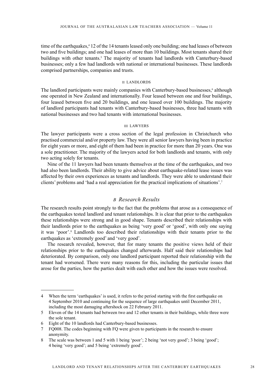time of the earthquakes,<sup>4</sup> 12 of the 14 tenants leased only one building; one had leases of between two and five buildings; and one had leases of more than 10 buildings. Most tenants shared their buildings with other tenants.<sup>5</sup> The majority of tenants had landlords with Canterbury-based businesses; only a few had landlords with national or international businesses. These landlords comprised partnerships, companies and trusts.

#### II LANDLORDS

The landlord participants were mainly companies with Canterbury-based businesses,<sup>6</sup> although one operated in New Zealand and internationally. Four leased between one and four buildings, four leased between five and 20 buildings, and one leased over 100 buildings. The majority of landlord participants had tenants with Canterbury-based businesses, three had tenants with national businesses and two had tenants with international businesses.

#### III LAWYERS

The lawyer participants were a cross section of the legal profession in Christchurch who practised commercial and/or property law. They were all senior lawyers having been in practice for eight years or more, and eight of them had been in practice for more than 20 years. One was a sole practitioner. The majority of the lawyers acted for both landlords and tenants, with only two acting solely for tenants.

Nine of the 11 lawyers had been tenants themselves at the time of the earthquakes, and two had also been landlords. Their ability to give advice about earthquake-related lease issues was affected by their own experiences as tenants and landlords. They were able to understand their clients' problems and 'had a real appreciation for the practical implications of situations'.7

### *B Research Results*

The research results point strongly to the fact that the problems that arose as a consequence of the earthquakes tested landlord and tenant relationships. It is clear that prior to the earthquakes these relationships were strong and in good shape. Tenants described their relationships with their landlords prior to the earthquakes as being 'very good' or 'good', with only one saying it was 'poor'.8 Landlords too described their relationships with their tenants prior to the earthquakes as 'extremely good' and 'very good'.

The research revealed, however, that for many tenants the positive views held of their relationships prior to the earthquakes changed afterwards. Half said their relationships had deteriorated. By comparison, only one landlord participant reported their relationship with the tenant had worsened. There were many reasons for this, including the particular issues that arose for the parties, how the parties dealt with each other and how the issues were resolved.

<sup>4</sup> When the term 'earthquakes' is used, it refers to the period starting with the first earthquake on 4 September 2010 and continuing for the sequence of large earthquakes until December 2011, including the most damaging aftershock on 22 February 2011.

<sup>5</sup> Eleven of the 14 tenants had between two and 12 other tenants in their buildings, while three were the sole tenant.

<sup>6</sup> Eight of the 10 landlords had Canterbury-based businesses.

<sup>7</sup> FQ008. The codes beginning with FQ were given to participants in the research to ensure anonymity.

<sup>8</sup> The scale was between 1 and 5 with 1 being 'poor'; 2 being 'not very good'; 3 being 'good'; 4 being 'very good'; and 5 being 'extremely good'.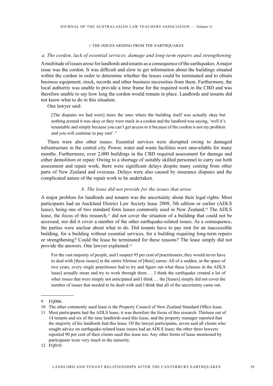#### I THE ISSUES ARISING FROM THE EARTHQUAKES

#### *a. The cordon, lack of essential services, damage and long-term repairs and strengthening*

A multitude of issues arose for landlords and tenants as a consequence of the earthquakes. A major issue was the cordon. It was difficult and slow to get information about the buildings situated within the cordon in order to determine whether the leases could be terminated and to obtain business equipment, stock, records and other business necessities from them. Furthermore, the local authority was unable to provide a time frame for the required work in the CBD and was therefore unable to say how long the cordon would remain in place. Landlords and tenants did not know what to do in this situation.

One lawyer said:

[The disputes we had were] more the ones where the building itself was actually okay but nothing around it was okay or they were stuck in a cordon and the landlord was saying, 'well it's tenantable and simply because you can't get access to it because of the cordon is not my problem and you will continue to pay rent'. 9

There were also other issues. Essential services were disrupted owing to damaged infrastructure in the central city. Power, water and waste facilities were unavailable for many months. Furthermore, over 2,000 buildings in the CBD required assessment for damage and either demolition or repair. Owing to a shortage of suitably skilled personnel to carry out both assessment and repair work, there were significant delays despite many coming from other parts of New Zealand and overseas. Delays were also caused by insurance disputes and the complicated nature of the repair work to be undertaken.

#### *b. The lease did not provide for the issues that arose*

A major problem for landlords and tenants was the uncertainty about their legal rights. Most participants had an Auckland District Law Society lease 2008, 5th edition or earlier (ADLS lease), being one of two standard form leases commonly used in New Zealand.10 The ADLS lease, the focus of this research,<sup>11</sup> did not cover the situation of a building that could not be accessed, nor did it cover a number of the other earthquake-related issues. As a consequence, the parties were unclear about what to do. Did tenants have to pay rent for an inaccessible building, for a building without essential services, for a building requiring long-term repairs or strengthening? Could the lease be terminated for these reasons? The lease simply did not provide the answers. One lawyer explained:12

For the vast majority of people, and I suspect 95 per cent of practitioners, they would never have to deal with [these issues] in the entire lifetime of [their] career. All of a sudden, in the space of two years, every single practitioner had to try and figure out what these [clauses in the ADLS lease] actually mean and try to work through them … I think the earthquake created a lot of other issues that were simply not anticipated and I think … the [leases] simply did not cover the number of issues that needed to be dealt with and I think that all of the uncertainty came out.

<sup>9</sup> FQ006.

<sup>10</sup> The other commonly used lease is the Property Council of New Zealand Standard Office lease.

<sup>11</sup> Most participants had the ADLS lease; it was therefore the focus of this research. Thirteen out of 14 tenants and six of the nine landlords used this lease, and the property manager reported that the majority of his landlords had this lease. Of the lawyer participants, seven said all clients who sought advice on earthquake-related lease issues had an ADLS lease; the other three lawyers reported 90 per cent of their clients used this lease too. Any other forms of lease mentioned by participants were very much in the minority.

<sup>12</sup> FQ010.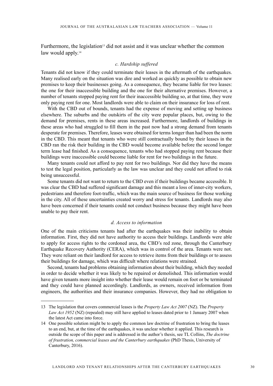Furthermore, the legislation<sup>13</sup> did not assist and it was unclear whether the common law would apply.<sup>14</sup>

#### *c. Hardship suffered*

Tenants did not know if they could terminate their leases in the aftermath of the earthquakes. Many realised early on the situation was dire and worked as quickly as possible to obtain new premises to keep their businesses going. As a consequence, they became liable for two leases: the one for their inaccessible building and the one for their alternative premises. However, a number of tenants stopped paying rent for their inaccessible building so, at that time, they were only paying rent for one. Most landlords were able to claim on their insurance for loss of rent.

With the CBD out of bounds, tenants had the expense of moving and setting up business elsewhere. The suburbs and the outskirts of the city were popular places, but, owing to the demand for premises, rents in these areas increased. Furthermore, landlords of buildings in these areas who had struggled to fill them in the past now had a strong demand from tenants desperate for premises. Therefore, leases were obtained for terms longer than had been the norm in the CBD. This meant that tenants who were still contractually bound by their leases in the CBD ran the risk their building in the CBD would become available before the second longer term lease had finished. As a consequence, tenants who had stopped paying rent because their buildings were inaccessible could become liable for rent for two buildings in the future.

Many tenants could not afford to pay rent for two buildings. Nor did they have the means to test the legal position, particularly as the law was unclear and they could not afford to risk being unsuccessful.

Some tenants did not want to return to the CBD even if their buildings became accessible. It was clear the CBD had suffered significant damage and this meant a loss of inner-city workers, pedestrians and therefore foot-traffic, which was the main source of business for those working in the city. All of these uncertainties created worry and stress for tenants. Landlords may also have been concerned if their tenants could not conduct business because they might have been unable to pay their rent.

### *d. Access to information*

One of the main criticisms tenants had after the earthquakes was their inability to obtain information. First, they did not have authority to access their buildings. Landlords were able to apply for access rights to the cordoned area, the CBD's red zone, through the Canterbury Earthquake Recovery Authority (CERA), which was in control of the area. Tenants were not. They were reliant on their landlord for access to retrieve items from their buildings or to assess their buildings for damage, which was difficult where relations were strained.

Second, tenants had problems obtaining information about their building, which they needed in order to decide whether it was likely to be repaired or demolished. This information would have given tenants more insight into whether their lease would remain on foot or be terminated and they could have planned accordingly. Landlords, as owners, received information from engineers, the authorities and their insurance companies. However, they had no obligation to

<sup>13</sup> The legislation that covers commercial leases is the *Property Law Act 2007* (NZ). The *Property Law Act 1952* (NZ) (repealed) may still have applied to leases dated prior to 1 January 2007 when the latest Act came into force.

<sup>14</sup> One possible solution might be to apply the common law doctrine of frustration to bring the leases to an end, but, at the time of the earthquakes, it was unclear whether it applied. This research is outside the scope of this paper and is addressed in the author's thesis, see TL Collins, *The doctrine of frustration, commercial leases and the Canterbury earthquakes* (PhD Thesis, University of Canterbury, 2016).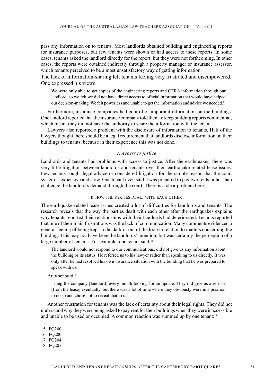pass any information on to tenants. Most landlords obtained building and engineering reports for insurance purposes, but few tenants were shown or had access to these reports. In some cases, tenants asked the landlord directly for the report, but they were not forthcoming. In other cases, the reports were obtained indirectly through a property manager or insurance assessor, which tenants perceived to be a most unsatisfactory way of getting information.

The lack of information-sharing left tenants feeling very frustrated and disempowered. One expressed his views:

We were only able to get copies of the engineering reports and CERA information through our landlord, so we felt we did not have direct access to official information that would have helped our decision-making. We felt powerless and unable to get the information and advice we needed.<sup>15</sup>

Furthermore, insurance companies had control of important information on the buildings. One landlord reported that the insurance company told them to keep building reports confidential, which meant they did not have the authority to share the information with the tenant.

Lawyers also reported a problem with the disclosure of information to tenants. Half of the lawyers thought there should be a legal requirement that landlords disclose information on their buildings to tenants, because in their experience this was not done.

#### *e. Access to justice*

Landlords and tenants had problems with access to justice. After the earthquakes, there was very little litigation between landlords and tenants over their earthquake-related lease issues. Few tenants sought legal advice or considered litigation for the simple reason that the court system is expensive and slow. One tenant even said it was prepared to pay two rents rather than challenge the landlord's demand through the court. There is a clear problem here.

#### II HOW THE PARTIES DEALT WITH EACH OTHER

The earthquake-related lease issues created a lot of difficulties for landlords and tenants. The research reveals that the way the parties dealt with each other after the earthquakes explains why tenants reported their relationships with their landlords had deteriorated. Tenants reported that one of their main frustrations was the lack of communication. Many comments evidenced a general feeling of being kept in the dark or out of the loop in relation to matters concerning the building. This may not have been the landlords' intention, but was certainly the perception of a large number of tenants. For example, one tenant said:<sup>16</sup>

The landlord would not respond to our communications, did not give us any information about the building or its status. He referred us to his lawyer rather than speaking to us directly. It was only after he had resolved his own insurance situation with the building that he was prepared to speak with us.

Another said:<sup>17</sup>

I rang the company [landlord] every month looking for an update. They did give us a release [from the lease] eventually, but there was a lot of time where they obviously were in a position to do so and chose not to reveal that to us.

Another frustration for tenants was the lack of certainty about their legal rights. They did not understand why they were being asked to pay rent for their buildings when they were inaccessible and unable to be used or occupied. A common reaction was summed up by one tenant:18

<sup>15</sup> FQ200.

<sup>16</sup> FQ200.

<sup>17</sup> FQ204.

<sup>18</sup> FQ207.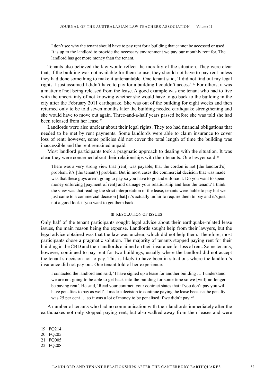I don't see why the tenant should have to pay rent for a building that cannot be accessed or used. It is up to the landlord to provide the necessary environment we pay our monthly rent for. The landlord has got more money than the tenant.

Tenants also believed the law would reflect the morality of the situation. They were clear that, if the building was not available for them to use, they should not have to pay rent unless they had done something to make it untenantable. One tenant said, 'I did not find out my legal rights. I just assumed I didn't have to pay for a building I couldn't access'.19 For others, it was a matter of not being released from the lease. A good example was one tenant who had to live with the uncertainty of not knowing whether she would have to go back to the building in the city after the February 2011 earthquake. She was out of the building for eight weeks and then returned only to be told seven months later the building needed earthquake strengthening and she would have to move out again. Three-and-a-half years passed before she was told she had been released from her lease.<sup>20</sup>

Landlords were also unclear about their legal rights. They too had financial obligations that needed to be met by rent payments. Some landlords were able to claim insurance to cover loss of rent; however, some policies did not cover the total length of time the building was inaccessible and the rent remained unpaid.

Most landlord participants took a pragmatic approach to dealing with the situation. It was clear they were concerned about their relationships with their tenants. One lawyer said:21

There was a very strong view that [rent] was payable; that the cordon is not [the landlord's] problem, it's [the tenant's] problem. But in most cases the commercial decision that was made was that these guys aren't going to pay so you have to go and enforce it. Do you want to spend money enforcing [payment of rent] and damage your relationship and lose the tenant? I think the view was that reading the strict interpretation of the lease, tenants were liable to pay but we just came to a commercial decision [that] it's actually unfair to require them to pay and it's just not a good look if you want to get them back.

#### III RESOLUTION OF ISSUES

Only half of the tenant participants sought legal advice about their earthquake-related lease issues, the main reason being the expense. Landlords sought help from their lawyers, but the legal advice obtained was that the law was unclear, which did not help them. Therefore, most participants chose a pragmatic solution. The majority of tenants stopped paying rent for their building in the CBD and their landlords claimed on their insurance for loss of rent. Some tenants, however, continued to pay rent for two buildings, usually where the landlord did not accept the tenant's decision not to pay. This is likely to have been in situations where the landlord's insurance did not pay out. One tenant told of her experience:

I contacted the landlord and said, 'I have signed up a lease for another building … I understand we are not going to be able to get back into the building for some time so we [will] no longer be paying rent'. He said, 'Read your contract; your contract states that if you don't pay you will have penalties to pay as well'. I made a decision to continue paying the lease because the penalty was 25 per cent ... so it was a lot of money to be penalised if we didn't pay.<sup>22</sup>

A number of tenants who had no communication with their landlords immediately after the earthquakes not only stopped paying rent, but also walked away from their leases and were

<sup>19</sup> FQ214.

<sup>20</sup> FQ205.

<sup>21</sup> FQ005.

<sup>22</sup> FQ208.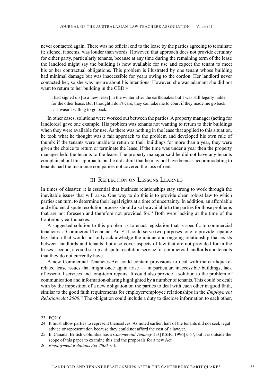never contacted again. There was no official end to the lease by the parties agreeing to terminate it; silence, it seems, was louder than words. However, that approach does not provide certainty for either party, particularly tenants, because at any time during the remaining term of the lease the landlord might say the building is now available for use and expect the tenant to meet his or her contractual obligations. This problem is illustrated by one tenant whose building had minimal damage but was inaccessible for years owing to the cordon. Her landlord never contacted her, so she was unsure about his intentions. However, she was adamant she did not want to return to her building in the CBD:<sup>23</sup>

I had signed up [to a new lease] in the winter after the earthquakes but I was still legally liable for the other lease. But I thought I don't care, they can take me to court if they made me go back … I wasn't willing to go back.

In other cases, solutions were worked out between the parties. A property manager (acting for landlords) gave one example. His problem was tenants not wanting to return to their buildings when they were available for use. As there was nothing in the lease that applied to this situation, he took what he thought was a fair approach to the problem and developed his own rule of thumb: if the tenants were unable to return to their buildings for more than a year, they were given the choice to return or terminate the lease; if the time was under a year then the property manager held the tenants to the lease. The property manager said he did not have any tenants complain about this approach, but he did admit that he may not have been as accommodating to tenants had the insurance companies not covered the loss of rent.

## III Reflection on Lessons Learned

In times of disaster, it is essential that business relationships stay strong to work through the inevitable issues that will arise. One way to do this is to provide clear, robust law to which parties can turn, to determine their legal rights at a time of uncertainty. In addition, an affordable and efficient dispute resolution process should also be available to the parties for those problems that are not foreseen and therefore not provided for.24 Both were lacking at the time of the Canterbury earthquakes.

A suggested solution to this problem is to enact legislation that is specific to commercial tenancies: a Commercial Tenancies Act.25 It could serve two purposes: one to provide separate legislation that would not only acknowledge the unique and ongoing relationship that exists between landlords and tenants, but also cover aspects of law that are not provided for in the leases; second, it could set up a dispute resolution service for commercial landlords and tenants that they do not currently have.

A new Commercial Tenancies Act could contain provisions to deal with the earthquakerelated lease issues that might once again arise — in particular, inaccessible buildings, lack of essential services and long-term repairs. It could also provide a solution to the problem of communication and information-sharing highlighted by a number of tenants. This could be dealt with by the imposition of a new obligation on the parties to deal with each other in good faith, similar to the good faith requirements for employer/employee relationships in the *Employment Relations Act 2000*. 26 The obligation could include a duty to disclose information to each other,

<sup>23</sup> FQ210.

<sup>24</sup> It must allow parties to represent themselves. As noted earlier, half of the tenants did not seek legal advice or representation because they could not afford the cost of a lawyer.

<sup>25</sup> In Canada, British Columbia has a *Commercial Tenancy Act* [RSBC 1996] c 57, but it is outside the scope of this paper to examine this and the proposals for a new Act.

<sup>26</sup> *Employment Relations Act 2000*, s 4.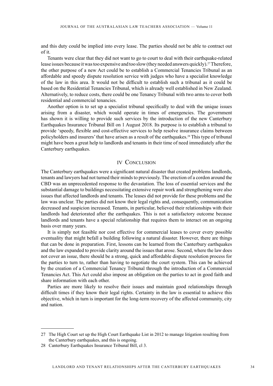and this duty could be implied into every lease. The parties should not be able to contract out of it.

Tenants were clear that they did not want to go to court to deal with their earthquake-related lease issues because it was too expensive and too slow (they needed answers quickly).<sup>27</sup> Therefore, the other purpose of a new Act could be to establish a Commercial Tenancies Tribunal as an affordable and speedy dispute resolution service with judges who have a specialist knowledge of the law in this area. It would not be difficult to establish such a tribunal as it could be based on the Residential Tenancies Tribunal, which is already well established in New Zealand. Alternatively, to reduce costs, there could be one Tenancy Tribunal with two arms to cover both residential and commercial tenancies.

Another option is to set up a specialist tribunal specifically to deal with the unique issues arising from a disaster, which would operate in times of emergencies. The government has shown it is willing to provide such services by the introduction of the new Canterbury Earthquakes Insurance Tribunal Bill on 1 August 2018. Its purpose is to establish a tribunal to provide 'speedy, flexible and cost-effective services to help resolve insurance claims between policyholders and insurers' that have arisen as a result of the earthquakes.28 This type of tribunal might have been a great help to landlords and tenants in their time of need immediately after the Canterbury earthquakes.

## IV CONCLUSION

The Canterbury earthquakes were a significant natural disaster that created problems landlords, tenants and lawyers had not turned their minds to previously. The erection of a cordon around the CBD was an unprecedented response to the devastation. The loss of essential services and the substantial damage to buildings necessitating extensive repair work and strengthening were also issues that affected landlords and tenants. The leases did not provide for these problems and the law was unclear. The parties did not know their legal rights and, consequently, communication decreased and suspicion increased. Tenants, in particular, believed their relationships with their landlords had deteriorated after the earthquakes. This is not a satisfactory outcome because landlords and tenants have a special relationship that requires them to interact on an ongoing basis over many years.

It is simply not feasible nor cost effective for commercial leases to cover every possible eventuality that might befall a building following a natural disaster. However, there are things that can be done in preparation. First, lessons can be learned from the Canterbury earthquakes and the law expanded to provide clarity around the issues that arose. Second, where the law does not cover an issue, there should be a strong, quick and affordable dispute resolution process for the parties to turn to, rather than having to negotiate the court system. This can be achieved by the creation of a Commercial Tenancy Tribunal through the introduction of a Commercial Tenancies Act. This Act could also impose an obligation on the parties to act in good faith and share information with each other.

Parties are more likely to resolve their issues and maintain good relationships through difficult times if they know their legal rights. Certainty in the law is essential to achieve this objective, which in turn is important for the long-term recovery of the affected community, city and nation.

<sup>27</sup> The High Court set up the High Court Earthquake List in 2012 to manage litigation resulting from the Canterbury earthquakes, and this is ongoing.

<sup>28</sup> Canterbury Earthquakes Insurance Tribunal Bill, cl 3.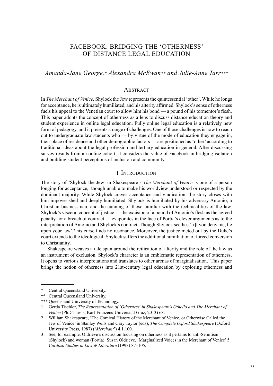# FACEBOOK: BRIDGING THE 'OTHERNESS' OF DISTANCE LEGAL EDUCATION

## *Amanda-Jane George,\* Alexandra McEwan\*\* and Julie-Anne Tarr\*\*\**

## **ABSTRACT**

In *The Merchant of Venice*, Shylock the Jew represents the quintessential 'other'. While he longs for acceptance, he is ultimately humiliated, and his alterity affirmed. Shylock's sense of otherness fuels his appeal to the Venetian court to allow him his bond — a pound of his tormentor's flesh. This paper adopts the concept of otherness as a lens to discuss distance education theory and student experience in online legal education. Fully online legal education is a relatively new form of pedagogy, and it presents a range of challenges. One of those challenges is how to reach out to undergraduate law students who — by virtue of the mode of education they engage in, their place of residence and other demographic factors — are positioned as 'other' according to traditional ideas about the legal profession and tertiary education in general. After discussing survey results from an online cohort, it considers the value of Facebook in bridging isolation and building student perceptions of inclusion and community.

## I Introduction

The story of 'Shylock the Jew' in Shakespeare's *The Merchant of Venice* is one of a person longing for acceptance,<sup>1</sup> though unable to make his worldview understood or respected by the dominant majority. While Shylock craves acceptance and vindication, the story closes with him impoverished and deeply humiliated. Shylock is humiliated by his adversary Antonio, a Christian businessman, and the cunning of those familiar with the technicalities of the law. Shylock's visceral concept of justice — the excision of a pound of Antonio's flesh as the agreed penalty for a breach of contract — evaporates in the face of Portia's clever arguments as to the interpretation of Antonio and Shylock's contract. Though Shylock seethes '[i]f you deny me, fie upon your law',<sup>2</sup> his curse finds no resonance. Moreover, the justice meted out by the Duke's court extends to the ideological: Shylock suffers the additional humiliation of forced conversion to Christianity.

Shakespeare weaves a tale spun around the reification of alterity and the role of the law as an instrument of exclusion. Shylock's character is an emblematic representation of otherness. It opens to various interpretations and translates to other arenas of marginalisation.<sup>3</sup> This paper brings the notion of otherness into 21st-century legal education by exploring otherness and

Central Queensland University.

<sup>\*\*</sup> Central Queensland University.

<sup>\*\*\*</sup> Queensland University of Technology.

<sup>1</sup> Gerda Tischler, *The Representation of 'Otherness' in Shakespeare's Othello and The Merchant of Venice* (PhD Thesis, Karl-Franzens-Universität Graz, 2013) 68.

<sup>2</sup> William Shakespeare, 'The Comical History of the Merchant of Venice, or Otherwise Called the Jew of Venice' in Stanley Wells and Gary Taylor (eds), *The Complete Oxford Shakespeare* (Oxford University Press, 1987) ('*Merchant*') 4.1.100.

<sup>3</sup> See, for example, Oldrieve's discussion focusing on otherness as it pertains to anti-Semitism (Shylock) and woman (Portia): Susan Oldrieve, 'Marginalized Voices in the Merchant of Venice' 5 *Cardozo Studies in Law & Literature* (1993) 87–105.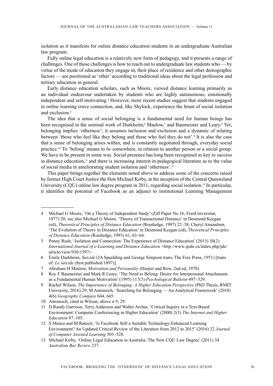isolation as it manifests for online distance education students in an undergraduate Australian law program.

Fully online legal education is a relatively new form of pedagogy, and it presents a range of challenges. One of those challenges is how to reach out to undergraduate law students who — by virtue of the mode of education they engage in, their place of residence and other demographic factors — are positioned as 'other' according to traditional ideas about the legal profession and tertiary education in general.

Early distance education scholars, such as Moore, viewed distance learning primarily as an individual endeavour undertaken by students who are highly autonomous, emotionally independent and self-motivating.<sup>4</sup> However, more recent studies suggest that students engaged in online learning crave connection, and, like Shylock, experience the brunt of social isolation and exclusion $5$ 

The idea that a sense of social belonging is a fundamental need for human beings has been recognised in the seminal work of Durkheim,<sup>6</sup> Maslow,<sup>7</sup> and Baumeister and Leary.<sup>8</sup> Yet, belonging implies 'otherness'; it assumes inclusion and exclusion and a dynamic of relating between 'those who feel like they belong and those who feel they do not'.<sup>9</sup> It is also the case that a sense of belonging arises within, and is constantly negotiated through, everyday social practice.10 To 'belong' means to *be* somewhere, in relation to another person or a social group. We have to be present in some way. Social presence has long been recognised as key to success in distance education, $\mathbf{u}_1$  and there is increasing interest in pedagogical literature as to the value of social media in ameliorating student isolation and 'otherness'.12

This paper brings together the elements noted above to address some of the concerns raised by former High Court Justice the Hon Michael Kirby, at the inception of the Central Queensland University (CQU) online law degree program in 2011, regarding social isolation.<sup>13</sup> In particular, it identifies the potential of Facebook as an adjunct to institutional Learning Management

10 Antonsich, cited in Wilson, above n 9, 29.

<sup>4</sup> Michael G Moore, 'On a Theory of Independent Study' (Ziff Paper No 16, FernUniversitat, 1977) 20; see also Michael G Moore, 'Theory of Transactional Distance' in Desmond Keegan (ed), *Theoretical Principles of Distance Education* (Routledge, 1997) 22–38; Cheryl Amundsen, 'The Evolution of Theory in Distance Education' in Desmond Keegan (ed), *Theoretical Principles of Distance Education* (Routledge, 1993) 61, 63–64.

<sup>5</sup> Penny Rush, 'Isolation and Connection: The Experience of Distance Education' (2015) 30(2) *International Journal of e-Learning and Distance Education* <http://www.ijede.ca/index.php/jde/ article/view/936/1597>.

<sup>6</sup> Èmile Durkheim, *Suicide* (JA Spaulding and George Simpson trans, The Free Press, 1951) [trans of: *Le suicide* (first published 1897)].

<sup>7</sup> Abraham H Maslow, *Motivation and Personality* (Harper and Row, 2nd ed, 1970).

<sup>8</sup> Roy F Baumeister and Mark R Leary, 'The Need to Belong: Desire for Interpersonal Attachments as a Fundamental Human Motivation' (1995) 117(3) *Psychological Bulletin* 497–529.

<sup>9</sup> Rachel Wilson, *The Importance of Belonging: A Higher Education Perspective* (PhD Thesis, RMIT) University, 2016) 29; M Antonsich, 'Searching for Belonging — An Analytical Framework' (2010) 4(6) *Geography Compass* 644, 645.

<sup>11</sup> D Randy Garrison, Terry Anderson and Walter Archer, 'Critical Inquiry in a Text-Based Environment: Computer Conferencing in Higher Education' (2000) 2(3) *The Internet and Higher Education* 87–105.

<sup>12</sup> S Manca and M Ranieri, 'Is Facebook Still a Suitable Technology-Enhanced Learning Environment? An Updated Critical Review of the Literature from 2012 to 2015' (2016) 32 *Journal of Computer Assisted Learning* 503–528.

<sup>13</sup> Michael Kirby, 'Online Legal Education in Australia: The New CQU Law Degree' (2011) 34 *Australian Bar Review* 237.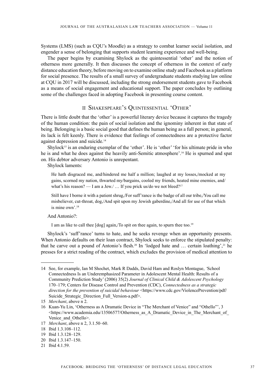Systems (LMS) (such as CQU's Moodle) as a strategy to combat learner social isolation, and engender a sense of belonging that supports student learning experience and well-being.

The paper begins by examining Shylock as the quintessential 'other' and the notion of otherness more generally. It then discusses the concept of otherness in the context of early distance education theory, before moving on to examine online study and Facebook as a platform for social presence. The results of a small survey of undergraduate students studying law online at CQU in 2017 will be discussed, including the strong endorsement students gave to Facebook as a means of social engagement and educational support. The paper concludes by outlining some of the challenges faced in adopting Facebook in presenting course content.

## II Shakespeare's Quintessential 'Other'

There is little doubt that the 'other' is a powerful literary device because it captures the tragedy of the human condition: the pain of social isolation and the ignominy inherent in that state of being. Belonging is a basic social good that defines the human being as a full person; in general, its lack is felt keenly. There is evidence that feelings of connectedness are a protective factor against depression and suicide.14

Shylock<sup>15</sup> is an enduring exemplar of the 'other'. He is 'other' 'for his ultimate pride in who he is and what he does against the heavily anti-Semitic atmosphere'.16 He is spurned and spat on. His debtor adversary Antonio is unrepentant.

Shylock laments:

He hath disgraced me, and/hindered me half a million; laughed at my losses,/mocked at my gains, scorned my nation, thwarted my/bargains, cooled my friends, heated mine enemies, and/ what's his reason? — I am a Jew.  $\ldots$  If you prick us do we not bleed?<sup>17</sup>

Still have I borne it with a patient shrug,/For suff'rance is the badge of all our tribe,/You call me misbeliever, cut-throat, dog,/And spit upon my Jewish gaberdine,/And all for use of that which is mine own'.18

#### And Antonio?:

I am as like to call thee  $\lceil \log \rceil$  again, To spit on thee again, to spurn thee too.<sup>19</sup>

Shylock's 'suff'rance' turns to hate, and he seeks revenge when an opportunity presents. When Antonio defaults on their loan contract, Shylock seeks to enforce the stipulated penalty: that he carve out a pound of Antonio's flesh.<sup>20</sup> In 'lodged hate and ... certain loathing',<sup>21</sup> he presses for a strict reading of the contract, which excludes the provision of medical attention to

<sup>14</sup> See, for example, Ian M Shochet, Mark R Dadds, David Ham and Roslyn Montague, *'*School Connectedness Is an Underemphasized Parameter in Adolescent Mental Health: Results of a Community Prediction Study' (2006) 35(2) *Journal of Clinical Child & Adolescent Psychology*  170–179; Centers for Disease Control and Prevention (CDC), *Connectedness as a strategic direction for the prevention of suicidal behaviour* <https://www.cdc.gov/ViolencePrevention/pdf/ Suicide Strategic Direction Full Version-a.pdf>.

<sup>15</sup> *Merchant*, above n 2.

<sup>16</sup> Kuan-Yu Lin, 'Otherness as A Dramatic Device in "The Merchant of Venice" and "Othello"', 3  $\lt$ https://www.academia.edu/13506577/Otherness\_as\_A\_Dramatic\_Device\_in\_The\_Merchant\_of Venice and Othello>.

<sup>17</sup> *Merchant*, above n 2, 3.1.50–60.

<sup>18</sup> Ibid 1.3.108–112.

<sup>19</sup> Ibid 1.3.128–129.

<sup>20</sup> Ibid 1.3.147–150.

<sup>21</sup> Ibid 4.1.59.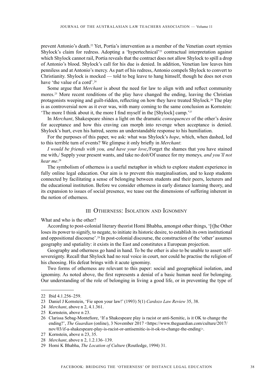prevent Antonio's death.22 Yet, Portia's intervention as a member of the Venetian court stymies Shylock's claim for redress. Adopting a 'hypertechnical'23 contractual interpretation against which Shylock cannot rail, Portia reveals that the contract does not allow Shylock to spill a drop of Antonio's blood. Shylock's call for his due is denied. In addition, Venetian law leaves him penniless and at Antonio's mercy. As part of his redress, Antonio compels Shylock to convert to Christianity. Shylock is mocked — told to beg leave to hang himself, though he does not even have 'the value of a cord'.<sup>24</sup>

Some argue that *Merchant* is about the need for law to align with and reflect community mores.25 More recent renditions of the play have changed the ending, leaving the Christian protagonists weeping and guilt-ridden, reflecting on how they have treated Shylock.26 The play is as controversial now as it ever was, with many coming to the same conclusion as Kornstein: 'The more I think about it, the more I find myself in the [Shylock] camp.'<sup>27</sup>

In *Merchant*, Shakespeare shines a light on the dramatic *consequences* of the other's desire for acceptance and how this craving can morph into revenge when acceptance is denied. Shylock's hurt, even his hatred, seems an understandable response to his humiliation.

For the purposes of this paper, we ask: what was Shylock's *hope*, which, when dashed, led to this terrible turn of events? We glimpse it only briefly in *Merchant*:

*I would be friends with you, and have your love*,/Forget the shames that you have stained me with,/ Supply your present wants, and take no doit/Of usance for my moneys*, and you'll not hear me*. 28

The symbolism of otherness is a useful metaphor in which to explore student experience in fully online legal education. Our aim is to prevent this marginalisation, and to keep students connected by facilitating a sense of belonging between students and their peers, lecturers and the educational institution. Before we consider otherness in early distance learning theory, and its expansion to issues of social presence, we tease out the dimensions of suffering inherent in the notion of otherness.

## III Otherness: Isolation and Ignominy

What and who is the other?

According to post-colonial literary theorist Homi Bhabha, amongst other things, '[t]he Other loses its power to signify, to negate, to initiate its historic desire, to establish its own institutional and oppositional discourse'.29 In post-colonial discourse, the construction of the 'other' assumes geography and spatiality: it exists in the East and constitutes a European projection.

Geography and otherness go hand in hand. To be the other is also to be unable to assert selfsovereignty. Recall that Shylock had no real voice in court, nor could he practise the religion of his choosing. His defeat brings with it acute ignominy.

Two forms of otherness are relevant to this paper: social and geographical isolation, and ignominy. As noted above, the first represents a denial of a basic human need for belonging. Our understanding of the role of belonging in living a good life, or in preventing the type of

<sup>22</sup> Ibid 4.1.256–259.

<sup>23</sup> Daniel J Kornstein, 'Fie upon your law!' (1993) 5(1) *Cardozo Law Review* 35, 38.

<sup>24</sup> *Merchant*, above n 2, 4.1.361.

<sup>25</sup> Kornstein, above n 23.

<sup>26</sup> Clarissa Sebag-Montefiore, 'If a Shakespeare play is racist or anti-Semitic, is it OK to change the ending?', *The Guardian* (online), 3 November 2017 <https://www.theguardian.com/culture/2017/ nov/03/if-a-shakespeare-play-is-racist-or-antisemitic-is-it-ok-to-change-the-ending>.

<sup>27</sup> Kornstein, above n 23, 35.

<sup>28</sup> *Merchant*, above n 2, 1.2.136–139.

<sup>29</sup> Homi K Bhabha, *The Location of Culture* (Routledge, 1994) 31.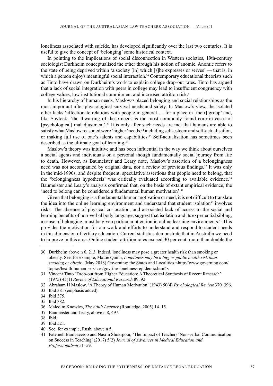loneliness associated with suicide, has developed significantly over the last two centuries. It is useful to give the concept of 'belonging' some historical context.

In pointing to the implications of social disconnection in Western societies, 19th-century sociologist Durkheim conceptualised the other through his notion of anomie. Anomie refers to the state of being deprived within 'a society [in] which [s]he expresses or serves' — that is, in which a person enjoys meaningful social interaction.<sup>30</sup> Contemporary educational theorists such as Tinto have drawn on Durkheim's work to explain college drop-out rates. Tinto has argued that a lack of social integration with peers in college may lead to insufficient congruency with college values, low institutional commitment and increased attrition risk.31

In his hierarchy of human needs, Maslow<sup>32</sup> placed belonging and social relationships as the most important after physiological survival needs and safety. In Maslow's view, the isolated other lacks 'affectionate relations with people in general … for a place in [their] group' and, like Shylock, 'the thwarting of these needs is the most commonly found core in cases of [psychological] maladjustment'.33 It is only after such needs are met that humans are able to satisfy what Maslow reasoned were 'higher' needs,<sup>34</sup> including self-esteem and self-actualisation, or making full use of one's talents and capabilities.<sup>35</sup> Self-actualisation has sometimes been described as the ultimate goal of learning.36

Maslow's theory was intuitive and has been influential in the way we think about ourselves a social agents and individuals on a personal though fundamentally social journey from life to death. However, as Baumeister and Leary note, Maslow's assertion of a belongingness need was not accompanied by original data, nor a review of previous findings.<sup>37</sup> It was only in the mid-1990s, and despite frequent, speculative assertions that people need to belong, that the 'belongingness hypothesis' was critically evaluated according to available evidence.<sup>38</sup> Baumeister and Leary's analysis confirmed that, on the basis of extant empirical evidence, the 'need to belong can be considered a fundamental human motivation'.39

Given that belonging is a fundamental human motivation or need, it is not difficult to translate the idea into the online learning environment and understand that student isolation<sup>40</sup> involves risks. The absence of physical co-location, and associated lack of access to the social and learning benefits of non-verbal body language, suggest that isolation and its experiential sibling, a sense of belonging, must be given particular attention in online learning environments.<sup>41</sup> This provides the motivation for our work and efforts to understand and respond to student needs in this dimension of tertiary education. Current statistics demonstrate that in Australia we need to improve in this area. Online student attrition rates exceed 30 per cent, more than double the

37 Baumeister and Leary, above n 8, 497.

40 See, for example, Rush, above n 5.

<sup>30</sup> Durkheim above n 6, 213. Indeed, loneliness may pose a greater health risk than smoking or obesity. See, for example, Mattie Quinn, *Loneliness may be a bigger public health risk than smoking or obesity* (May 2018) Governing: the States and Localities <http://www.governing.com/ topics/health-human-services/gov-the-loneliness-epidemic.html>.

<sup>31</sup> Vincent Tinto 'Drop-out from Higher Education: A Theoretical Synthesis of Recent Research' (1975) 45(1) *Review of Educational Research* 89, 92.

<sup>32</sup> Abraham H Maslow, 'A Theory of Human Motivation' (1943) 50(4) *Psychological Review* 370–396.

<sup>33</sup> Ibid 381 (emphasis added).

<sup>34</sup> Ibid 375.

<sup>35</sup> Ibid 382.

<sup>36</sup> Malcolm Knowles, *The Adult Learner* (Routledge, 2005) 14–15.

<sup>38</sup> Ibid.

<sup>39</sup> Ibid 521.

<sup>41</sup> Fatemeh Bambaeeroo and Nasrin Shokrpour, 'The Impact of Teachers' Non-verbal Communication on Success in Teaching' (2017) 5(2) *Journal of Advances in Medical Education and Professionalism* 51–59.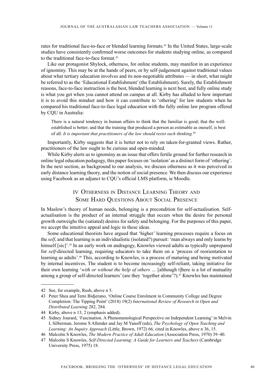rates for traditional face-to-face or blended learning formats.42 In the United States, large-scale studies have consistently confirmed worse outcomes for students studying online, as compared to the traditional face-to-face format.<sup>43</sup>

Like our protagonist Shylock, otherness, for online students, may manifest in an experience of ignominy. This may be at the hands of peers, or by self-judgement against traditional values about what tertiary education involves and its non-negotiable attributes — in short, what might be referred to as the 'Educational Establishment' (the Establishment). Surely, the Establishment reasons, face-to-face instruction is the best, blended learning is next best, and fully online study is what you get when you cannot attend on campus at all. Kirby has alluded to how important it is to avoid this mindset and how it can contribute to 'othering' for law students when he compared his traditional face-to-face legal education with the fully online law program offered by CQU in Australia:

There is a natural tendency in human affairs to think that the familiar is good; that the wellestablished is better; and that the training that produced a person as estimable as oneself, is best of all. *It is important that practitioners of the law should resist such thinking.*<sup>44</sup>

Importantly, Kirby suggests that it is better not to rely on taken-for-granted views. Rather, practitioners of the law ought to be curious and open-minded.

While Kirby alerts us to ignominy as an issue that offers fertile ground for further research in online legal education pedagogy, this paper focuses on 'isolation' as a distinct form of 'othering'. In the next section, as background to our analysis, we discuss otherness as it was perceived in early distance learning theory, and the notion of social presence. We then discuss our experience using Facebook as an adjunct to CQU's official LMS platform, ie Moodle.

# IV Otherness in Distance Learning Theory and Some Hard Questions About Social Presence

In Maslow's theory of human needs, belonging is a precondition for self-actualisation. Selfactualisation is the product of an internal struggle that occurs when the desire for personal growth outweighs the (satiated) desires for safety and belonging. For the purposes of this paper, we accept the intuitive appeal and logic in these ideas.

Some educational theorists have argued that 'higher' learning processes require a focus on the *self*, and that learning is an individualistic (isolated?) pursuit: 'man always and only learns by himself [sic]'.<sup>45</sup> In an early work on andragogy, Knowles viewed adults as typically unprepared for *self*-directed learning, requiring educators to take them on a 'process of reorientation to learning as adults'.46 This, according to Knowles, is a process of maturing and being motivated by internal incentives. The student is to become increasingly self-reliant, taking initiative for their own learning '*with or without the help of others …* [although t]here is a lot of mutuality among a group of self-directed learners' (are they 'together alone'?).<sup>47</sup> Knowles has maintained

<sup>42</sup> See, for example, Rush, above n 5.

<sup>43</sup> Peter Shea and Temi Bidjerano, 'Online Course Enrolment in Community College and Degree Completion: The Tipping Point' (2018) 19(2) *International Review of Research in Open and Distributed Learning* 282, 284.

<sup>44</sup> Kirby, above n 13, 2 (emphasis added).

<sup>45</sup> Sidney Jourard, 'Fascination. A Phenomenological Perspective on Independent Learning' in Melvin L Silberman, Jerome S Allender and Jay M Yanoff (eds), *The Psychology of Open Teaching and Learning: An Inquiry Approach* (Little, Brown, 1972) 66, cited in Knowles, above n 36, 15.

<sup>46</sup> Malcolm S Knowles, *The Modern Practice of Adult Education* (Association Press, 1970) 39–40.

<sup>47</sup> Malcolm S Knowles, *Self-Directed Learning: A Guide for Learners and Teachers* (Cambridge University Press, 1975) 18.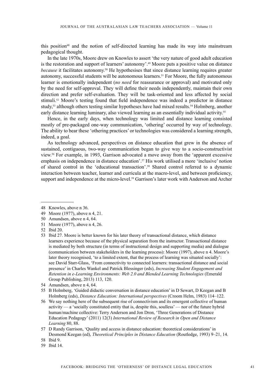this position<sup>48</sup> and the notion of self-directed learning has made its way into mainstream pedagogical thought.

In the late 1970s, Moore drew on Knowles to assert 'the very nature of good adult education is the restoration and support of learners' autonomy'.<sup>49</sup> Moore puts a positive value on distance *because* it facilitates autonomy.<sup>50</sup> He hypothesises that since distance learning requires greater autonomy, successful students will be autonomous learners.51 For Moore, the fully autonomous learner is emotionally independent (*no need* for reassurance or approval) and motivated only by the need for self-approval. They will define their needs independently, maintain their own direction and prefer self-evaluation. They will be task-oriented and less affected by social stimuli.52 Moore's testing found that field independence was indeed a predictor in distance study,<sup>53</sup> although others testing similar hypotheses have had mixed results.<sup>54</sup> Holmberg, another early distance learning luminary, also viewed learning as an essentially individual activity.<sup>55</sup>

Hence, in the early days, when technology was limited and distance learning consisted mostly of pre-packaged one-way communication, 'othering' occurred by way of technology. The ability to bear these 'othering practices' or technologies was considered a learning strength, indeed, a goal.

As technology advanced, perspectives on distance education that grew in the absence of sustained, contiguous, two-way communication began to give way to a socio-constructivist view.56 For example, in 1993, Garrison advocated a move away from the 'apparent excessive emphasis on independence in distance education'.<sup>57</sup> His work utilised a more 'inclusive' notion of shared control in the 'educational transaction'.58 Shared control referred to a dynamic interaction between teacher, learner and curricula at the macro-level, and between proficiency, support and independence at the micro-level.<sup>59</sup> Garrison's later work with Anderson and Archer

- 49 Moore (1977), above n 4, 21.
- 50 Amundsen, above n 4, 64.
- 51 Moore (1977), above n 4, 26.

- 53 Ibid 27. Moore is better known for his later theory of transactional distance, which distance learners experience because of the physical separation from the instructor. Transactional distance is mediated by both structure (in terms of instructional design and supporting media) and dialogue (communication between stakeholders in the learning process): Moore (1997), above n 4. Moore's later theory recognised, 'to a limited extent, that the process of learning was situated socially': see David Starr-Glass, 'From connectivity to connected learners: transactional distance and social presence' in Charles Wankel and Patrick Blessinger (eds), *Increasing Student Engagement and Retention in e-Learning Environments: Web 2.0 and Blended Learning Technologies* (Emerald Group Publishing, 2013) 113, 120.
- 54 Amundsen, above n 4, 64.
- 55 B Holmberg, 'Guided didactic conversation in distance education' in D Sewart, D Keegan and B Holmberg (eds), *Distance Education: International perspectives* (Croom Helm, 1983) 114–122.
- 56 We say nothing here of the subsequent rise of connectivism and its emergent collective of human activity — a 'socially constituted entity that is, despite this, soulless' — nor of the future hybrid human/machine collective: Terry Anderson and Jon Dron, 'Three Generations of Distance Education Pedagogy' (2011) 12(3) *International Review of Research in Open and Distance Learning* 80, 88.
- 57 D Randy Garrison, 'Quality and access in distance education: theoretical considerations' in Desmond Keegan (ed), *Theoretical Principles in Distance Education* (Routledge, 1993) 9–21, 14.

<sup>48</sup> Knowles, above n 36.

<sup>52</sup> Ibid 20.

<sup>58</sup> Ibid 9.

<sup>59</sup> Ibid 14.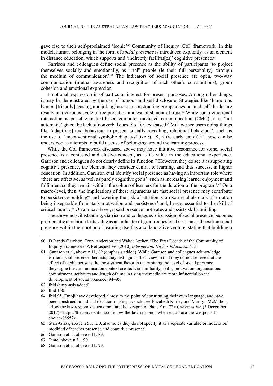gave rise to their self-proclaimed 'iconic'60 Community of Inquiry (CoI) framework. In this model, human belonging in the form of *social presence* is introduced explicitly, as an element in distance education, which supports and 'indirectly facilitates]' cognitive presence.<sup>61</sup>

Garrison and colleagues define social presence as the ability of participants 'to project themselves socially and emotionally, as "real" people (ie their full personality), through the medium of communication'.<sup> $62$ </sup> The indicators of social presence are open, two-way communication (mutual awareness and recognition of each other's contributions), group cohesion and emotional expression.

Emotional expression is of particular interest for present purposes. Among other things, it may be demonstrated by the use of humour and self-disclosure. Strategies like 'humorous banter, [friendly] teasing, and joking' assist in constructing group cohesion, and self-disclosure results in a virtuous cycle of reciprocation and establishment of trust.<sup>63</sup> While socio-emotional interaction is possible in text-based computer mediated communication (CMC), it is 'not automatic' given the lack of nonverbal cues. So, for text-based CMC, we see users doing things like 'adapt[ing] text behaviour to present socially revealing, relational behaviour', such as the use of 'unconventional symbolic displays' like :), :S, :/ (ie early emoji).<sup>64</sup> These can be understood as attempts to build a sense of belonging around the learning process.

While the CoI framework discussed above may have intuitive resonance for some, social presence is a contested and elusive concept, as is its value in the educational experience. Garrison and colleagues do not clearly define its function.<sup>65</sup> However, they do see it as supporting cognitive presence, the element they consider central to learning, and thus success, in higher education. In addition, Garrison et al identify social presence as having an important role where 'there are affective, as well as purely cognitive goals', such as increasing learner enjoyment and fulfilment so they remain within 'the cohort of learners for the duration of the program'.<sup>66</sup> On a macro-level, then, the implications of these arguments are that social presence may contribute to persistence-building<sup>67</sup> and lowering the risk of attrition. Garrison et al also talk of emotion being inseparable from 'task motivation and persistence' and, hence, essential to the skill of critical inquiry.68 On a micro-level, social presence motivates and assists skills building.

The above notwithstanding, Garrison and colleagues' discussion of social presence becomes problematic in relation to its value as an indicator of group cohesion. Garrison et al position social presence within their notion of learning itself as a collaborative venture, stating that building a

<sup>60</sup> D Randy Garrison, Terry Anderson and Walter Archer, 'The First Decade of the Community of Inquiry Framework: A Retrospective' (2010) *Internet and Higher Education* 5, 5.

<sup>61</sup> Garrison et al, above n 11, 89 (emphasis added). While Garrison and colleagues acknowledge earlier social presence theorists, they distinguish their view in that they do not believe that the effect of media per se is the most salient factor in determining the level of social presence; they argue the communication context created via familiarity, skills, motivation, organisational commitment, activities and length of time in using the media are more influential on the development of social presence: 94–95.

<sup>62</sup> Ibid (emphasis added).

<sup>63</sup> Ibid 100.

<sup>64</sup> Ibid 95. Emoji have developed almost to the point of constituting their own language, and have been construed in judicial decision-making as such: see Elizabeth Kurley and Marilyn McMahon, 'How the law responds when emoji are the weapon of choice' on *The Conversation* (5 December 2017) <https://theconversation.com/how-the-law-responds-when-emoji-are-the-weapon-ofchoice-88552>.

<sup>65</sup> Starr-Glass, above n 53, 130, also notes they do not specify it as a separate variable or moderator/ modified of teacher presence and cognitive presence.

<sup>66</sup> Garrison et al, above n 11, 89.

<sup>67</sup> Tinto, above n 31, 90.

<sup>68</sup> Garrison et al, above n 11, 99.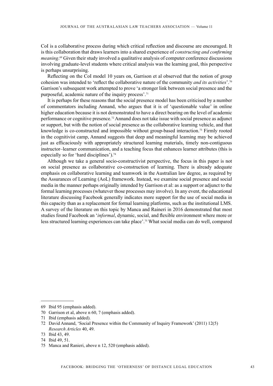CoI is a collaborative process during which critical reflection and discourse are encouraged. It is this collaboration that draws learners into a shared experience of *constructing and confirming meaning*. 69 Given their study involved a qualitative analysis of computer conference discussions involving graduate-level students where critical analysis was the learning goal, this perspective is perhaps unsurprising.

Reflecting on the CoI model 10 years on, Garrison et al observed that the notion of group cohesion was intended to 'reflect the collaborative nature of the community *and its activities*'.70 Garrison's subsequent work attempted to prove 'a stronger link between social presence and the purposeful, academic nature of the inquiry process'.71

It is perhaps for these reasons that the social presence model has been criticised by a number of commentators including Annand, who argues that it is of 'questionable value' in online higher education because it is not demonstrated to have a direct bearing on the level of academic performance or cognitive presence.72 Annand does not take issue with social presence as adjunct or support, but with the notion of social presence as the collaborative learning vehicle, and that knowledge is co-constructed and impossible without group-based interaction.<sup>73</sup> Firmly rooted in the cognitivist camp, Annand suggests that deep and meaningful learning may be achieved just as efficaciously with appropriately structured learning materials, timely non-contiguous instructor–learner communication, and a teaching focus that enhances learner attributes (this is especially so for 'hard disciplines').<sup>74</sup>

Although we take a general socio-constructivist perspective, the focus in this paper is not on social presence as collaborative co-construction of learning. There is already adequate emphasis on collaborative learning and teamwork in the Australian law degree, as required by the Assurances of Learning (AoL) framework. Instead, we examine social presence and social media in the manner perhaps originally intended by Garrison et al: as a support or adjunct to the formal learning processes (whatever those processes may involve). In any event, the educational literature discussing Facebook generally indicates more support for the use of social media in this capacity than as a replacement for formal learning platforms, such as the institutional LMS. A survey of the literature on this topic by Manca and Raineri in 2016 demonstrated that most studies found Facebook an '*informal*, dynamic, social, and flexible environment where more or less structured learning experiences can take place'.75 What social media can do well, compared

<sup>69</sup> Ibid 95 (emphasis added).

<sup>70</sup> Garrison et al, above n 60, 7 (emphasis added).

<sup>71</sup> Ibid (emphasis added).

<sup>72</sup> David Annand, 'Social Presence within the Community of Inquiry Framework' (2011) 12(5) *Research Articles* 40, 49.

<sup>73</sup> Ibid 43, 49.

<sup>74</sup> Ibid 49, 51.

<sup>75</sup> Manca and Ranieri, above n 12, 520 (emphasis added).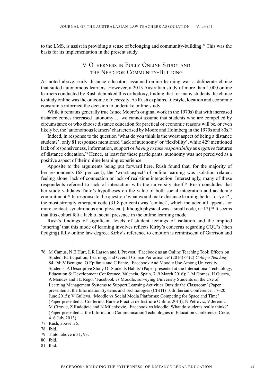to the LMS, is assist in providing a sense of belonging and community-building.76 This was the basis for its implementation in the present study.

# V Otherness in Fully Online Study and the Need for Community-Building

As noted above, early distance educators assumed online learning was a deliberate choice that suited autonomous learners. However, a 2013 Australian study of more than 1,000 online learners conducted by Rush debunked this orthodoxy, finding that for many students the choice to study online was the outcome of necessity. As Rush explains, lifestyle, location and economic constraints informed the decision to undertake online study:

While it remains generally true (since Moore's original work in the 1970s) that with increased distance comes increased autonomy … we cannot assume that students who are compelled by circumstance or who choose distance education for practical or economic reasons will be, or even likely be, the 'autonomous learners' characterised by Moore and Holmberg in the 1970s and 80s.<sup>77</sup>

Indeed, in response to the question 'what do you think is the worst aspect of being a distance student?', only 81 responses mentioned 'lack of autonomy' or 'flexibility', while 429 mentioned lack of responsiveness, information, support or *having to take responsibility* as *negative* features of distance education.78 Hence, at least for these participants, autonomy was not perceived as a positive aspect of their online learning experience.

Apposite to the arguments being put forward here, Rush found that, for the majority of her respondents (68 per cent), the 'worst aspect' of online learning was isolation related: feeling alone, lack of connection or lack of real-time interaction. Interestingly, many of these respondents referred to lack of interaction with the university itself.79 Rush concludes that her study validates Tinto's hypotheses on the value of both social integration and academic commitment.<sup>80</sup> In response to the question 'what would make distance learning better for you?', the most strongly emergent code (31.8 per cent) was 'contact', which included all appeals for more contact, synchronous and physical (although physical was a small code,  $n=12$ ).<sup>81</sup> It seems that this cohort felt a lack of social presence in the online learning mode.

Rush's findings of significant levels of student feelings of isolation and the implied 'othering' that this mode of learning involves reflects Kirby's concerns regarding CQU's (then fledging) fully online law degree. Kirby's reference to emotion is reminiscent of Garrison and

<sup>76</sup> M Camus, N E Hurt, L R Larson and L Prevost, 'Facebook as an Online Teaching Tool: Effects on Student Participation, Learning, and Overall Course Performance' (2016) 64(2) *College Teaching*  84–94; V Benigno, O Epifania and C Fante, 'Facebook And Moodle Use Among University Students: A Descriptive Study Of Students Habits' (Paper presented at the International Technology, Education & Development Conference, Valencia, Spain, 7–9 March 2016); L M Gomes, H Guerra, A Mendes and I E Rego, 'Facebook vs Moodle: surveying University Students on the Use of Learning Management Systems to Support Learning Activities Outside the Classroom' (Paper presented at the Information Systems and Technologies (CISTI) 10th Iberian Conference, 17–20 June 2015); V Gulieva, 'Moodle vs Social Media Platforms: Competing for Space and Time' (Paper presented at Conferinta Bunele Practici de Instruire Online, 2014); N Petrovic, V Jeremic, M Cirovic, Z Radojicic and N Milenkovic, 'Facebook vs Moodle: What do students really think?' (Paper presented at the Information Communication Technologies in Education Conference, Crete, 4–6 July 2013).

<sup>77</sup> Rush, above n 5.

<sup>78</sup> Ibid.

<sup>79</sup> Tinto, above n 31, 93.

<sup>80</sup> Ibid.

<sup>81</sup> Ibid.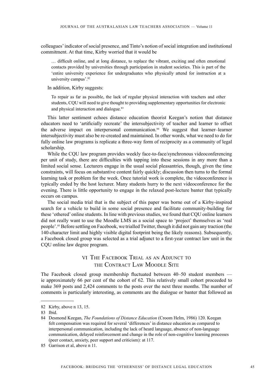colleagues' indicator of social presence, and Tinto's notion of social integration and institutional commitment. At that time, Kirby worried that it would be

… difficult online, and at long distance, to replace the vibrant, exciting and often emotional contacts provided by universities through participation in student societies. This is part of the 'entire university experience for undergraduates who physically attend for instruction at a university campus'.82

In addition, Kirby suggests:

To repair as far as possible, the lack of regular physical interaction with teachers and other students, CQU will need to give thought to providing supplementary opportunities for electronic and physical interaction and dialogue.<sup>83</sup>

This latter sentiment echoes distance education theorist Keegan's notion that distance educators need to 'artificially recreate' the intersubjectivity of teacher and learner to offset the adverse impact on interpersonal communication.84 We suggest that learner–learner intersubjectivity must also be re-created and maintained. In other words, what we need to do for fully online law programs is replicate a three-way form of reciprocity as a community of legal scholarship.

While the CQU law program provides weekly face-to-face/synchronous videoconferencing per unit of study, there are difficulties with tapping into these sessions in any more than a limited social sense. Lecturers engage in the usual social pleasantries, though, given the time constraints, will focus on substantive content fairly quickly; discussion then turns to the formal learning task or problem for the week. Once tutorial work is complete, the videoconference is typically ended by the host lecturer. Many students hurry to the next videoconference for the evening. There is little opportunity to engage in the relaxed post-lecture banter that typically occurs on campus.

The social media trial that is the subject of this paper was borne out of a Kirby-inspired search for a vehicle to build in some social presence and facilitate community-building for these 'othered' online students. In line with previous studies, we found that CQU online learners did not really want to use the Moodle LMS as a social space to 'project' themselves as 'real people'.85 Before settling on Facebook, we trialled Twitter, though it did not gain any traction (the 140-character limit and highly visible digital footprint being the likely reasons). Subsequently, a Facebook closed group was selected as a trial adjunct to a first-year contract law unit in the CQU online law degree program.

# VI THE FACEBOOK TRIAL AS AN ADJUNCT TO the Contract Law Moodle Site

The Facebook closed group membership fluctuated between 40–50 student members ie approximately 66 per cent of the cohort of 62. This relatively small cohort proceeded to make 369 posts and 2,424 comments to the posts over the next three months. The number of comments is particularly interesting, as comments are the dialogue or banter that followed an

<sup>82</sup> Kirby, above n 13, 15.

<sup>83</sup> Ibid.

<sup>84</sup> Desmond Keegan, *The Foundations of Distance Education* (Croom Helm, 1986) 120. Keegan felt compensation was required for several 'differences' in distance education as compared to interpersonal communication, including the lack of heard language, absence of non-language communication, delayed reinforcement and change in the role of non-cognitive learning processes (peer contact, anxiety, peer support and criticism): at 117.

<sup>85</sup> Garrison et al, above n 11.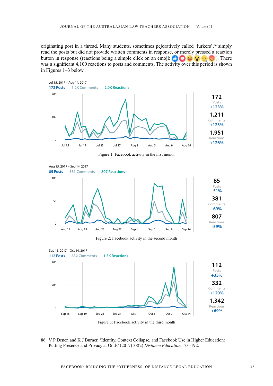originating post in a thread. Many students, sometimes pejoratively called 'lurkers',<sup>86</sup> simply read the posts but did not provide written comments in response, or merely pressed a reaction button in response (reactions being a simple click on an emoji:  $\bigcirc \bigcirc \bigcirc \bigcirc \bigcirc \bigcirc$ ). There was a significant 4,100 reactions to posts and comments. The activity over this period is shown in Figures 1–3 below.



Figure 1: Facebook activity in the first month



Figure 2: Facebook activity in the second month



<sup>86</sup> V P Denen and K J Burner, 'Identity, Context Collapse, and Facebook Use in Higher Education: Putting Presence and Privacy at Odds' (2017) 38(2) *Distance Education* 173–192.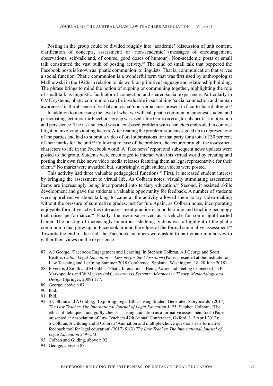Posting in the group could be divided roughly into 'academic' (discussion of unit content, clarification of concepts, assessment) or 'non-academic' (messages of encouragement, observations, self-talk and, of course, good doses of humour). Non-academic posts or small talk constituted the vast bulk of posting activity.<sup>87</sup> The kind of small talk that peppered the Facebook posts is known as 'phatic communion' to linguists. That is, communication that serves a social function. Phatic communion is a wonderful term that was first used by anthropologist Malinowski in the 1920s in relation to his work on primitive language and relationship-building. The phrase brings to mind the notion of supping or communing together, highlighting the role of small talk as linguistic facilitator of connection and shared social experience. Particularly in CMC systems, phatic communion can be invaluable in sustaining 'social connection and human awareness' in the absence of verbal and visual/non-verbal cues present in face-to-face dialogue.<sup>88</sup>

In addition to increasing the level of what we will call phatic communion amongst student and participating lecturers, the Facebook group was used, after Garrison et al, to enhance task motivation and persistence. The task selected was a text-based problem with characters embroiled in contract litigation involving vitiating factors. After reading the problem, students signed up to represent one of the parties and had to submit a video of oral submissions for that party for a total of 30 per cent of their marks for the unit.89 Following release of the problem, the lecturer brought the assessment characters to life in the Facebook world. A 'fake news' report and subsequent news updates were posted to the group. Students were encouraged to interact with this virtual world by creating and posting their own fake news video media releases featuring them as legal representative for their client.90 No marks were awarded, but, surprisingly, eight student videos were posted.

This activity had three valuable pedagogical functions.<sup>91</sup> First, it increased student interest by bringing the assessment to virtual life. As Colbran notes, visually stimulating assessment items are increasingly being incorporated into tertiary education.<sup>92</sup> Second, it assisted skills development and gave the students a valuable opportunity for feedback. A number of students were apprehensive about talking to camera; the activity allowed them to try video-making without the pressure of summative grades, just for fun. Again, as Colbran notes, incorporating enjoyable formative activities into assessment practice is good learning and teaching pedagogy that raises performance.93 Finally, the exercise served as a vehicle for some light-hearted banter. The posting of increasingly humorous 'sledging' videos was a highlight of the phatic communion that grew up on Facebook around the edges of the formal summative assessment.<sup>94</sup> Towards the end of the trial, the Facebook members were asked to participate in a survey to gather their views on the experience.

91 Ibid.

<sup>87</sup> A J George, 'Facebook Engagement and Learning' in Stephen Colbran, A J George and Scott Beattie, *Online Legal Education — Lessons for the Classroom* (Paper presented at the Institute for Law Teaching and Learning Summer 2018 Conference, Spokane, Washington, 18–20 June 2018).

<sup>88</sup> F Vetere, J Smith and M Gibbs, 'Phatic Interactions: Being Aware and Feeling Connected' in P Markopoulos and W Mackay (eds), *Awareness Systems: Advances in Theory, Methodology and Design* (Springer, 2009) 177.

<sup>89</sup> George, above n 87.

<sup>90</sup> Ibid.

<sup>92</sup> S Colbran and A Gilding, 'Exploring Legal Ethics using Student Generated Storyboards' (2014) *The Law Teacher. The International Journal of Legal Education* 1–25; Stephen Colbran, 'The ethics of delinquent and guilty clients — using animation as a formative assessment tool' (Paper presented at Association of Law Teachers 47th Annual Conference, Oxford, 1–3 April 2012); S Colbran, A Gilding and S Colbran 'Animation and multiple-choice questions as a formative feedback tool for legal education' (2017) 51(3) *The Law Teacher. The International Journal of Legal Education* 249–273.

<sup>93</sup> Colban and Gilding, above n 92.

<sup>94</sup> George, above n 87.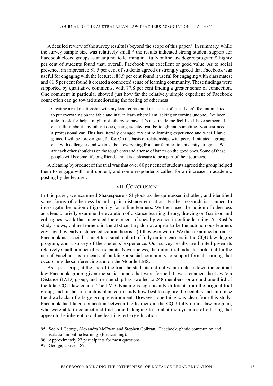A detailed review of the survey results is beyond the scope of this paper.<sup>95</sup> In summary, while the survey sample size was relatively small,<sup>96</sup> the results indicated strong student support for Facebook closed groups as an adjunct to learning in a fully online law degree program.<sup>97</sup> Eighty per cent of students found that, overall, Facebook was excellent or good value. As to social presence, an impressive 81.5 per cent of students agreed or strongly agreed that Facebook was useful for engaging with the lecturer; 88.9 per cent found it useful for engaging with classmates; and 81.5 per cent found it created a connected sense of learning community. These findings were supported by qualitative comments, with 77.8 per cent finding a greater sense of connection. One comment in particular showed just how far the relatively simple expedient of Facebook connection can go toward ameliorating the feeling of otherness:

Creating a real relationship with my lecturer has built up a sense of trust, I don't feel intimidated to put everything on the table and in turn learn where I am lacking or coming undone, I've been able to ask for help I might not otherwise have. It's also made me feel like I have someone I can talk to about any other issues, being isolated can be tough and sometimes you just need a professional ear. This has literally changed my entire learning experience and what I have gained I will be forever grateful for. On the basis of relationships with peers, I initiated a group chat with colleagues and we talk about everything from our families to university struggles. We are each other shoulders on the tough days and a sense of banter on the good ones. Some of these people will become lifelong friends and it is a pleasure to be a part of their journeys.

A pleasing byproduct of the trial was that over 80 per cent of students agreed the group helped them to engage with unit content, and some respondents called for an increase in academic posting by the lecturer.

### VII CONCLUSION

In this paper, we examined Shakespeare's Shylock as the quintessential other, and identified some forms of otherness bound up in distance education. Further research is planned to investigate the notion of ignominy for online learners. We then used the notion of otherness as a lens to briefly examine the evolution of distance learning theory, drawing on Garrison and colleagues' work that integrated the element of social presence in online learning. As Rush's study shows, online learners in the 21st century do not appear to be the autonomous learners envisaged by early distance education theorists (if they ever were). We then examined a trial of Facebook as a social adjunct to a small cohort of fully online learners in the CQU law degree program, and a survey of the students' experience. Our survey results are limited given its relatively small number of participants. Nevertheless, the initial trial indicates potential for the use of Facebook as a means of building a social community to support formal learning that occurs in videoconferencing and on the Moodle LMS.

As a postscript, at the end of the trial the students did not want to close down the contract law Facebook group, given the social bonds that were formed. It was renamed the Law Via Distance (LVD) group, and membership has swelled to 248 members, or around one-third of the total CQU law cohort. The LVD dynamic is significantly different from the original trial group, and further research is planned to study how best to capture the benefits and minimise the drawbacks of a large group environment. However, one thing was clear from this study: Facebook facilitated connection between the learners in the CQU fully online law program, who were able to connect and find some belonging to combat the dynamics of othering that appear to be inherent to online learning tertiary education.

<sup>95</sup> See A J George, Alexandra McEwan and Stephen Colbran, 'Facebook, phatic communion and isolation in online learning' (forthcoming).

<sup>96</sup> Approximately 27 participants for most questions.

<sup>97</sup> George, above n 87.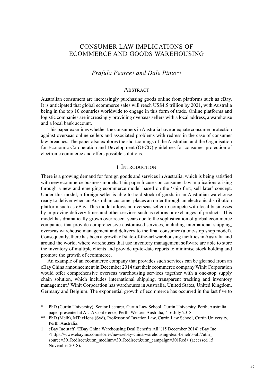# CONSUMER LAW IMPLICATIONS OF ECOMMERCE AND GOODS WAREHOUSING

# *Prafula Pearce\* and Dale Pinto\*\**

## **ABSTRACT**

Australian consumers are increasingly purchasing goods online from platforms such as eBay. It is anticipated that global ecommerce sales will reach US\$4.5 trillion by 2021, with Australia being in the top 10 countries worldwide to engage in this form of trade. Online platforms and logistic companies are increasingly providing overseas sellers with a local address, a warehouse and a local bank account.

This paper examines whether the consumers in Australia have adequate consumer protection against overseas online sellers and associated problems with redress in the case of consumer law breaches. The paper also explores the shortcomings of the Australian and the Organisation for Economic Co-operation and Development (OECD) guidelines for consumer protection of electronic commerce and offers possible solutions.

#### I Introduction

There is a growing demand for foreign goods and services in Australia, which is being satisfied with new ecommerce business models. This paper focuses on consumer law implications arising through a new and emerging ecommerce model based on the 'ship first, sell later' concept. Under this model, a foreign seller is able to hold stock of goods in an Australian warehouse ready to deliver when an Australian customer places an order through an electronic distribution platform such as eBay. This model allows an overseas seller to compete with local businesses by improving delivery times and other services such as returns or exchanges of products. This model has dramatically grown over recent years due to the sophistication of global ecommerce companies that provide comprehensive customised services, including international shipping, overseas warehouse management and delivery to the final consumer (a one-stop shop model). Consequently, there has been a growth of state-of-the-art warehousing facilities in Australia and around the world, where warehouses that use inventory management software are able to store the inventory of multiple clients and provide up-to-date reports to minimise stock holding and promote the growth of ecommerce.

An example of an ecommerce company that provides such services can be gleaned from an eBay China announcement in December 2014 that their ecommerce company Winit Corporation would offer comprehensive overseas warehousing services together with a one-stop supply chain solution, which includes international shipping, transparent tracking and inventory management.<sup>1</sup> Winit Corporation has warehouses in Australia, United States, United Kingdom, Germany and Belgium. The exponential growth of ecommerce has occurred in the last five to

<sup>\*</sup> PhD (Curtin University), Senior Lecturer, Curtin Law School, Curtin University, Perth, Australia paper presented at ALTA Conference, Perth, Western Australia, 4–6 July 2018.

<sup>\*\*</sup> PhD (Melb), MTaxHons (Syd), Professor of Taxation Law, Curtin Law School, Curtin University, Perth, Australia.

<sup>1</sup> eBay Inc staff, 'EBay China Warehousing Deal Benefits All' (15 December 2014) eBay Inc <https://www.ebayinc.com/stories/news/ebay-china-warehousing-deal-benefits-all/?utm\_ source=301Redirect&utm\_medium=301Redirect&utm\_campaign=301Red> (accessed 15 November 2018).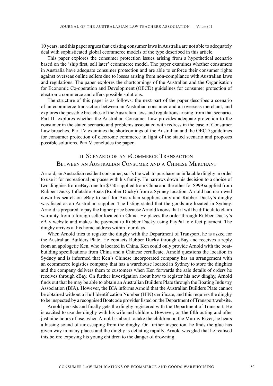10 years, and this paper argues that existing consumer laws in Australia are not able to adequately deal with sophisticated global ecommerce models of the type described in this article.

This paper explores the consumer protection issues arising from a hypothetical scenario based on the 'ship first, sell later' ecommerce model. The paper examines whether consumers in Australia have adequate consumer protection and are able to enforce their consumer rights against overseas online sellers due to losses arising from non-compliance with Australian laws and regulations. The paper explores the shortcomings of the Australian and the Organisation for Economic Co-operation and Development (OECD) guidelines for consumer protection of electronic commerce and offers possible solutions.

The structure of this paper is as follows: the next part of the paper describes a scenario of an ecommerce transaction between an Australian consumer and an overseas merchant, and explores the possible breaches of the Australian laws and regulations arising from that scenario. Part III explores whether the Australian Consumer Law provides adequate protection to the consumer in the stated scenario and problems associated with redress in the case of Consumer Law breaches. Part IV examines the shortcomings of the Australian and the OECD guidelines for consumer protection of electronic commerce in light of the stated scenario and proposes possible solutions. Part V concludes the paper.

# II Scenario of an eCommerce Transaction Between an Australian Consumer and <sup>a</sup> Chinese Merchant

Arnold, an Australian resident consumer, surfs the web to purchase an inflatable dinghy in order to use it for recreational purposes with his family. He narrows down his decision to a choice of two dinghies from eBay: one for \$750 supplied from China and the other for \$999 supplied from Rubber Ducky Inflatable Boats (Rubber Ducky) from a Sydney location. Arnold had narrowed down his search on eBay to surf for Australian suppliers only and Rubber Ducky's dinghy was listed as an Australian supplier. The listing stated that the goods are located in Sydney. Arnold is prepared to pay the higher price because Arnold knows that it will be difficult to claim warranty from a foreign seller located in China. He places the order through Rubber Ducky's eBay website and makes the payment to Rubber Ducky using PayPal to effect payment. The dinghy arrives at his home address within four days.

When Arnold tries to register the dinghy with the Department of Transport, he is asked for the Australian Builders Plate. He contacts Rubber Ducky through eBay and receives a reply from an apologetic Ken, who is located in China. Ken could only provide Arnold with the boatbuilding specifications from China and a Chinese certificate. Arnold questions the location in Sydney and is informed that Ken's Chinese incorporated company has an arrangement with an ecommerce logistics company that has a warehouse located in Sydney to store the dinghies and the company delivers them to customers when Ken forwards the sale details of orders he receives through eBay. On further investigation about how to register his new dinghy, Arnold finds out that he may be able to obtain an Australian Builders Plate through the Boating Industry Association (BIA). However, the BIA informs Arnold that the Australian Builders Plate cannot be obtained without a Hull Identification Number (HIN) certificate, and this requires the dinghy to be inspected by a recognised Boatcode provider listed on the Department of Transport website.

Arnold persists and finally gets the dinghy registered with the Department of Transport. He is excited to use the dinghy with his wife and children. However, on the fifth outing and after just nine hours of use, when Arnold is about to take the children on the Murray River, he hears a hissing sound of air escaping from the dinghy. On further inspection, he finds the glue has given way in many places and the dinghy is deflating rapidly. Arnold was glad that he realised this before exposing his young children to the danger of drowning.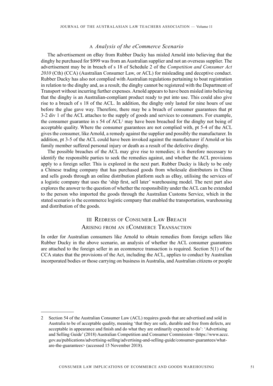#### A *Analysis of the eCommerce Scenario*

The advertisement on eBay from Rubber Ducky has misled Arnold into believing that the dinghy he purchased for \$999 was from an Australian supplier and not an overseas supplier. The advertisement may be in breach of s 18 of Schedule 2 of the *Competition and Consumer Act 2010* (Cth) (CCA) (Australian Consumer Law, or ACL) for misleading and deceptive conduct. Rubber Ducky has also not complied with Australian regulations pertaining to boat registration in relation to the dinghy and, as a result, the dinghy cannot be registered with the Department of Transport without incurring further expenses. Arnold appears to have been misled into believing that the dinghy is an Australian-compliant product ready to put into use. This could also give rise to a breach of s 18 of the ACL. In addition, the dinghy only lasted for nine hours of use before the glue gave way. Therefore, there may be a breach of consumer guarantees that pt 3-2 div 1 of the ACL attaches to the supply of goods and services to consumers. For example, the consumer guarantee in s 54 of ACL<sup>2</sup> may have been breached for the dinghy not being of acceptable quality. Where the consumer guarantees are not complied with, pt 5-4 of the ACL gives the consumer, like Arnold, a remedy against the supplier and possibly the manufacturer. In addition, pt 3-5 of the ACL could have been invoked against the manufacturer if Arnold or his family member suffered personal injury or death as a result of the defective dinghy.

The possible breaches of the ACL may give rise to remedies; it is therefore necessary to identify the responsible parties to seek the remedies against, and whether the ACL provisions apply to a foreign seller. This is explored in the next part. Rubber Ducky is likely to be only a Chinese trading company that has purchased goods from wholesale distributors in China and sells goods through an online distribution platform such as eBay, utilising the services of a logistic company that uses the 'ship first, sell later' warehousing model. The next part also explores the answer to the question of whether the responsibility under the ACL can be extended to the person who imported the goods through the Australian Customs Service, which in the stated scenario is the ecommerce logistic company that enabled the transportation, warehousing and distribution of the goods.

# III Redress of Consumer Law Breach Arising from an eCommerce Transaction

In order for Australian consumers like Arnold to obtain remedies from foreign sellers like Rubber Ducky in the above scenario, an analysis of whether the ACL consumer guarantees are attached to the foreign seller in an ecommerce transaction is required. Section 5(1) of the CCA states that the provisions of the Act, including the ACL, applies to conduct by Australian incorporated bodies or those carrying on business in Australia, and Australian citizens or people

<sup>2</sup> Section 54 of the Australian Consumer Law (ACL) requires goods that are advertised and sold in Australia to be of acceptable quality, meaning 'that they are safe, durable and free from defects, are acceptable in appearance and finish and do what they are ordinarily expected to do': 'Advertising and Selling Guide' (2018) Australian Competition and Consumer Commission <https://www.accc. gov.au/publications/advertising-selling/advertising-and-selling-guide/consumer-guarantees/whatare-the-guarantees> (accessed 15 November 2018).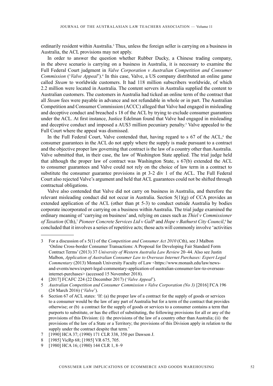ordinarily resident within Australia.<sup>3</sup> Thus, unless the foreign seller is carrying on a business in Australia, the ACL provisions may not apply.

In order to answer the question whether Rubber Ducky, a Chinese trading company, in the above scenario is carrying on a business in Australia, it is necessary to examine the Full Federal Court judgment in *Valve Corporation v Australian Competition and Consumer Commission* ('*Valve Appeal*').4 In this case, Valve, a US company distributed an online game called *Steam* to worldwide customers. It had 118 million subscribers worldwide, of which 2.2 million were located in Australia. The content servers in Australia supplied the content to Australian customers. The customers in Australia had ticked an online term of the contract that all *Steam* fees were payable in advance and not refundable in whole or in part. The Australian Competition and Consumer Commission (ACCC) alleged that Valve had engaged in misleading and deceptive conduct and breached s 18 of the ACL by trying to exclude consumer guarantees under the ACL. At first instance, Justice Edelman found that Valve had engaged in misleading and deceptive conduct and imposed a AU\$3 million pecuniary penalty.<sup>5</sup> Valve appealed to the Full Court where the appeal was dismissed.

In the Full Federal Court, Valve contended that, having regard to s 67 of the ACL,<sup>6</sup> the consumer guarantees in the ACL do not apply where the supply is made pursuant to a contract and the objective proper law governing that contract is the law of a country other than Australia. Valve submitted that, in their case, the law of Washington State applied. The trial judge held that although the proper law of contract was Washington State, s 67(b) extended the ACL to consumer guarantees and Valve could not rely on the choice of law term in a contract to substitute the consumer guarantee provisions in pt 3-2 div 1 of the ACL. The Full Federal Court also rejected Valve's argument and held that ACL guarantees could not be shifted through contractual obligations.

Valve also contended that Valve did not carry on business in Australia, and therefore the relevant misleading conduct did not occur in Australia. Section  $5(1)(g)$  of CCA provides an extended application of the ACL (other than pt 5-3) to conduct outside Australia by bodies corporate incorporated or carrying on a business within Australia. The trial judge examined the ordinary meaning of 'carrying on business' and, relying on cases such as *Thiel v Commissioner*  of Taxation (Cth),<sup>7</sup> Pioneer Concrete Services Ltd v Gall<sup>8</sup> and Hope v Bathurst City Council,<sup>9</sup> he concluded that it involves a series of repetitive acts; those acts will commonly involve 'activities

<sup>3</sup> For a discussion of s 5(1) of the *Competition and Consumer Act 2010* (Cth), see J Malbon 'Online Cross-border Consumer Transactions: A Proposal for Developing Fair Standard Form Contract Terms' (2013) 37 *University of Western Australia Law Review* 20–44. Also see Justin Malbon, *Application of Australian Consumer Law to Overseas Internet Purchases: Expert Legal Commentary (2013)* Monash University Faculty of Law <https://www.monash.edu/law/newsand-events/news/expert-legal-commentary-application-of-australian-consumer-law-to-overseasinternet-purchases> (accessed 15 November 2018).

<sup>4</sup> [2017] FCAFC 224 (22 December 2017) ('*Valve Appeal*').

<sup>5</sup> *Australian Competition and Consumer Commission v Valve Corporation (No 3)* [2016] FCA 196 (24 March 2016) ('*Valve*').

<sup>6</sup> Section 67 of ACL states: 'If: (a) the proper law of a contract for the supply of goods or services to a consumer would be the law of any part of Australia but for a term of the contract that provides otherwise; or (b) a contract for the supply of goods or services to a consumer contains a term that purports to substitute, or has the effect of substituting, the following provisions for all or any of the provisions of this Division: (i) the provisions of the law of a country other than Australia; (ii) the provisions of the law of a State or a Territory; the provisions of this Division apply in relation to the supply under the contract despite that term.'

<sup>7</sup> [1990] HCA 37; (1990) 171 CLR 338, 350 per Dawson J.

<sup>8</sup> [1985] VicRp 68; [1985] VR 675, 705.

<sup>9</sup> [1980] HCA 16; (1980) 144 CLR 1, 8–9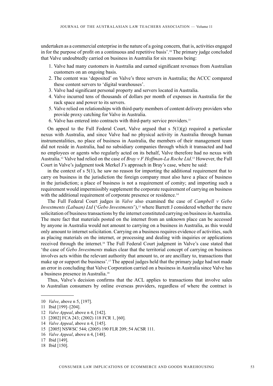undertaken as a commercial enterprise in the nature of a going concern, that is, activities engaged in for the purpose of profit on a continuous and repetitive basis'.<sup>10</sup> The primary judge concluded that Valve undoubtedly carried on business in Australia for six reasons being:

- 1. Valve had many customers in Australia and earned significant revenues from Australian customers on an ongoing basis.
- 2. The content was 'deposited' on Valve's three servers in Australia; the ACCC compared these content servers to 'digital warehouses'.
- 3. Valve had significant personal property and servers located in Australia.
- 4. Valve incurred tens of thousands of dollars per month of expenses in Australia for the rack space and power to its servers.
- 5. Valve relied on relationships with third-party members of content delivery providers who provide proxy catching for Valve in Australia.
- 6. Valve has entered into contracts with third-party service providers.11

On appeal to the Full Federal Court, Valve argued that  $s \frac{5(1)(g)}{g}$  required a particular nexus with Australia, and since Valve had no physical activity in Australia through human instrumentalities, no place of business in Australia, the members of their management team did not reside in Australia, had no subsidiary companies through which it transacted and had no employees or agents who regularly acted on its behalf, Valve therefore had no nexus with Australia.12 Valve had relied on the case of *Bray v F Hoffman-La Roche Ltd*. 13 However, the Full Court in Valve's judgment took Merkel J's approach in Bray's case, where he said:

in the context of  $s$  5(1), he saw no reason for importing the additional requirement that to carry on business in the jurisdiction the foreign company must also have a place of business in the jurisdiction; a place of business is not a requirement of comity; and importing such a requirement would impermissibly supplement the corporate requirement of carrying on business with the additional requirement of corporate presence or residence.<sup>14</sup>

The Full Federal Court judges in *Valve* also examined the case of *Campbell v Gebo Investments (Labuan) Ltd* ('*Gebo Investments*'),<sup>15</sup> where Barrett J considered whether the mere solicitation of business transactions by the internet constituted carrying on business in Australia. The mere fact that materials posted on the internet from an unknown place can be accessed by anyone in Australia would not amount to carrying on a business in Australia, as this would only amount to internet solicitation. Carrying on a business requires evidence of activities, such as placing materials on the internet, or processing and dealing with inquiries or applications received through the internet.16 The Full Federal Court judgment in Valve's case stated that 'the case of *Gebo Investments* makes clear that the territorial concept of carrying on business involves acts within the relevant authority that amount to, or are ancillary to, transactions that make up or support the business'.<sup>17</sup> The appeal judges held that the primary judge had not made an error in concluding that Valve Corporation carried on a business in Australia since Valve has a business presence in Australia.18

Thus, Valve's decision confirms that the ACL applies to transactions that involve sales to Australian consumers by online overseas providers, regardless of where the contract is

12 *Valve Appeal*, above n 4, [142].

<sup>10</sup> *Valve*, above n 5, [197].

<sup>11</sup> Ibid [199]–[204].

<sup>13</sup> [2002] FCA 243; (2002) 118 FCR 1, [60].

<sup>14</sup> *Valve Appeal*, above n 4, [145].

<sup>15</sup> [2005] NSWSC 544; (2005) 190 FLR 209; 54 ACSR 111.

<sup>16</sup> *Valve Appeal*, above n 4, [148].

<sup>17</sup> Ibid [149].

<sup>18</sup> Ibid [150].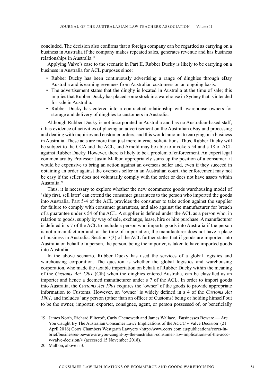concluded. The decision also confirms that a foreign company can be regarded as carrying on a business in Australia if the company makes repeated sales, generates revenue and has business relationships in Australia.19

Applying Valve's case to the scenario in Part II, Rubber Ducky is likely to be carrying on a business in Australia for ACL purposes since:

- Rubber Ducky has been continuously advertising a range of dinghies through eBay Australia and is earning revenues from Australian customers on an ongoing basis.
- The advertisement states that the dinghy is located in Australia at the time of sale; this implies that Rubber Ducky has placed some stock in a warehouse in Sydney that is intended for sale in Australia.
- Rubber Ducky has entered into a contractual relationship with warehouse owners for storage and delivery of dinghies to customers in Australia.

Although Rubber Ducky is not incorporated in Australia and has no Australian-based staff, it has evidence of activities of placing an advertisement on the Australian eBay and processing and dealing with inquiries and customer orders, and this would amount to carrying on a business in Australia. These acts are more than just mere internet solicitations. Thus, Rubber Ducky will be subject to the CCA and the ACL, and Arnold may be able to invoke s 54 and s 18 of ACL against Rubber Ducky. However, there is likely to be a problem of enforcement. An expert legal commentary by Professor Justin Malbon appropriately sums up the position of a consumer: it would be expensive to bring an action against an overseas seller and, even if they succeed in obtaining an order against the overseas seller in an Australian court, the enforcement may not be easy if the seller does not voluntarily comply with the order or does not have assets within Australia.20

Thus, it is necessary to explore whether the new ecommerce goods warehousing model of 'ship first, sell later' can extend the consumer guarantees to the person who imported the goods into Australia. Part 5-4 of the ACL provides the consumer to take action against the supplier for failure to comply with consumer guarantees, and also against the manufacturer for breach of a guarantee under s 54 of the ACL. A supplier is defined under the ACL as a person who, in relation to goods, supply by way of sale, exchange, lease, hire or hire purchase. A manufacturer is defined in s 7 of the ACL to include a person who imports goods into Australia if the person is not a manufacturer and, at the time of importation, the manufacturer does not have a place of business in Australia. Section 7(3) of the ACL further states that if goods are imported into Australia on behalf of a person, the person, being the importer, is taken to have imported goods into Australia.

In the above scenario, Rubber Ducky has used the services of a global logistics and warehousing corporation. The question is whether the global logistics and warehousing corporation, who made the taxable importation on behalf of Rubber Ducky within the meaning of the *Customs Act 1901* (Cth) when the dinghies entered Australia, can be classified as an importer and hence a deemed manufacturer under s 7 of the ACL. In order to import goods into Australia, the *Customs Act 1901* requires the 'owner' of the goods to provide appropriate information to Customs. However, an 'owner' is widely defined in s 4 of the *Customs Act 1901*, and includes 'any person (other than an officer of Customs) being or holding himself out to be the owner, importer, exporter, consignee, agent, or person possessed of, or beneficially

<sup>19</sup> James North, Richard Flitcroft, Carly Chenoweth and James Wallace, 'Businesses Beware — Are You Caught By The Australian Consumer Law? Implications of the ACCC v Valve Decision' (21 April 2016) Corrs Chambers Westgarth Lawyers <http://www.corrs.com.au/publications/corrs-inbrief/businesses-beware-are-you-caught-by-the-australian-consumer-law-implications-of-the-acccv-valve-decision/> (accessed 15 November 2018).

<sup>20</sup> Malbon, above n 3.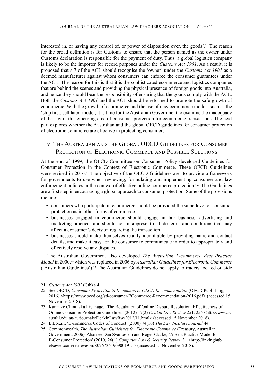interested in, or having any control of, or power of disposition over, the goods'.21 The reason for the broad definition is for Customs to ensure that the person named as the owner under Customs declaration is responsible for the payment of duty. Thus, a global logistics company is likely to be the importer for record purposes under the *Customs Act 1901*. As a result, it is proposed that s 7 of the ACL should recognise the 'owner' under the *Customs Act 1901* as a deemed manufacturer against whom consumers can enforce the consumer guarantees under the ACL. The reason for this is that it is the sophisticated ecommerce and logistics companies that are behind the scenes and providing the physical presence of foreign goods into Australia, and hence they should bear the responsibility of ensuring that the goods comply with the ACL. Both the *Customs Act 1901* and the ACL should be reformed to promote the safe growth of ecommerce. With the growth of ecommerce and the use of new ecommerce models such as the 'ship first, sell later' model, it is time for the Australian Government to examine the inadequacy of the law in this emerging area of consumer protection for ecommerce transactions. The next part explores whether the Australian and the global OECD guidelines for consumer protection of electronic commerce are effective in protecting consumers.

# IV The Australian and the Global OECD Guidelines for Consumer PROTECTION OF ELECTRONIC COMMERCE AND POSSIBLE SOLUTIONS

At the end of 1999, the OECD Committee on Consumer Policy developed Guidelines for Consumer Protection in the Context of Electronic Commerce. These OECD Guidelines were revised in 2016.<sup>22</sup> The objective of the OECD Guidelines are 'to provide a framework for governments to use when reviewing, formulating and implementing consumer and law enforcement policies in the context of effective online commerce protection'.23 The Guidelines are a first step in encouraging a global approach to consumer protection. Some of the provisions include:

- consumers who participate in ecommerce should be provided the same level of consumer protection as in other forms of commerce
- businesses engaged in ecommerce should engage in fair business, advertising and marketing practices and should not misrepresent or hide terms and conditions that may affect a consumer's decision regarding the transaction
- businesses should make themselves readily identifiable by providing name and contact details, and make it easy for the consumer to communicate in order to appropriately and effectively resolve any disputes.

The Australian Government also developed *The Australian E-commerce Best Practice Model* in 2000,<sup>24</sup> which was replaced in 2006 by *Australian Guidelines for Electronic Commerce* ('Australian Guidelines').25 The Australian Guidelines do not apply to traders located outside

<sup>21</sup> *Customs Act 1901* (Cth) s 4.

<sup>22</sup> See OECD, *Consumer Protection in E-commerce: OECD Recommendation* (OECD Publishing, 2016) <https://www.oecd.org/sti/consumer/ECommerce-Recommendation-2016.pdf> (accessed 15 November 2018).

<sup>23</sup> Kananke Chinthaka Liyanage, 'The Regulation of Online Dispute Resolution: Effectiveness of Online Consumer Protection Guidelines' (2012) 17(2) *Deakin Law Review* 251, 256 <http://www5. austlii.edu.au/au/journals/DeakinLawRw/2012/11.html> (accessed 15 November 2018).

<sup>24</sup> L Boxall, 'E-commerce Codes of Conduct' (2000) 74(10) *The Law Institute Journal* 44.

<sup>25</sup> Commonwealth, *The Australian Guidelines for Electronic Commerce* (Treasury, Australian Government, 2006). Also see Dan Svantesson and Roger Clarke, 'A Best Practice Model for E-Consumer Protection' (2010) 26(1) *Computer Law & Security Review* 31 <http://linkinghub. elsevier.com/retrieve/pii/S0267364909001915> (accessed 15 November 2018).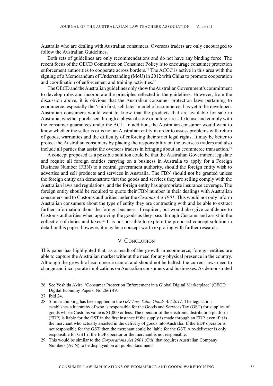Australia who are dealing with Australian consumers. Overseas traders are only encouraged to follow the Australian Guidelines.

Both sets of guidelines are only recommendations and do not have any binding force. The recent focus of the OECD Committee on Consumer Policy is to encourage consumer protection enforcement authorities to cooperate across borders.<sup>26</sup> The ACCC is active in this area with the signing of a Memorandum of Understanding (MoU) in 2012 with China to promote cooperation and coordination of enforcement and training activities.<sup>27</sup>

The OECD and the Australian guidelines only show the Australian Government's commitment to develop rules and incorporate the principles reflected in the guidelines. However, from the discussion above, it is obvious that the Australian consumer protection laws pertaining to ecommerce, especially the 'ship first, sell later' model of ecommerce, has yet to be developed. Australian consumers would want to know that the products that are available for sale in Australia, whether purchased through a physical store or online, are safe to use and comply with the consumer guarantees under the ACL. In addition, the Australian consumer would want to know whether the seller is or is not an Australian entity in order to assess problems with return of goods, warranties and the difficulty of enforcing their strict legal rights. It may be better to protect the Australian consumers by placing the responsibility on the overseas traders and also include all parties that assist the overseas traders in bringing about an ecommerce transaction.<sup>28</sup>

A concept proposed as a possible solution could be that the Australian Government legislate and require all foreign entities carrying on a business in Australia to apply for a Foreign Business Number (FBN) to a central government authority, should the foreign entity wish to advertise and sell products and services in Australia. The FBN should not be granted unless the foreign entity can demonstrate that the goods and services they are selling comply with the Australian laws and regulations, and the foreign entity has appropriate insurance coverage. The foreign entity should be required to quote their FBN number in their dealings with Australian consumers and to Customs authorities under the *Customs Act 1901*. This would not only inform Australian consumers about the type of entity they are contracting with and be able to extract further information about the foreign business, if required, but would also give confidence to Customs authorities when approving the goods as they pass through Customs and assist in the collection of duties and taxes.29 It is not possible to explore the proposed concept solution in detail in this paper; however, it may be a concept worth exploring with further research.

## **V CONCLUSION**

This paper has highlighted that, as a result of the growth in ecommerce, foreign entities are able to capture the Australian market without the need for any physical presence in the country. Although the growth of ecommerce cannot and should not be halted, the current laws need to change and incorporate implications on Australian consumers and businesses. As demonstrated

<sup>26</sup> See Yoshida Akira, 'Consumer Protection Enforcement in a Global Digital Marketplace' (OECD Digital Economy Papers, No 266) 49.

<sup>27</sup> Ibid 24.

<sup>28</sup> Similar thinking has been applied in the *GST Low Value Goods Act 2017.* The legislation establishes a hierarchy of who is responsible for the Goods and Services Tax (GST) for supplies of goods whose Customs value is \$1,000 or less. The operator of the electronic distribution platform (EDP) is liable for the GST in the first instance if the supply is made through an EDP, even if it is the merchant who actually assisted in the delivery of goods into Australia. If the EDP operator is not responsible for the GST, then the merchant could be liable for the GST. A re-deliverer is only responsible for GST if the EDP operator or the merchant is not responsible.

<sup>29</sup> This would be similar to the *Corporations Act 2001* (Cth) that requires Australian Company Numbers (ACN) to be displayed on all public documents.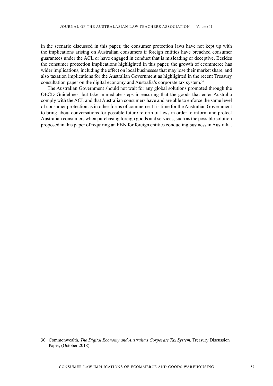in the scenario discussed in this paper, the consumer protection laws have not kept up with the implications arising on Australian consumers if foreign entities have breached consumer guarantees under the ACL or have engaged in conduct that is misleading or deceptive. Besides the consumer protection implications highlighted in this paper, the growth of ecommerce has wider implications, including the effect on local businesses that may lose their market share, and also taxation implications for the Australian Government as highlighted in the recent Treasury consultation paper on the digital economy and Australia's corporate tax system.30

The Australian Government should not wait for any global solutions promoted through the OECD Guidelines, but take immediate steps in ensuring that the goods that enter Australia comply with the ACL and that Australian consumers have and are able to enforce the same level of consumer protection as in other forms of commerce. It is time for the Australian Government to bring about conversations for possible future reform of laws in order to inform and protect Australian consumers when purchasing foreign goods and services, such as the possible solution proposed in this paper of requiring an FBN for foreign entities conducting business in Australia.

<sup>30</sup> Commonwealth, *The Digital Economy and Australia's Corporate Tax System*, Treasury Discussion Paper, (October 2018).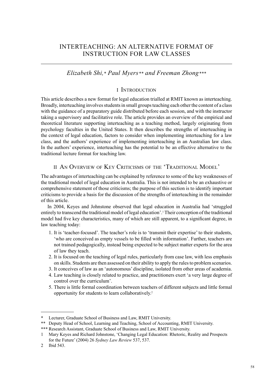# INTERTEACHING: AN ALTERNATIVE FORMAT OF INSTRUCTION FOR LAW CLASSES

# *Elizabeth Shi,\* Paul Myers\*\* and Freeman Zhong\*\*\**

## I Introduction

This article describes a new format for legal education trialled at RMIT known as interteaching. Broadly, interteaching involves students in small groups teaching each other the content of a class with the guidance of a preparatory guide distributed before each session, and with the instructor taking a supervisory and facilitative role. The article provides an overview of the empirical and theoretical literature supporting interteaching as a teaching method, largely originating from psychology faculties in the United States. It then describes the strengths of interteaching in the context of legal education, factors to consider when implementing interteaching for a law class, and the authors' experience of implementing interteaching in an Australian law class. In the authors' experience, interteaching has the potential to be an effective alternative to the traditional lecture format for teaching law.

# II An Overview of Key Criticisms of the 'Traditional Model'

The advantages of interteaching can be explained by reference to some of the key weaknesses of the traditional model of legal education in Australia. This is not intended to be an exhaustive or comprehensive statement of those criticisms; the purpose of this section is to identify important criticisms to provide a basis for the discussion of the strengths of interteaching in the remainder of this article.

In 2004, Keyes and Johnstone observed that legal education in Australia had 'struggled entirely to transcend the traditional model of legal education'.<sup>1</sup> Their conception of the traditional model had five key characteristics, many of which are still apparent, to a significant degree, in law teaching today:

- 1. It is 'teacher-focused'. The teacher's role is to 'transmit their expertise' to their students, 'who are conceived as empty vessels to be filled with information'. Further, teachers are not trained pedagogically, instead being expected to be subject matter experts for the area of law they teach.
- 2. It is focused on the teaching of legal rules, particularly from case law, with less emphasis on skills. Students are then assessed on their ability to apply the rules to problem scenarios.
- 3. It conceives of law as an 'autonomous' discipline, isolated from other areas of academia.
- 4. Law teaching is closely related to practice, and practitioners exert 'a very large degree of control over the curriculum'.
- 5. There is little formal coordination between teachers of different subjects and little formal opportunity for students to learn collaboratively.2

Lecturer, Graduate School of Business and Law, RMIT University.

<sup>\*\*</sup> Deputy Head of School, Learning and Teaching, School of Accounting, RMIT University.

<sup>\*\*\*</sup> Research Assistant, Graduate School of Business and Law, RMIT University.

<sup>1</sup> Mary Keyes and Richard Johnstone, 'Changing Legal Education: Rhetoric, Reality and Prospects for the Future' (2004) 26 *Sydney Law Review* 537, 537.

<sup>2</sup> Ibid 543.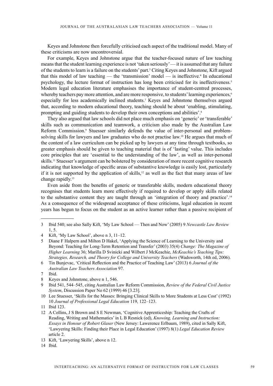Keyes and Johnstone then forcefully criticised each aspect of the traditional model. Many of these criticisms are now uncontroversial.

For example, Keyes and Johnstone argue that the teacher-focused nature of law teaching means that the student learning experience is not 'taken seriously' — it is assumed that any failure of the students to learn is a failure on the students' part.3 Citing Keyes and Johnstone, Kift argued that this model of law teaching  $-$  the 'transmission' model  $-$  is ineffective.<sup>4</sup> In educational psychology, the lecture format of instruction has long been criticised for its ineffectiveness.5 Modern legal education literature emphasises the importance of student-centred processes, whereby teachers pay more attention, and are more responsive, to students' learning experiences,<sup>6</sup> especially for less academically inclined students.7 Keyes and Johnstone themselves argued that, according to modern educational theory, teaching should be about 'enabling, stimulating, prompting and guiding students to develop their own conceptions and abilities'.8

They also argued that law schools did not place much emphasis on 'generic' or 'transferable' skills such as communication and teamwork, a criticism also made by the Australian Law Reform Commission.<sup>9</sup> Stuesser similarly defends the value of inter-personal and problemsolving skills for lawyers and law graduates who do not practise law.<sup>10</sup> He argues that much of the content of a law curriculum can be picked up by lawyers at any time through textbooks, so greater emphasis should be given to teaching material that is of 'lasting' value. This includes core principles that are 'essential to the understanding of the law', as well as inter-personal skills.11 Stuesser's argument can be bolstered by consideration of more recent cognitive research indicating that knowledge of specific areas of substantive knowledge is easily lost, particularly if it is not supported by the application of skills, $12$  as well as the fact that many areas of law change rapidly.<sup>13</sup>

Even aside from the benefits of generic or transferable skills, modern educational theory recognises that students learn more effectively if required to develop or apply skills related to the substantive content they are taught through an 'integration of theory and practice'.<sup>14</sup> As a consequence of the widespread acceptance of these criticisms, legal education in recent years has begun to focus on the student as an active learner rather than a passive recipient of

5 Diane F Halpern and Milton D Hakel, 'Applying the Science of Learning to the University and Beyond: Teaching for Long-Term Retention and Transfer' (2003) 35(4) *Change: The Magazine of Higher Learning* 36; Marilla D Svinicki and Wilbert J McKeachie, *McKeachie's Teaching Tips: Strategies, Research, and Theory for College and University Teachers* (Wadsworth, 14th ed, 2006).

<sup>3</sup> Ibid 540; see also Sally Kift, 'My Law School — Then and Now' (2005) 9 *Newcastle Law Review* 1, 5.

<sup>4</sup> Kift, 'My Law School', above n 3, 11–12.

<sup>6</sup> Tin Bunjevac, 'Critical Reflection and the Practice of Teaching Law' (2013) 6 *Journal of the Australian Law Teachers Association* 97.

<sup>7</sup> Ibid.

<sup>8</sup> Keyes and Johnstone, above n 1, 546.

<sup>9</sup> Ibid 541, 544–545, citing Australian Law Reform Commission, *Review of the Federal Civil Justice System*, Discussion Paper No 62 (1999) 46 [3.23].

<sup>10</sup> Lee Stuesser, 'Skills for the Masses: Bringing Clinical Skills to More Students at Less Cost' (1992) 10 *Journal of Professional Legal Education* 119, 122–123.

<sup>11</sup> Ibid 123.

<sup>12</sup> A Collins, J S Brown and S E Newman, 'Cognitive Apprenticeship: Teaching the Crafts of Reading, Writing and Mathematics' in L B Resnick (ed), *Knowing, Learning and Instruction: Essays in Honour of Robert Glaser* (New Jersey: Lawerence Erlbaum, 1989), cited in Sally Kift, 'Lawyering Skills: Finding their Place in Legal Education' (1997) 8(1) *Legal Education Review*  article 2.

<sup>13</sup> Kift, 'Lawyering Skills', above n 12.

<sup>14</sup> Ibid.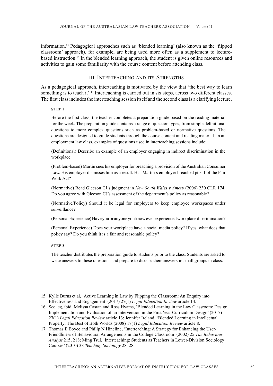information.15 Pedagogical approaches such as 'blended learning' (also known as the 'flipped classroom' approach), for example, are being used more often as a supplement to lecturebased instruction.16 In the blended learning approach, the student is given online resources and activities to gain some familiarity with the course content before attending class.

## III Interteaching and its Strengths

As a pedagogical approach, interteaching is motivated by the view that 'the best way to learn something is to teach it'.<sup>17</sup> Interteaching is carried out in six steps, across two different classes. The first class includes the interteaching session itself and the second class is a clarifying lecture.

#### **STEP 1**

Before the first class, the teacher completes a preparation guide based on the reading material for the week. The preparation guide contains a range of question types, from simple definitional questions to more complex questions such as problem-based or normative questions. The questions are designed to guide students through the course content and reading material. In an employment law class, examples of questions used in interteaching sessions include:

(Definitional) Describe an example of an employer engaging in indirect discrimination in the workplace.

(Problem-based) Martin sues his employer for breaching a provision of the Australian Consumer Law. His employer dismisses him as a result. Has Martin's employer breached pt 3-1 of the Fair Work Act?

(Normative) Read Gleeson CJ's judgment in *New South Wales v Amery* (2006) 230 CLR 174. Do you agree with Gleeson CJ's assessment of the department's policy as reasonable?

(Normative/Policy) Should it be legal for employers to keep employee workspaces under surveillance?

(Personal Experience) Have you or anyone you know ever experienced workplace discrimination?

(Personal Experience) Does your workplace have a social media policy? If yes, what does that policy say? Do you think it is a fair and reasonable policy?

#### **STEP 2**

The teacher distributes the preparation guide to students prior to the class. Students are asked to write answers to these questions and prepare to discuss their answers in small groups in class.

<sup>15</sup> Kylie Burns et al, 'Active Learning in Law by Flipping the Classroom: An Enquiry into Effectiveness and Engagement' (2017) 27(1) *Legal Education Review* article 14.

<sup>16</sup> See, eg, ibid; Melissa Castan and Ross Hyams, 'Blended Learning in the Law Classroom: Design, Implementation and Evaluation of an Intervention in the First Year Curriculum Design' (2017) 27(1) *Legal Education Review* article 13; Jennifer Ireland, 'Blended Learning in Intellectual Property: The Best of Both Worlds (2008) 18(1) *Legal Education Review* article 8.

<sup>17</sup> Thomas E Boyce and Philip N Hineline, 'Interteaching: A Strategy for Enhancing the User-Friendliness of Behavioural Arrangements in the College Classroom' (2002) 25 *The Behaviour Analyst* 215, 218; Ming Tsui, 'Interteaching: Students as Teachers in Lower-Division Sociology Courses' (2010) 38 *Teaching Sociology* 28, 28.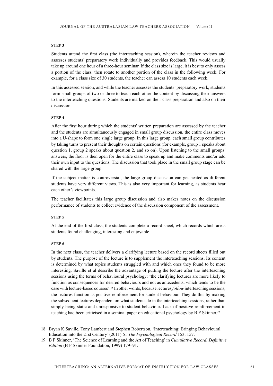#### **STEP 3**

Students attend the first class (the interteaching session), wherein the teacher reviews and assesses students' preparatory work individually and provides feedback. This would usually take up around one hour of a three-hour seminar. If the class size is large, it is best to only assess a portion of the class, then rotate to another portion of the class in the following week. For example, for a class size of 30 students, the teacher can assess 10 students each week.

In this assessed session, and while the teacher assesses the students' preparatory work, students form small groups of two or three to teach each other the content by discussing their answers to the interteaching questions. Students are marked on their class preparation and also on their discussion.

#### **STEP 4**

After the first hour during which the students' written preparation are assessed by the teacher and the students are simultaneously engaged in small group discussion, the entire class moves into a U-shape to form one single large group. In this large group, each small group contributes by taking turns to present their thoughts on certain questions (for example, group 1 speaks about question 1, group 2 speaks about question 2, and so on). Upon listening to the small groups' answers, the floor is then open for the entire class to speak up and make comments and/or add their own input to the questions. The discussion that took place in the small group stage can be shared with the large group.

If the subject matter is controversial, the large group discussion can get heated as different students have very different views. This is also very important for learning, as students hear each other's viewpoints.

The teacher facilitates this large group discussion and also makes notes on the discussion performance of students to collect evidence of the discussion component of the assessment.

#### **STEP 5**

At the end of the first class, the students complete a record sheet, which records which areas students found challenging, interesting and enjoyable.

#### **STEP 6**

In the next class, the teacher delivers a clarifying lecture based on the record sheets filled out by students. The purpose of the lecture is to supplement the interteaching sessions. Its content is determined by what topics students struggled with and which ones they found to be more interesting. Saville et al describe the advantage of putting the lecture after the interteaching sessions using the terms of behavioural psychology: 'the clarifying lectures are more likely to function as consequences for desired behaviours and not as antecedents, which tends to be the case with lecture-based courses'.18 In other words, because lectures *follow* interteaching sessions, the lectures function as positive reinforcement for student behaviour. They do this by making the subsequent lectures dependent on what students do in the interteaching sessions, rather than simply being static and unresponsive to student behaviour. Lack of positive reinforcement in teaching had been criticised in a seminal paper on educational psychology by B F Skinner.19

<sup>18</sup> Bryan K Saville, Tony Lambert and Stephen Robertson, 'Interteaching: Bringing Behavioural Education into the 21st Century' (2011) 61 *The Psychological Record* 153, 157.

<sup>19</sup> B F Skinner, 'The Science of Learning and the Art of Teaching' in *Cumulative Record, Definitive Edition* (B F Skinner Foundation, 1999) 179–91.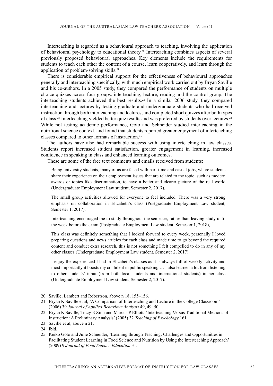Interteaching is regarded as a behavioural approach to teaching, involving the application of behavioural psychology to educational theory.20 Interteaching combines aspects of several previously proposed behavioural approaches. Key elements include the requirements for students to teach each other the content of a course, learn cooperatively, and learn through the application of problem-solving skills.21

There is considerable empirical support for the effectiveness of behavioural approaches generally and interteaching specifically, with much empirical work carried out by Bryan Saville and his co-authors. In a 2005 study, they compared the performance of students on multiple choice quizzes across four groups: interteaching, lecture, reading and the control group. The interteaching students achieved the best results.22 In a similar 2006 study, they compared interteaching and lectures by testing graduate and undergraduate students who had received instruction through both interteaching and lectures, and completed short quizzes after both types of class.23 Interteaching yielded better quiz results and was preferred by students over lectures.24 While not testing academic performance, Goto and Schneider studied interteaching in the nutritional science context, and found that students reported greater enjoyment of interteaching classes compared to other formats of instruction.25

The authors have also had remarkable success with using interteaching in law classes. Students report increased student satisfaction, greater engagement in learning, increased confidence in speaking in class and enhanced learning outcomes.

These are some of the free text comments and emails received from students:

Being university students, many of us are faced with part-time and casual jobs, where students share their experience on their employment issues that are related to the topic, such as modern awards or topics like discrimination, to have a better and clearer picture of the real world (Undergraduate Employment Law student, Semester 2, 2017).

The small group activities allowed for everyone to feel included. There was a very strong emphasis on collaboration in Elizabeth's class (Postgraduate Employment Law student, Semester 1, 2017).

Interteaching encouraged me to study throughout the semester, rather than leaving study until the week before the exam (Postgraduate Employment Law student, Semester 1, 2018),

This class was definitely something that I looked forward to every week, personally I loved preparing questions and news articles for each class and made time to go beyond the required content and conduct extra research, this is not something I felt compelled to do in any of my other classes (Undergraduate Employment Law student, Semester 2, 2017).

I enjoy the experienced I had in Elizabeth's classes as it is always full of weekly activity and most importantly it boosts my confident in public speaking … I also learned a lot from listening to other students' input (from both local students and international students) in her class (Undergraduate Employment Law student, Semester 2, 2017).

<sup>20</sup> Saville, Lambert and Robertson, above n 18, 155–156.

<sup>21</sup> Bryan K Saville et al, 'A Comparison of Interteaching and Lecture in the College Classroom' (2006) 39 *Journal of Applied Behaviour Analysis* 49, 49–50.

<sup>22</sup> Bryan K Saville, Tracy E Zinn and Marcus P Elliott, 'Interteaching Versus Traditional Methods of Instruction: A Preliminary Analysis' (2005) 32 *Teaching of Psychology* 161.

<sup>23</sup> Saville et al, above n 21.

<sup>24</sup> Ibid.

<sup>25</sup> Keiko Goto and Julie Schneider, 'Learning through Teaching: Challenges and Opportunities in Facilitating Student Learning in Food Science and Nutrition by Using the Interteaching Approach' (2009) 9 *Journal of Food Science Education* 31.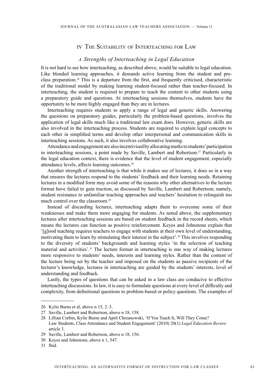## IV The Suitability of Interteaching for Law

### *A Strengths of Interteaching in Legal Education*

It is not hard to see how interteaching, as described above, would be suitable to legal education. Like blended learning approaches, it demands active learning from the student and preclass preparation.26 This is a departure from the first, and frequently criticised, characteristic of the traditional model by making learning student-focused rather than teacher-focused. In interteaching, the student is required to prepare to teach the content to other students using a preparatory guide and questions. At interteaching sessions themselves, students have the opportunity to be more highly engaged than they are in lectures.

Interteaching requires students to apply a range of legal and generic skills. Answering the questions on preparatory guides, particularly the problem-based questions, involves the application of legal skills much like a traditional law exam does. However, generic skills are also involved in the interteaching process. Students are required to explain legal concepts to each other in simplified terms and develop other interpersonal and communication skills in interteaching sessions. As such, it also involves collaborative learning.

Attendance and engagement are also incentivised by allocating marks to students' participation in interteaching sessions, a point made by Saville, Lambert and Robertson.<sup>27</sup> Particularly in the legal education context, there is evidence that the level of student engagement, especially attendance levels, affects learning outcomes.28

Another strength of interteaching is that while it makes use of lectures, it does so in a way that ensures the lectures respond to the students' feedback and their learning needs. Retaining lectures in a modified form may avoid some of the reasons why other alternatives to the lecture format have failed to gain traction, as discussed by Saville, Lambert and Robertson; namely, student resistance to unfamiliar teaching approaches and teachers' hesitation to relinquish too much control over the classroom.29

Instead of discarding lectures, interteaching adapts them to overcome some of their weaknesses and make them more engaging for students. As noted above, the supplementary lectures after interteaching sessions are based on student feedback in the record sheets, which means the lectures can function as positive reinforcement. Keyes and Johnstone explain that '[g]ood teaching requires teachers to engage with students at their own level of understanding, motivating them to learn by stimulating their interest in the subject'.30 This involves responding to the diversity of students' backgrounds and learning styles 'in the selection of teaching material and activities'.31 The lecture format in interteaching is one way of making lectures more responsive to students' needs, interests and learning styles. Rather than the content of the lecture being set by the teacher and imposed on the students as passive recipients of the lecturer's knowledge, lectures in interteaching are guided by the students' interests, level of understanding and feedback.

Lastly, the types of questions that can be asked in a law class are conducive to effective interteaching discussions. In law, it is easy to formulate questions at every level of difficulty and complexity, from definitional questions to problem-based or policy questions. The examples of

<sup>26</sup> Kylie Burns et al, above n 15, 2–3.

<sup>27</sup> Saville, Lambert and Robertson, above n 18, 158.

<sup>28</sup> Lillian Corbin, Kylie Burns and April Chrzanowski, 'If You Teach It, Will They Come? Law Students, Class Attendance and Student Engagement' (2010) 20(1) *Legal Education Review*  article 3.

<sup>29</sup> Saville, Lambert and Robertson, above n 18, 156.

<sup>30</sup> Keyes and Johnstone, above n 1, 547.

<sup>31</sup> Ibid.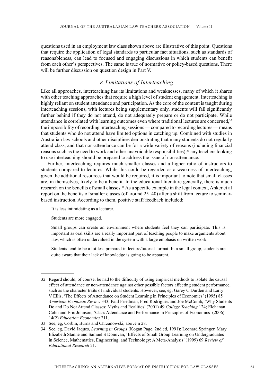questions used in an employment law class shown above are illustrative of this point. Questions that require the application of legal standards to particular fact situations, such as standards of reasonableness, can lead to focused and engaging discussions in which students can benefit from each other's perspectives. The same is true of normative or policy-based questions. There will be further discussion on question design in Part V.

## *B Limitations of Interteaching*

Like all approaches, interteaching has its limitations and weaknesses, many of which it shares with other teaching approaches that require a high level of student engagement. Interteaching is highly reliant on student attendance and participation. As the core of the content is taught during interteaching sessions, with lectures being supplementary only, students will fall significantly further behind if they do not attend, do not adequately prepare or do not participate. While attendance is correlated with learning outcomes even where traditional lectures are concerned,<sup>32</sup> the impossibility of recording interteaching sessions — compared to recording lectures — means that students who do not attend have limited options in catching up. Combined with studies in Australian law schools and other disciplines demonstrating that many students do not regularly attend class, and that non-attendance can be for a wide variety of reasons (including financial reasons such as the need to work and other unavoidable responsibilities),<sup>33</sup> any teachers looking to use interteaching should be prepared to address the issue of non-attendance.

Further, interteaching requires much smaller classes and a higher ratio of instructors to students compared to lectures. While this could be regarded as a weakness of interteaching, given the additional resources that would be required, it is important to note that small classes are, in themselves, likely to be a benefit. In the educational literature generally, there is much research on the benefits of small classes.<sup>34</sup> As a specific example in the legal context, Anker et al report on the benefits of smaller classes (of around 25–40) after a shift from lecture to seminarbased instruction. According to them, positive staff feedback included:

It is less intimidating as a lecturer.

Students are more engaged.

Small groups can create an environment where students feel they can participate. This is important as oral skills are a really important part of teaching people to make arguments about law, which is often undervalued in the system with a large emphasis on written work.

Students tend to be a lot less prepared in lecture/tutorial format. In a small group, students are quite aware that their lack of knowledge is going to be apparent.

<sup>32</sup> Regard should, of course, be had to the difficulty of using empirical methods to isolate the causal effect of attendance or non-attendance against other possible factors affecting student performance, such as the character traits of individual students. However, see, eg, Garey C Durden and Larry V Ellis, 'The Effects of Attendance on Student Learning in Principles of Economics' (1995) 85 *American Economic Review* 343; Paul Friedman, Fred Rodriguez and Joe McComb, 'Why Students Do and Do Not Attend Classes: Myths and Realities' (2001) 49 *College Teaching* 124; Elchanan Cohn and Eric Johnson, 'Class Attendance and Performance in Principles of Economics' (2006) 14(2) *Education Economics* 211.

<sup>33</sup> See, eg, Corbin, Burns and Chrzanowski, above n 28.

<sup>34</sup> See, eg, David Jaques, *Learning in Groups* (Kogan Page, 2nd ed, 1991); Leonard Springer, Mary Elizabeth Stanne and Samuel S Donovan, 'Effects of Small Group Learning on Undergraduates in Science, Mathematics, Engineering, and Technology: A Meta-Analysis' (1999) 69 *Review of Educational Research* 21.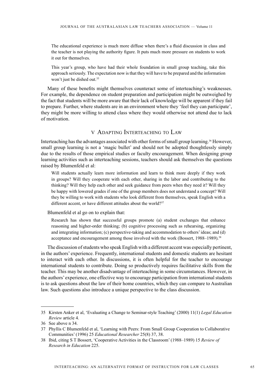The educational experience is much more diffuse when there's a fluid discussion in class and the teacher is not playing the authority figure. It puts much more pressure on students to work it out for themselves.

This year's group, who have had their whole foundation in small group teaching, take this approach seriously. The expectation now is that they will have to be prepared and the information won't just be dished out.<sup>35</sup>

Many of these benefits might themselves counteract some of interteaching's weaknesses. For example, the dependence on student preparation and participation might be outweighed by the fact that students will be more aware that their lack of knowledge will be apparent if they fail to prepare. Further, where students are in an environment where they 'feel they can participate', they might be more willing to attend class where they would otherwise not attend due to lack of motivation.

## V Adapting Interteaching to Law

Interteaching has the advantages associated with other forms of small group learning.36 However, small group learning is not a 'magic bullet' and should not be adopted thoughtlessly simply due to the results of those empirical studies or faculty encouragement. When designing group learning activities such as interteaching sessions, teachers should ask themselves the questions raised by Blumenfeld et al:

Will students actually learn more information and learn to think more deeply if they work in groups? Will they cooperate with each other, sharing in the labor and contributing to the thinking? Will they help each other and seek guidance from peers when they need it? Will they be happy with lowered grades if one of the group members does not understand a concept? Will they be willing to work with students who look different from themselves, speak English with a different accent, or have different attitudes about the world?<sup>37</sup>

#### Blumenfeld et al go on to explain that:

Research has shown that successful groups promote (a) student exchanges that enhance reasoning and higher-order thinking; (b) cognitive processing such as rehearsing, organizing and integrating information; (c) perspective-taking and accommodation to others' ideas; and (d) acceptance and encouragement among those involved with the work (Bossert, 1988–1989).<sup>38</sup>

The discussion of students who speak English with a different accent was especially pertinent, in the authors' experience. Frequently, international students and domestic students are hesitant to interact with each other. In discussions, it is often helpful for the teacher to encourage international students to contribute. Doing so productively requires facilitative skills from the teacher. This may be another disadvantage of interteaching in some circumstances. However, in the authors' experience, one effective way to encourage participation from international students is to ask questions about the law of their home countries, which they can compare to Australian law. Such questions also introduce a unique perspective to the class discussion.

<sup>35</sup> Kirsten Anker et al, 'Evaluating a Change to Seminar-style Teaching' (2000) 11(1) *Legal Education Review* article 4.

<sup>36</sup> See above n 34.

<sup>37</sup> Phyllis C Blumenfeld et al, 'Learning with Peers: From Small Group Cooperation to Collaborative Communities' (1996) 25 *Educational Researcher* 25(8) 37, 38.

<sup>38</sup> Ibid, citing S T Bossert, 'Cooperative Activities in the Classroom' (1988–1989) 15 *Review of Research in Education* 225.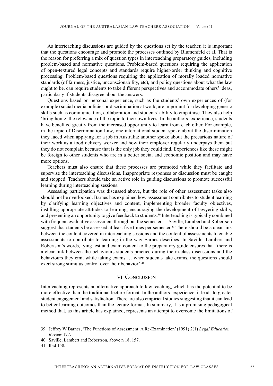As interteaching discussions are guided by the questions set by the teacher, it is important that the questions encourage and promote the processes outlined by Blumenfeld et al. That is the reason for preferring a mix of question types in interteaching preparatory guides, including problem-based and normative questions. Problem-based questions requiring the application of open-textured legal concepts and standards require higher-order thinking and cognitive processing. Problem-based questions requiring the application of morally loaded normative standards (of fairness, justice, unconscionability, etc), and policy questions about what the law ought to be, can require students to take different perspectives and accommodate others' ideas, particularly if students disagree about the answers.

Questions based on personal experience, such as the students' own experiences of (for example) social media policies or discrimination at work, are important for developing generic skills such as communication, collaboration and students' ability to empathise. They also help 'bring home' the relevance of the topic to their own lives. In the authors' experience, students have benefited greatly from the increased opportunity to learn from each other. For example, in the topic of Discrimination Law*,* one international student spoke about the discrimination they faced when applying for a job in Australia; another spoke about the precarious nature of their work as a food delivery worker and how their employer regularly underpays them but they do not complain because that is the only job they could find. Experiences like these might be foreign to other students who are in a better social and economic position and may have more options.

Teachers must also ensure that these processes are promoted while they facilitate and supervise the interteaching discussions. Inappropriate responses or discussion must be caught and stopped. Teachers should take an active role in guiding discussions to promote successful learning during interteaching sessions.

Assessing participation was discussed above, but the role of other assessment tasks also should not be overlooked. Barnes has explained how assessment contributes to student learning by clarifying learning objectives and content, implementing broader faculty objectives, instilling appropriate attitudes to learning, encouraging the development of lawyering skills, and presenting an opportunity to give feedback to students.39 Interteaching is typically combined with frequent evaluative assessment throughout the semester — Saville, Lambert and Robertson suggest that students be assessed at least five times per semester.<sup>40</sup> There should be a clear link between the content covered in interteaching sessions and the content of assessments to enable assessments to contribute to learning in the way Barnes describes. In Saville, Lambert and Robertson's words, tying test and exam content to the preparatory guide ensures that 'there is a clear link between the behaviours students practice during the in-class discussions and the behaviours they emit while taking exams … when students take exams, the questions should exert strong stimulus control over their behavior'.<sup>41</sup>

#### VI CONCLUSION

Interteaching represents an alternative approach to law teaching, which has the potential to be more effective than the traditional lecture format. In the authors' experience, it leads to greater student engagement and satisfaction. There are also empirical studies suggesting that it can lead to better learning outcomes than the lecture format. In summary, it is a promising pedagogical method that, as this article has explained, represents an attempt to overcome the limitations of

<sup>39</sup> Jeffrey W Barnes, 'The Functions of Assessment: A Re-Examination' (1991) 2(1) *Legal Education Review* 177.

<sup>40</sup> Saville, Lambert and Robertson, above n 18, 157.

<sup>41</sup> Ibid 158.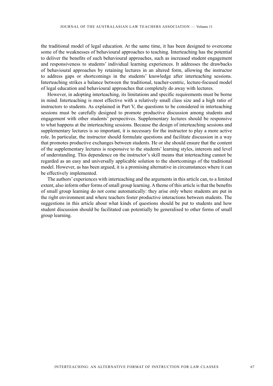the traditional model of legal education. At the same time, it has been designed to overcome some of the weaknesses of behavioural approaches to teaching. Interteaching has the potential to deliver the benefits of such behavioural approaches, such as increased student engagement and responsiveness to students' individual learning experiences. It addresses the drawbacks of behavioural approaches by retaining lectures in an altered form, allowing the instructor to address gaps or shortcomings in the students' knowledge after interteaching sessions. Interteaching strikes a balance between the traditional, teacher-centric, lecture-focused model of legal education and behavioural approaches that completely do away with lectures.

However, in adopting interteaching, its limitations and specific requirements must be borne in mind. Interteaching is most effective with a relatively small class size and a high ratio of instructors to students. As explained in Part V, the questions to be considered in interteaching sessions must be carefully designed to promote productive discussion among students and engagement with other students' perspectives. Supplementary lectures should be responsive to what happens at the interteaching sessions. Because the design of interteaching sessions and supplementary lectures is so important, it is necessary for the instructor to play a more active role. In particular, the instructor should formulate questions and facilitate discussion in a way that promotes productive exchanges between students. He or she should ensure that the content of the supplementary lectures is responsive to the students' learning styles, interests and level of understanding. This dependence on the instructor's skill means that interteaching cannot be regarded as an easy and universally applicable solution to the shortcomings of the traditional model. However, as has been argued, it is a promising alternative in circumstances where it can be effectively implemented.

The authors' experiences with interteaching and the arguments in this article can, to a limited extent, also inform other forms of small group learning. A theme of this article is that the benefits of small group learning do not come automatically: they arise only where students are put in the right environment and where teachers foster productive interactions between students. The suggestions in this article about what kinds of questions should be put to students and how student discussion should be facilitated can potentially be generalised to other forms of small group learning.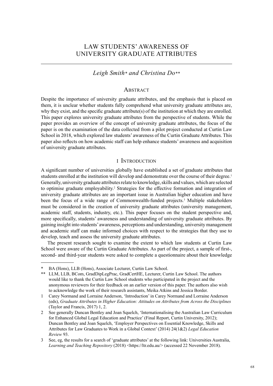# LAW STUDENTS' AWARENESS OF UNIVERSITY GRADUATE ATTRIBUTES

# *Leigh Smith\* and Christina Do\*\**

## **ABSTRACT**

Despite the importance of university graduate attributes, and the emphasis that is placed on them, it is unclear whether students fully comprehend what university graduate attributes are, why they exist, and the specific graduate attribute(s) of the institution at which they are enrolled. This paper explores university graduate attributes from the perspective of students. While the paper provides an overview of the concept of university graduate attributes, the focus of the paper is on the examination of the data collected from a pilot project conducted at Curtin Law School in 2018, which explored law students' awareness of the Curtin Graduate Attributes. This paper also reflects on how academic staff can help enhance students' awareness and acquisition of university graduate attributes.

## I Introduction

A significant number of universities globally have established a set of graduate attributes that students enrolled at the institution will develop and demonstrate over the course of their degree.<sup>1</sup> Generally, university graduate attributes relate to knowledge, skills and values, which are selected to optimise graduate employability.<sup>2</sup> Strategies for the effective formation and integration of university graduate attributes are an important issue in Australian higher education and have been the focus of a wide range of Commonwealth-funded projects.<sup>3</sup> Multiple stakeholders must be considered in the creation of university graduate attributes (university management, academic staff, students, industry, etc.). This paper focuses on the student perspective and, more specifically, students' awareness and understanding of university graduate attributes. By gaining insight into students' awareness, perceptions and understanding, university management and academic staff can make informed choices with respect to the strategies that they use to develop, teach and assess the university graduate attributes.

The present research sought to examine the extent to which law students at Curtin Law School were aware of the Curtin Graduate Attributes. As part of the project, a sample of first-, second- and third-year students were asked to complete a questionnaire about their knowledge

BA (Hons), LLB (Hons), Associate Lecturer, Curtin Law School.

<sup>\*\*</sup> LLM, LLB, BCom, GradDipLegPrac, GradCertHE, Lecturer, Curtin Law School. The authors would like to thank the Curtin Law School students who participated in the project and the anonymous reviewers for their feedback on an earlier version of this paper. The authors also wish to acknowledge the work of their research assistants, Meika Atkins and Jessica Border.

<sup>1</sup> Carey Normand and Lorraine Anderson, 'Introduction' in Carey Normand and Lorraine Anderson (eds), *Graduate Attributes in Higher Education: Attitudes on Attributes from Across the Disciplines* (Taylor and Francis, 2017) 1, 2.

<sup>2</sup> See generally Duncan Bentley and Joan Squelch, 'Internationalising the Australian Law Curriculum for Enhanced Global Legal Education and Practice' (Final Report, Curtin University, 2012); Duncan Bentley and Joan Squelch, 'Employer Perspectives on Essential Knowledge, Skills and Attributes for Law Graduates to Work in a Global Context' (2014) 24(1&2) *Legal Education Review* 93.

<sup>3</sup> See, eg, the results for a search of 'graduate attributes' at the following link: Universities Australia, Learning and Teaching Repository (2018) <https://ltr.edu.au/> (accessed 22 November 2018).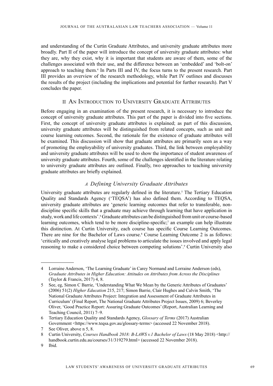and understanding of the Curtin Graduate Attributes, and university graduate attributes more broadly. Part II of the paper will introduce the concept of university graduate attributes: what they are, why they exist, why it is important that students are aware of them, some of the challenges associated with their use, and the difference between an 'embedded' and 'bolt-on' approach to teaching them.4 In Parts III and IV, the focus turns to the present research. Part III provides an overview of the research methodology, while Part IV outlines and discusses the results of the project (including the implications and potential for further research). Part V concludes the paper.

# II An Introduction to University Graduate Attributes

Before engaging in an examination of the present research, it is necessary to introduce the concept of university graduate attributes. This part of the paper is divided into five sections. First, the concept of university graduate attributes is explained; as part of this discussion, university graduate attributes will be distinguished from related concepts, such as unit and course learning outcomes. Second, the rationale for the existence of graduate attributes will be examined. This discussion will show that graduate attributes are primarily seen as a way of promoting the employability of university graduates. Third, the link between employability and university graduate attributes will be used to show the importance of student awareness of university graduate attributes. Fourth, some of the challenges identified in the literature relating to university graduate attributes are outlined. Finally, two approaches to teaching university graduate attributes are briefly explained.

# *A Defining University Graduate Attributes*

University graduate attributes are regularly defined in the literature.<sup>5</sup> The Tertiary Education Quality and Standards Agency ('TEQSA') has also defined them. According to TEQSA, university graduate attributes are 'generic learning outcomes that refer to transferable, nondiscipline specific skills that a graduate may achieve through learning that have application in study, work and life contexts'. 6 Graduate attributes can be distinguished from unit or course-based learning outcomes, which tend to be more discipline-specific;<sup>7</sup> an example can help illustrate this distinction. At Curtin University, each course has specific Course Learning Outcomes. There are nine for the Bachelor of Laws course.<sup>8</sup> Course Learning Outcome 2 is as follows: 'critically and creatively analyse legal problems to articulate the issues involved and apply legal reasoning to make a considered choice between competing solutions'.9 Curtin University also

9 Ibid.

<sup>4</sup> Lorraine Anderson, 'The Learning Graduate' in Carey Normand and Lorraine Anderson (eds), *Graduate Attributes in Higher Education: Attitudes on Attributes from Across the Disciplines* (Taylor & Francis, 2017) 4, 8.

<sup>5</sup> See, eg, Simon C Barrie, 'Understanding What We Mean by the Generic Attributes of Graduates' (2006) 51(2) *Higher Education* 215, 217; Simon Barrie, Clair Hughes and Calvin Smith, 'The National Graduate Attributes Project: Integration and Assessment of Graduate Attributes in Curriculum' (Final Report, The National Graduate Attributes Project Issues, 2009) 6; Beverley Oliver, 'Good Practice Report: Assuring Graduate Outcomes' (Report, Australian Learning and Teaching Council, 2011) 7–9.

<sup>6</sup> Tertiary Education Quality and Standards Agency, *Glossary of Terms* (2017) Australian Government <https://www.teqsa.gov.au/glossary-terms> (accessed 22 November 2018).

<sup>7</sup> See Oliver, above n 5, 8.

<sup>8</sup> Curtin University, *Courses Handbook 2018: B-LAWS v.1 Bachelor of Laws* (18 May 2018) <http:// handbook.curtin.edu.au/courses/31/319279.html> (accessed 22 November 2018).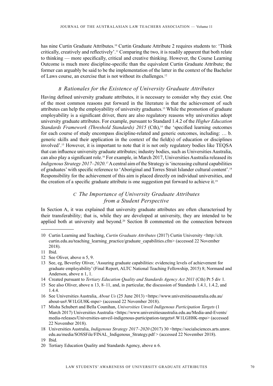has nine Curtin Graduate Attributes.<sup>10</sup> Curtin Graduate Attribute 2 requires students to: 'Think critically, creatively and reflectively'.11 Comparing the two, it is readily apparent that both relate to thinking — more specifically, critical and creative thinking. However, the Course Learning Outcome is much more discipline-specific than the equivalent Curtin Graduate Attribute; the former can arguably be said to be the implementation of the latter in the context of the Bachelor of Laws course, an exercise that is not without its challenges.12

### *B Rationales for the Existence of University Graduate Attributes*

Having defined university graduate attributes, it is necessary to consider why they exist. One of the most common reasons put forward in the literature is that the achievement of such attributes can help the employability of university graduates.13 While the promotion of graduate employability is a significant driver, there are also regulatory reasons why universities adopt university graduate attributes. For example, pursuant to Standard 1.4.2 of the *Higher Education Standards Framework (Threshold Standards) 2015* (Cth),<sup>14</sup> the 'specified learning outcomes for each course of study encompass discipline-related and generic outcomes, including: … b. generic skills and their application in the context of the field(s) of education or disciplines involved'.15 However, it is important to note that it is not only regulatory bodies like TEQSA that can influence university graduate attributes; industry bodies, such as Universities Australia, can also play a significant role.16 For example, in March 2017, Universities Australia released its *Indigenous Strategy 2017–2020*. 17 A central aim of the Strategy is 'increasing cultural capabilities of graduates' with specific reference to 'Aboriginal and Torres Strait Islander cultural content'.<sup>18</sup> Responsibility for the achievement of this aim is placed directly on individual universities, and the creation of a specific graduate attribute is one suggestion put forward to achieve it.<sup>19</sup>

# *C The Importance of University Graduate Attributes from a Student Perspective*

In Section A, it was explained that university graduate attributes are often characterised by their transferability; that is, while they are developed at university, they are intended to be applied both at university and beyond.<sup>20</sup> Section B commented on the connection between

<sup>10</sup> Curtin Learning and Teaching, *Curtin Graduate Attributes* (2017) Curtin University <http://clt. curtin.edu.au/teaching\_learning\_practice/graduate\_capabilities.cfm> (accessed 22 November 2018).

<sup>11</sup> Ibid.

<sup>12</sup> See Oliver, above n 5, 9.

<sup>13</sup> See, eg, Beverley Oliver, 'Assuring graduate capabilities: evidencing levels of achievement for graduate employability' (Final Report, ALTC National Teaching Fellowship, 2015) 8; Normand and Anderson, above n 1, 1.

<sup>14</sup> Created pursuant to *Tertiary Education Quality and Standards Agency Act 2011* (Cth) Pt 5 div 1.

<sup>15</sup> See also Oliver, above n 13, 8–11, and, in particular, the discussion of Standards 1.4.1, 1.4.2, and 1.4.4.

<sup>16</sup> See Universities Australia, *About Us* (25 June 2013) <https://www.universitiesaustralia.edu.au/ about-us#.W1LGU8K-mpo> (accessed 22 November 2018).

<sup>17</sup> Misha Schubert and Bella Counihan, *Universities Unveil Indigenous Participation Targets* (1 March 2017) Universities Australia <https://www.universitiesaustralia.edu.au/Media-and-Events/ media-releases/Universities-unveil-indigenous-participation-targets#.W1LGH8K-mpo> (accessed 22 November 2018).

<sup>18</sup> Universities Australia, *Indigenous Strategy 2017–2020* (2017) 30 <https://socialsciences.arts.unsw. edu.au/media/SOSSFile/FINAL\_Indigenous\_Strategy.pdf > (accessed 22 November 2018). 19 Ibid.

<sup>20</sup> Tertiary Education Quality and Standards Agency, above n 6.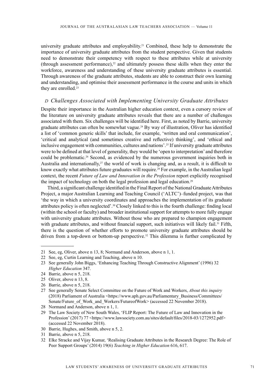university graduate attributes and employability.21 Combined, these help to demonstrate the importance of university graduate attributes from the student perspective. Given that students need to demonstrate their competency with respect to these attributes while at university (through assessment performance), $22$  and ultimately possess these skills when they enter the workforce, awareness and understanding of these university graduate attributes is essential. Through awareness of the graduate attributes, students are able to construct their own learning and understanding, and optimise their assessment performance in the course and units in which they are enrolled.<sup>23</sup>

## *D Challenges Associated with Implementing University Graduate Attributes*

Despite their importance in the Australian higher education context, even a cursory review of the literature on university graduate attributes reveals that there are a number of challenges associated with them. Six challenges will be identified here. First, as noted by Barrie, university graduate attributes can often be somewhat vague.24 By way of illustration, Oliver has identified a list of 'common generic skills' that include, for example, 'written and oral communication', 'critical and analytical (and sometimes creative and reflective) thinking', and 'ethical and inclusive engagement with communities, cultures and nations'.25 If university graduate attributes were to be defined at that level of generality, they would be 'open to interpretation' and therefore could be problematic.26 Second, as evidenced by the numerous government inquiries both in Australia and internationally,<sup>27</sup> the world of work is changing and, as a result, it is difficult to know exactly what attributes future graduates will require.<sup>28</sup> For example, in the Australian legal context, the recent *Future of Law and Innovation in the Profession* report explicitly recognised the impact of technology on both the legal profession and legal education.29

Third, a significant challenge identified in the Final Report of the National Graduate Attributes Project, a major Australian Learning and Teaching Council ('ALTC')–funded project, was that 'the way in which a university coordinates and approaches the implementation of its graduate attributes policy is often neglected'.30 Closely linked to this is the fourth challenge: finding local (within the school or faculty) and broader institutional support for attempts to more fully engage with university graduate attributes. Without those who are prepared to champion engagement with graduate attributes, and without financial support, such initiatives will likely fail.<sup>31</sup> Fifth, there is the question of whether efforts to promote university graduate attributes should be driven from a top-down or bottom-up perspective.<sup>32</sup> This dilemma is further complicated by

<sup>21</sup> See, eg, Oliver, above n 13, 8; Normand and Anderson, above n 1, 1.

<sup>22</sup> See, eg, Curtin Learning and Teaching, above n 10.

<sup>23</sup> See generally John Biggs, 'Enhancing Teaching Through Constructive Alignment' (1996) 32 *Higher Education* 347.

<sup>24</sup> Barrie, above n 5, 218.

<sup>25</sup> Oliver, above n 13, 8.

<sup>26</sup> Barrie, above n 5, 218.

<sup>27</sup> See generally Senate Select Committee on the Future of Work and Workers, *About this inquiry* (2018) Parliament of Australia <https://www.aph.gov.au/Parliamentary\_Business/Committees/ Senate/Future\_of\_Work\_and\_Workers/FutureofWork> (accessed 22 November 2018).

<sup>28</sup> Normand and Anderson, above n 1, 1.

<sup>29</sup> The Law Society of New South Wales, 'FLIP Report: The Future of Law and Innovation in the Profession' (2017) 77 <https://www.lawsociety.com.au/sites/default/files/2018-03/1272952.pdf> (accessed 22 November 2018).

<sup>30</sup> Barrie, Hughes, and Smith, above n 5, 2.

<sup>31</sup> Barrie, above n 5, 218.

<sup>32</sup> Elke Stracke and Vijay Kumar, 'Realising Graduate Attributes in the Research Degree: The Role of Peer Support Groups' (2014) 19(6) *Teaching in Higher Education* 616, 617.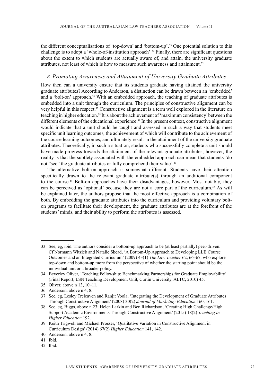the different conceptualisations of 'top-down' and 'bottom-up'.33 One potential solution to this challenge is to adopt a 'whole-of-institution approach'.34 Finally, there are significant questions about the extent to which students are actually aware of, and attain, the university graduate attributes, not least of which is how to measure such awareness and attainment.35

### *E Promoting Awareness and Attainment of University Graduate Attributes*

How then can a university ensure that its students graduate having attained the university graduate attributes? According to Anderson, a distinction can be drawn between an 'embedded' and a 'bolt-on' approach.<sup>36</sup> With an embedded approach, the teaching of graduate attributes is embedded into a unit through the curriculum. The principles of constructive alignment can be very helpful in this respect.37 Constructive alignment is a term well explored in the literature on teaching in higher education.38 It is about the achievement of 'maximum consistency' between the different elements of the educational experience.<sup>39</sup> In the present context, constructive alignment would indicate that a unit should be taught and assessed in such a way that students meet specific unit learning outcomes, the achievement of which will contribute to the achievement of the course learning outcomes, and ultimately result in the attainment of the university graduate attributes. Theoretically, in such a situation, students who successfully complete a unit should have made progress towards the attainment of the relevant graduate attributes; however, the reality is that the subtlety associated with the embedded approach can mean that students 'do not "see" the graduate attributes or fully comprehend their value'.<sup>40</sup>

The alternative bolt-on approach is somewhat different. Students have their attention specifically drawn to the relevant graduate attribute(s) through an additional component to the course.<sup>41</sup> Bolt-on approaches have their disadvantages, however. Most notably, they can be perceived as 'optional' because they are not a core part of the curriculum.42 As will be explained later, the authors propose that the most effective approach is a combination of both. By embedding the graduate attributes into the curriculum and providing voluntary bolton programs to facilitate their development, the graduate attributes are at the forefront of the students' minds, and their ability to perform the attributes is assessed.

<sup>33</sup> See, eg, ibid. The authors consider a bottom-up approach to be (at least partially) peer-driven. Cf Normann Witzleb and Natalie Skead, 'A Bottom-Up Approach to Developing LLB Course Outcomes and an Integrated Curriculum' (2009) 43(1) *The Law Teacher* 62, 66–67, who explore top-down and bottom-up more from the perspective of whether the starting point should be the individual unit or a broader policy.

<sup>34</sup> Beverley Oliver, 'Teaching Fellowship: Benchmarking Partnerships for Graduate Employability' (Final Report, LSN Teaching Development Unit, Curtin University, ALTC, 2010) 45.

<sup>35</sup> Oliver, above n 13, 10–11.

<sup>36</sup> Anderson, above n 4, 8.

<sup>37</sup> See, eg, Lesley Treleaven and Ranjit Voola, 'Integrating the Development of Graduate Attributes Through Constructive Alignment' (2008) 30(2) *Journal of Marketing Education* 160, 161.

<sup>38</sup> See, eg, Biggs, above n 23; Helen Larkin and Ben Richardson, 'Creating High Challenge/High Support Academic Environments Through Constructive Alignment' (2015) 18(2) *Teaching in Higher Education* 192.

<sup>39</sup> Keith Trigwell and Michael Prosser, 'Qualitative Variation in Constructive Alignment in Curriculum Design' (2014) 67(2) *Higher Education* 141, 142.

<sup>40</sup> Anderson, above n 4, 8.

<sup>41</sup> Ibid.

<sup>42</sup> Ibid.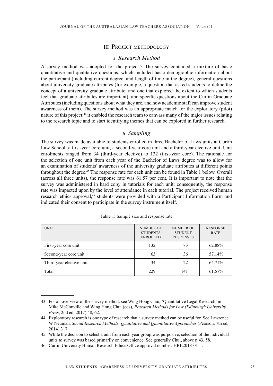### III Project methodology

#### *A Research Method*

A survey method was adopted for the project.43 The survey contained a mixture of basic quantitative and qualitative questions, which included basic demographic information about the participant (including current degree, and length of time in the degree), general questions about university graduate attributes (for example, a question that asked students to define the concept of a university graduate attribute, and one that explored the extent to which students feel that graduate attributes are important), and specific questions about the Curtin Graduate Attributes (including questions about what they are, and how academic staff can improve student awareness of them). The survey method was an appropriate match for the exploratory (pilot) nature of this project;<sup>44</sup> it enabled the research team to canvass many of the major issues relating to the research topic and to start identifying themes that can be explored in further research.

# *B Sampling*

The survey was made available to students enrolled in three Bachelor of Laws units at Curtin Law School: a first-year core unit, a second-year core unit and a third-year elective unit. Unit enrolments ranged from 34 (third-year elective) to 132 (first-year core). The rationale for the selection of one unit from each year of the Bachelor of Laws degree was to allow for an examination of students' awareness of the university graduate attributes at different points throughout the degree.45 The response rate for each unit can be found in Table 1 below. Overall (across all three units), the response rate was 61.57 per cent. It is important to note that the survey was administered in hard copy in tutorials for each unit; consequently, the response rate was impacted upon by the level of attendance in each tutorial. The project received human research ethics approval,<sup>46</sup> students were provided with a Participant Information Form and indicated their consent to participate in the survey instrument itself.

| <b>UNIT</b>              | <b>NUMBER OF</b><br><b>STUDENTS</b><br><b>ENROLLED</b> | <b>NUMBER OF</b><br><b>STUDENT</b><br><b>RESPONSES</b> | <b>RESPONSE</b><br><b>RATE</b> |
|--------------------------|--------------------------------------------------------|--------------------------------------------------------|--------------------------------|
| First-year core unit     | 132                                                    | 83                                                     | 62.88%                         |
| Second-year core unit    | 63                                                     | 36                                                     | 57.14%                         |
| Third-year elective unit | 34                                                     | 22                                                     | 64.71%                         |
| Total                    | 229                                                    | 141                                                    | 61.57%                         |

#### Table 1: Sample size and response rate

<sup>43</sup> For an overview of the survey method, see Wing Hong Chui, 'Quantitative Legal Research' in Mike McConville and Wing Hong Chui (eds), *Research Methods for Law (Edinburgh University Press*, 2nd ed, 2017) 48, 62.

<sup>44</sup> Exploratory research is one type of research that a survey method can be useful for. See Lawrence W Neuman, *Social Research Methods: Qualitative and Quantitative Approaches* (Pearson, 7th ed, 2014) 317.

<sup>45</sup> While the decision to select a unit from each year group was purposive, selection of the individual units to survey was based primarily on convenience. See generally Chui, above n 43, 58.

<sup>46</sup> Curtin University Human Research Ethics Office approval number: HRE2018-0111.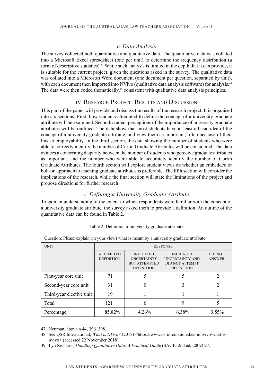## *C Data Analysis*

The survey collected both quantitative and qualitative data. The quantitative data was collated into a Microsoft Excel spreadsheet (one per unit) to determine the frequency distribution (a form of descriptive statistics).47 While such analysis is limited in the depth that it can provide, it is suitable for the current project, given the questions asked in the survey. The qualitative data was collated into a Microsoft Word document (one document per question, separated by unit), with each document then imported into NVivo (qualitative data analysis software) for analysis.<sup>48</sup> The data were then coded thematically, $49$  consistent with qualitative data analysis principles.

# IV Research Project: Results and Discussion

This part of the paper will provide and discuss the results of the research project. It is organised into six sections. First, how students attempted to define the concept of a university graduate attribute will be examined. Second, student perceptions of the importance of university graduate attributes will be outlined. The data show that most students have at least a basic idea of the concept of a university graduate attribute, and view them as important, often because of their link to employability. In the third section, the data showing the number of students who were able to correctly identify the number of Curtin Graduate Attributes will be considered. The data evinces a concerning disparity between the number of students who perceive graduate attributes as important, and the number who were able to accurately identify the number of Curtin Graduate Attributes. The fourth section will explore student views on whether an embedded or bolt-on approach to teaching graduate attributes is preferable. The fifth section will consider the implications of the research, while the final section will state the limitations of the project and propose directions for further research.

## *A Defining a University Graduate Attribute*

To gain an understanding of the extent to which respondents were familiar with the concept of a university graduate attribute, the survey asked them to provide a definition. An outline of the quantitative data can be found in Table 2.

| Question: Please explain (in your view) what is meant by a university graduate attribute |                                       |                          |       |                |  |  |  |
|------------------------------------------------------------------------------------------|---------------------------------------|--------------------------|-------|----------------|--|--|--|
| <b>UNIT</b>                                                                              | <b>RESPONSE</b>                       |                          |       |                |  |  |  |
|                                                                                          | <b>ATTEMPTED</b><br><b>DEFINITION</b> | DID NOT<br><b>ANSWER</b> |       |                |  |  |  |
| First-year core unit                                                                     | 71                                    |                          | 5     |                |  |  |  |
| Second-year core unit                                                                    | 31                                    |                          |       | $\mathfrak{D}$ |  |  |  |
| Third-year elective unit                                                                 | 19                                    |                          |       |                |  |  |  |
| Total                                                                                    | 121                                   | 6                        | 9     |                |  |  |  |
| Percentage                                                                               | 85.82%                                | 4.26%                    | 6.38% | $3.55\%$       |  |  |  |

Table 2: Definition of university graduate attribute

<sup>47</sup> Neuman, above n 44, 396–398.

<sup>48</sup> See QSR International, *What is NVivo?* (2018) <https://www.qsrinternational.com/nvivo/what-isnvivo> (accessed 22 November 2018).

<sup>49</sup> Lyn Richards, *Handling Qualitative Data: A Practical Guide* (SAGE, 2nd ed, 2009) 97.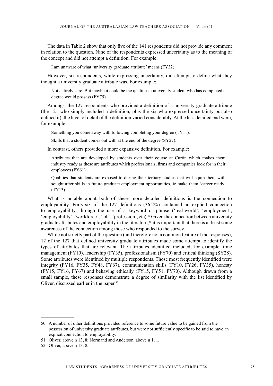The data in Table 2 show that only five of the 141 respondents did not provide any comment in relation to the question. Nine of the respondents expressed uncertainty as to the meaning of the concept and did not attempt a definition. For example:

I am unaware of what 'university graduate attribute' means (FY32).

However, six respondents, while expressing uncertainty, did attempt to define what they thought a university graduate attribute was. For example:

Not entirely sure. But maybe it could be the qualities a university student who has completed a degree would possess (FY75).

Amongst the 127 respondents who provided a definition of a university graduate attribute (the 121 who simply included a definition, plus the six who expressed uncertainty but also defined it), the level of detail of the definition varied considerably. At the less detailed end were, for example:

Something you come away with following completing your degree (TY11).

Skills that a student comes out with at the end of the degree (SY27).

In contrast, others provided a more expansive definition. For example:

Attributes that are developed by students over their course at Curtin which makes them industry ready as these are attributes which professionals, firms and companies look for in their employees (FY61).

Qualities that students are exposed to during their tertiary studies that will equip them with sought after skills in future graduate employment opportunities, ie make them 'career ready' (TY13).

What is notable about both of these more detailed definitions is the connection to employability. Forty-six of the 127 definitions (36.2%) contained an explicit connection to employability, through the use of a keyword or phrase ('real-world', 'employment', 'employability', 'workforce', 'job', 'profession', etc).<sup>50</sup> Given the connection between university graduate attributes and employability in the literature,<sup>51</sup> it is important that there is at least some awareness of the connection among those who responded to the survey.

While not strictly part of the question (and therefore not a common feature of the responses), 12 of the 127 that defined university graduate attributes made some attempt to identify the types of attributes that are relevant. The attributes identified included, for example, time management (FY10), leadership (FY35), professionalism (FY70) and critical thinking (SY28). Some attributes were identified by multiple respondents. Those most frequently identified were integrity (FY16, FY35, FY48, FY67), communication skills (FY10, FY26, FY35), honesty (FY15, FY16, FY67) and behaving ethically (FY15, FY51, FY70). Although drawn from a small sample, these responses demonstrate a degree of similarity with the list identified by Oliver, discussed earlier in the paper.52

<sup>50</sup> A number of other definitions provided reference to some future value to be gained from the possession of university graduate attributes, but were not sufficiently specific to be said to have an explicit connection to employability.

<sup>51</sup> Oliver, above n 13, 8; Normand and Anderson, above n 1, 1.

<sup>52</sup> Oliver, above n 13, 8.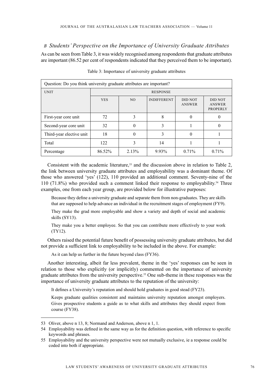*B Students' Perspective on the Importance of University Graduate Attributes* As can be seen from Table 3, it was widely recognised among respondents that graduate attributes are important (86.52 per cent of respondents indicated that they perceived them to be important).

| Question: Do you think university graduate attributes are important? |                                                                                                                                       |       |       |          |       |  |  |  |
|----------------------------------------------------------------------|---------------------------------------------------------------------------------------------------------------------------------------|-------|-------|----------|-------|--|--|--|
| <b>UNIT</b>                                                          | <b>RESPONSE</b><br><b>INDIFFERENT</b><br><b>YES</b><br>NO.<br>DID NOT<br>DID NOT<br><b>ANSWER</b><br><b>ANSWER</b><br><b>PROPERLY</b> |       |       |          |       |  |  |  |
|                                                                      |                                                                                                                                       |       |       |          |       |  |  |  |
| First-year core unit                                                 | 72                                                                                                                                    | 3     | 8     | $\theta$ |       |  |  |  |
| Second-year core unit                                                | 32                                                                                                                                    | 0     |       |          |       |  |  |  |
| Third-year elective unit                                             | 18                                                                                                                                    | 0     | 3     | $\Omega$ |       |  |  |  |
| Total                                                                | 122                                                                                                                                   | 3     | 14    |          |       |  |  |  |
| Percentage                                                           | 86.52%                                                                                                                                | 2.13% | 9.93% | 0.71%    | 0.71% |  |  |  |

Table 3: Importance of university graduate attributes

Consistent with the academic literature,<sup>53</sup> and the discussion above in relation to Table 2, the link between university graduate attributes and employability was a dominant theme. Of those who answered 'yes' (122), 110 provided an additional comment. Seventy-nine of the 110 (71.8%) who provided such a comment linked their response to employability.<sup>54</sup> Three examples, one from each year group, are provided below for illustrative purposes:

Because they define a university graduate and separate them from non-graduates. They are skills that are supposed to help advance an individual in the recruitment stages of employment (FY9).

They make the grad more employable and show a variety and depth of social and academic skills (SY13).

They make you a better employee. So that you can contribute more effectively to your work (TY12).

Others raised the potential future benefit of possessing university graduate attributes, but did not provide a sufficient link to employability to be included in the above. For example:

As it can help us further in the future beyond class (FY36).

Another interesting, albeit far less prevalent, theme in the 'yes' responses can be seen in relation to those who explicitly (or implicitly) commented on the importance of university graduate attributes from the university perspective.55 One sub-theme in these responses was the importance of university graduate attributes to the reputation of the university:

It defines a University's reputation and should hold graduates in good stead (FY23).

Keeps graduate qualities consistent and maintains university reputation amongst employers. Gives prospective students a guide as to what skills and attributes they should expect from course (FY38).

<sup>53</sup> Oliver, above n 13, 8; Normand and Anderson, above n 1, 1.

<sup>54</sup> Employability was defined in the same way as for the definition question, with reference to specific keywords and phrases.

<sup>55</sup> Employability and the university perspective were not mutually exclusive, ie a response could be coded into both if appropriate.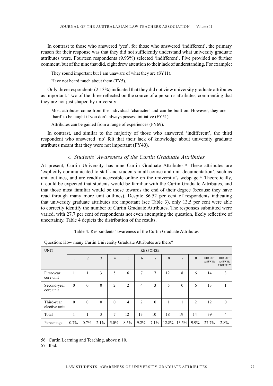In contrast to those who answered 'yes', for those who answered 'indifferent', the primary reason for their response was that they did not sufficiently understand what university graduate attributes were. Fourteen respondents (9.93%) selected 'indifferent'. Five provided no further comment, but of the nine that did, eight drew attention to their lack of understanding. For example:

They sound important but I am unaware of what they are (SY11).

Have not heard much about them (TY5).

Only three respondents (2.13%) indicated that they did not view university graduate attributes as important. Two of the three reflected on the source of a person's attributes, commenting that they are not just shaped by university:

Most attributes come from the individual 'character' and can be built on. However, they are 'hard' to be taught if you don't always possess initiative (FY51).

Attributes can be gained from a range of experiences (FY69).

In contrast, and similar to the majority of those who answered 'indifferent', the third respondent who answered 'no' felt that their lack of knowledge about university graduate attributes meant that they were not important (FY40).

#### *C Students' Awareness of the Curtin Graduate Attributes*

At present, Curtin University has nine Curtin Graduate Attributes.<sup>56</sup> These attributes are 'explicitly communicated to staff and students in all course and unit documentation', such as unit outlines, and are readily accessible online on the university's webpage.<sup>57</sup> Theoretically, it could be expected that students would be familiar with the Curtin Graduate Attributes, and that those most familiar would be those towards the end of their degree (because they have read through many more unit outlines). Despite 86.52 per cent of respondents indicating that university graduate attributes are important (see Table 3), only 13.5 per cent were able to correctly identify the number of Curtin Graduate Attributes. The responses submitted were varied, with 27.7 per cent of respondents not even attempting the question, likely reflective of uncertainty. Table 4 depicts the distribution of the results.

| Question: How many Curtin University Graduate Attributes are there? |          |                 |          |                |                |                |          |              |          |                |                                 |                                             |
|---------------------------------------------------------------------|----------|-----------------|----------|----------------|----------------|----------------|----------|--------------|----------|----------------|---------------------------------|---------------------------------------------|
| <b>UNIT</b>                                                         |          | <b>RESPONSE</b> |          |                |                |                |          |              |          |                |                                 |                                             |
|                                                                     | 1        | $\overline{2}$  | 3        | $\overline{4}$ | 5              | 6              | 7        | 8            | 9        | $10+$          | <b>DID NOT</b><br><b>ANSWER</b> | <b>DID NOT</b><br><b>ANSWER</b><br>PROPERLY |
| First-year<br>core unit                                             |          | $\mathbf{1}$    | 3        | 5              | 6              | 7              | 7        | 12           | 18       | 6              | 14                              | 3                                           |
| Second-year<br>core unit                                            | $\theta$ | $\theta$        | $\theta$ | $\overline{2}$ | $\overline{2}$ | $\overline{4}$ | 3        | 5            | $\theta$ | 6              | 13                              | 1                                           |
| Third-year<br>elective unit                                         | $\theta$ | $\theta$        | $\theta$ | $\theta$       | $\overline{4}$ | $\overline{2}$ | $\theta$ | $\mathbf{1}$ | 1        | $\overline{2}$ | 12                              | $\theta$                                    |
| Total                                                               |          | 1               | 3        | 7              | 12             | 13             | 10       | 18           | 19       | 14             | 39                              | $\overline{4}$                              |
| Percentage                                                          | 0.7%     | 0.7%            | 2.1%     | $5.0\%$        | 8.5%           | $9.2\%$        | 7.1%     | 12.8%        | 13.5%    | 9.9%           | 27.7%                           | 2.8%                                        |

Table 4: Respondents' awareness of the Curtin Graduate Attributes

<sup>56</sup> Curtin Learning and Teaching, above n 10.

<sup>57</sup> Ibid.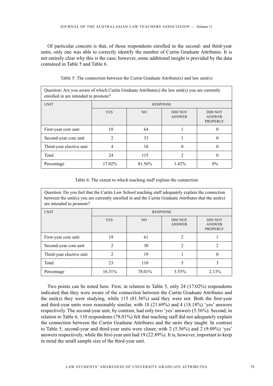Of particular concern is that, of those respondents enrolled in the second- and third-year units, only one was able to correctly identify the number of Curtin Graduate Attributes. It is not entirely clear why this is the case; however, some additional insight is provided by the data contained in Table 5 and Table 6.

| Question: Are you aware of which Curtin Graduate Attribute(s) the law unit(s) you are currently<br>enrolled in are intended to promote? |            |                                                    |       |       |  |  |  |  |  |
|-----------------------------------------------------------------------------------------------------------------------------------------|------------|----------------------------------------------------|-------|-------|--|--|--|--|--|
| <b>UNIT</b>                                                                                                                             |            | <b>RESPONSE</b>                                    |       |       |  |  |  |  |  |
|                                                                                                                                         | <b>YES</b> | <b>DID NOT</b><br><b>ANSWER</b><br><b>PROPERLY</b> |       |       |  |  |  |  |  |
| First-year core unit                                                                                                                    | 18         | 64                                                 |       |       |  |  |  |  |  |
| Second-year core unit                                                                                                                   | 2          | 33                                                 |       |       |  |  |  |  |  |
| Third-year elective unit                                                                                                                | 4          | 18                                                 | 0     |       |  |  |  |  |  |
| Total                                                                                                                                   | 24         | 115                                                | 2     |       |  |  |  |  |  |
| Percentage                                                                                                                              | $17.02\%$  | 81.56%                                             | 1.42% | $0\%$ |  |  |  |  |  |

| Table 5: The connection between the Curtin Graduate Attribute(s) and law unit(s) |  |  |  |  |  |  |
|----------------------------------------------------------------------------------|--|--|--|--|--|--|
|----------------------------------------------------------------------------------|--|--|--|--|--|--|

Table 6: The extent to which teaching staff explain the connection

Question: Do you feel that the Curtin Law School teaching staff adequately explain the connection between the unit(s) you are currently enrolled in and the Curtin Graduate Attributes that the unit(s) are intended to promote?

| <b>UNIT</b>              | <b>RESPONSE</b>             |        |                                 |                                                    |  |  |  |  |  |
|--------------------------|-----------------------------|--------|---------------------------------|----------------------------------------------------|--|--|--|--|--|
|                          | <b>YES</b>                  | NO.    | <b>DID NOT</b><br><b>ANSWER</b> | <b>DID NOT</b><br><b>ANSWER</b><br><b>PROPERLY</b> |  |  |  |  |  |
| First-year core unit     | 19                          | 61     | $\overline{2}$                  |                                                    |  |  |  |  |  |
| Second-year core unit    | $\mathfrak{D}$              | 30     | $\overline{2}$                  | $\mathfrak{D}$                                     |  |  |  |  |  |
| Third-year elective unit | $\mathcal{D}_{\mathcal{L}}$ | 19     |                                 | 0                                                  |  |  |  |  |  |
| Total                    | 23                          | 110    | 5                               | 3                                                  |  |  |  |  |  |
| Percentage               | 16.31%                      | 78.01% | $3.55\%$                        | 2.13%                                              |  |  |  |  |  |

Two points can be noted here. First, in relation to Table 5, only 24 (17.02%) respondents indicated that they were aware of the connection between the Curtin Graduate Attributes and the unit(s) they were studying, while 115 (81.56%) said they were not. Both the first-year and third-year units were reasonably similar, with 18 (21.69%) and 4 (18.18%) 'yes' answers respectively. The second-year unit, by contrast, had only two 'yes' answers (5.56%). Second, in relation to Table 6, 110 respondents (78.01%) felt that teaching staff did not adequately explain the connection between the Curtin Graduate Attributes and the units they taught. In contrast to Table 5, second-year and third-year units were closer, with 2 (5.56%) and 2 (9.09%) 'yes' answers respectively, while the first-year unit had 19 (22.89%). It is, however, important to keep in mind the small sample size of the third-year unit.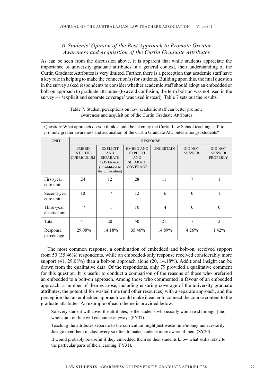# *D Students' Opinion of the Best Approach to Promote Greater Awareness and Acquisition of the Curtin Graduate Attributes*

As can be seen from the discussion above, it is apparent that while students appreciate the importance of university graduate attributes in a general context, their understanding of the Curtin Graduate Attributes is very limited. Further, there is a perception that academic staff have a key role in helping to make the connection(s) for students. Building upon this, the final question in the survey asked respondents to consider whether academic staff should adopt an embedded or bolt-on approach to graduate attributes (to avoid confusion, the term bolt-on was not used in the survey — 'explicit and separate coverage' was used instead). Table 7 sets out the results.

| Question: What approach do you think should be taken by the Curtin Law School teaching staff to<br>promote greater awareness and acquisition of the Curtin Graduate Attributes amongst students? |                                                      |                                                                                                           |                                                                                         |                  |                                 |                                                    |  |  |  |  |
|--------------------------------------------------------------------------------------------------------------------------------------------------------------------------------------------------|------------------------------------------------------|-----------------------------------------------------------------------------------------------------------|-----------------------------------------------------------------------------------------|------------------|---------------------------------|----------------------------------------------------|--|--|--|--|
| <b>UNIT</b>                                                                                                                                                                                      |                                                      | <b>RESPONSE</b>                                                                                           |                                                                                         |                  |                                 |                                                    |  |  |  |  |
|                                                                                                                                                                                                  | <b>EMBED</b><br><b>INTO THE</b><br><b>CURRICULUM</b> | <b>EXPLICIT</b><br><b>AND</b><br><b>SEPARATE</b><br><b>COVERAGE</b><br>(in addition to<br>the curriculum) | <b>EMBED AND</b><br><b>EXPLICIT</b><br><b>AND</b><br><b>SEPARATE</b><br><b>COVERAGE</b> | <b>UNCERTAIN</b> | <b>DID NOT</b><br><b>ANSWER</b> | <b>DID NOT</b><br><b>ANSWER</b><br><b>PROPERLY</b> |  |  |  |  |
| First-year<br>core unit                                                                                                                                                                          | 24                                                   | 12                                                                                                        | 28                                                                                      | 11               | 7                               |                                                    |  |  |  |  |
| Second-year<br>core unit                                                                                                                                                                         | 10                                                   | 7                                                                                                         | 12                                                                                      | 6                | $\Omega$                        |                                                    |  |  |  |  |
| Third-year<br>elective unit                                                                                                                                                                      | 7                                                    |                                                                                                           | 10                                                                                      | $\overline{4}$   | $\Omega$                        | $\theta$                                           |  |  |  |  |
| Total                                                                                                                                                                                            | 41                                                   | 20                                                                                                        | 50                                                                                      | 21               | 7                               | $\overline{2}$                                     |  |  |  |  |
| Response<br>percentage                                                                                                                                                                           | 29.08%                                               | 14.18%                                                                                                    | 35.46%                                                                                  | 14.89%           | 4.26%                           | 1.42%                                              |  |  |  |  |

Table 7: Student perceptions on how academic staff can better promote awareness and acquisition of the Curtin Graduate Attributes

The most common response, a combination of embedded and bolt-on, received support from 50 (35.46%) respondents, while an embedded-only response received considerably more support  $(41, 29.08\%)$  than a bolt-on approach alone  $(20, 14.18\%)$ . Additional insight can be drawn from the qualitative data. Of the respondents, only 79 provided a qualitative comment for this question. It is useful to conduct a comparison of the reasons of those who preferred an embedded to a bolt-on approach. Among those who commented in favour of an embedded approach, a number of themes arose, including ensuring coverage of the university graduate attributes, the potential for wasted time (and other resources) with a separate approach, and the perception that an embedded approach would make it easier to connect the course content to the graduate attributes. An example of each theme is provided below:

So every student will cover the attributes, ie the students who usually won't read through [the] whole unit outline will encounter anyways (FY37).

Teaching the attributes separate to the curriculum might just waste time/money unnecessarily. Just go over them in class every so often to make students more aware of them (SY20).

It would probably be useful if they embedded them so then students know what skills relate to the particular parts of their learning (FY31).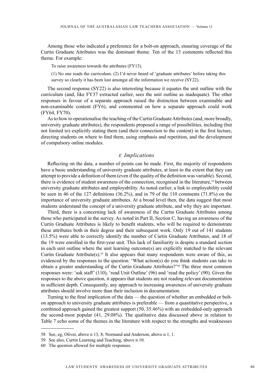Among those who indicated a preference for a bolt-on approach, ensuring coverage of the Curtin Graduate Attributes was the dominant theme. Ten of the 13 comments reflected this theme. For example:

To raise awareness towards the attributes (FY13).

(1) No one reads the curriculum. (2) I'd never heard of 'graduate attributes' before taking this survey so clearly it has been lost amongst all the information we receive (SY22).

The second response (SY22) is also interesting because it equates the unit outline with the curriculum (and, like FY37 extracted earlier, sees the unit outline as inadequate). The other responses in favour of a separate approach raised the distinction between examinable and non-examinable content (FY6), and commented on how a separate approach could work (FY64, FY70).

As to how to operationalise the teaching of the Curtin Graduate Attributes (and, more broadly, university graduate attributes), the respondents proposed a range of possibilities, including (but not limited to) explicitly stating them (and their connection to the content) in the first lecture, directing students on where to find them, using emphasis and repetition, and the development of compulsory online modules.

# *E Implications*

Reflecting on the data, a number of points can be made. First, the majority of respondents have a basic understanding of university graduate attributes, at least to the extent that they can attempt to provide a definition of them (even if the quality of the definition was variable). Second, there is evidence of student awareness of the connection, recognised in the literature,<sup>58</sup> between university graduate attributes and employability. As noted earlier, a link to employability could be seen in 46 of the 127 definitions (36.2%), and in 79 of the 110 comments (71.8%) on the importance of university graduate attributes. At a broad level then, the data suggest that most students understand the concept of a university graduate attribute, and why they are important.

Third, there is a concerning lack of awareness of the Curtin Graduate Attributes among those who participated in the survey. As noted in Part II, Section C, having an awareness of the Curtin Graduate Attributes is likely to benefit students, who will be required to demonstrate these attributes both in their degree and their subsequent work. Only 19 out of 141 students (13.5%) were able to correctly identify the number of Curtin Graduate Attributes, and 18 of the 19 were enrolled in the first-year unit. This lack of familiarity is despite a standard section in each unit outline where the unit learning outcome(s) are explicitly matched to the relevant Curtin Graduate Attribute(s).<sup>59</sup> It also appears that many respondents were aware of this, as evidenced by the responses to the question: 'What action(s) do you think students can take to obtain a greater understanding of the Curtin Graduate Attributes?'60 The three most common responses were: 'ask staff' (110), 'read Unit Outline' (96) and 'read the policy' (90). Given the responses to the above question, it appears that students are not reading relevant documentation in sufficient depth. Consequently, any approach to increasing awareness of university graduate attributes should involve more than their inclusion in documentation.

Turning to the final implication of the data — the question of whether an embedded or bolton approach to university graduate attributes is preferable — from a quantitative perspective, a combined approach gained the greatest support (50, 35.46%) with an embedded-only approach the second-most popular (41, 29.08%). The qualitative data discussed above in relation to Table 7 echo some of the themes in the literature with respect to the strengths and weaknesses

<sup>58</sup> See, eg, Oliver, above n 13, 8; Normand and Anderson, above n 1, 1.

<sup>59</sup> See also, Curtin Learning and Teaching, above n 10.

<sup>60</sup> The question allowed for multiple responses.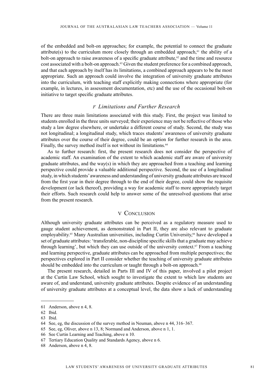of the embedded and bolt-on approaches; for example, the potential to connect the graduate attribute(s) to the curriculum more closely through an embedded approach, $61$  the ability of a bolt-on approach to raise awareness of a specific graduate attribute, $62$  and the time and resource cost associated with a bolt-on approach.<sup>63</sup> Given the student preference for a combined approach, and that each approach by itself has its limitations, a combined approach appears to be the most appropriate. Such an approach could involve the integration of university graduate attributes into the curriculum, with teaching staff explicitly making connections where appropriate (for example, in lectures, in assessment documentation, etc) and the use of the occasional bolt-on initiative to target specific graduate attributes.

# *F Limitations and Further Research*

There are three main limitations associated with this study. First, the project was limited to students enrolled in the three units surveyed; their experience may not be reflective of those who study a law degree elsewhere, or undertake a different course of study. Second, the study was not longitudinal; a longitudinal study, which traces students' awareness of university graduate attributes over the course of their degree, could be an option for further research in the area. Finally, the survey method itself is not without its limitations.<sup>64</sup>

As to further research: first, the present research does not consider the perspective of academic staff. An examination of the extent to which academic staff are aware of university graduate attributes, and the way(s) in which they are approached from a teaching and learning perspective could provide a valuable additional perspective. Second, the use of a longitudinal study, in which students' awareness and understanding of university graduate attributes are traced from the first year in their degree through to the end of their degree, could show the requisite development (or lack thereof), providing a way for academic staff to more appropriately target their efforts. Such research could help to answer some of the unresolved questions that arise from the present research.

# **V CONCLUSION**

Although university graduate attributes can be perceived as a regulatory measure used to gauge student achievement, as demonstrated in Part II, they are also relevant to graduate employability.<sup>65</sup> Many Australian universities, including Curtin University.<sup>66</sup> have developed a set of graduate attributes: 'transferable, non-discipline specific skills that a graduate may achieve through learning', but which they can use outside of the university context.67 From a teaching and learning perspective, graduate attributes can be approached from multiple perspectives; the perspectives explored in Part II consider whether the teaching of university graduate attributes should be embedded into the curriculum or taught through a bolt-on approach.<sup>68</sup>

The present research, detailed in Parts III and IV of this paper, involved a pilot project at the Curtin Law School, which sought to investigate the extent to which law students are aware of, and understand, university graduate attributes. Despite evidence of an understanding of university graduate attributes at a conceptual level, the data show a lack of understanding

<sup>61</sup> Anderson, above n 4, 8.

<sup>62</sup> Ibid.

<sup>63</sup> Ibid.

<sup>64</sup> See, eg, the discussion of the survey method in Neuman, above n 44, 316–367.

<sup>65</sup> See, eg, Oliver, above n 13, 8; Normand and Anderson, above n 1, 1.

<sup>66</sup> See Curtin Learning and Teaching, above n 10.

<sup>67</sup> Tertiary Education Quality and Standards Agency, above n 6.

<sup>68</sup> Anderson, above n 4, 8.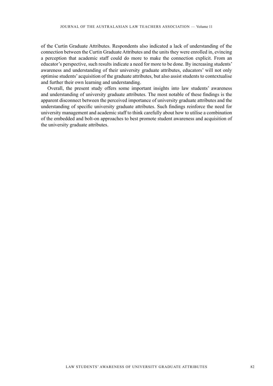of the Curtin Graduate Attributes. Respondents also indicated a lack of understanding of the connection between the Curtin Graduate Attributes and the units they were enrolled in, evincing a perception that academic staff could do more to make the connection explicit. From an educator's perspective, such results indicate a need for more to be done. By increasing students' awareness and understanding of their university graduate attributes, educators' will not only optimise students' acquisition of the graduate attributes, but also assist students to contextualise and further their own learning and understanding.

Overall, the present study offers some important insights into law students' awareness and understanding of university graduate attributes. The most notable of these findings is the apparent disconnect between the perceived importance of university graduate attributes and the understanding of specific university graduate attributes. Such findings reinforce the need for university management and academic staff to think carefully about how to utilise a combination of the embedded and bolt-on approaches to best promote student awareness and acquisition of the university graduate attributes.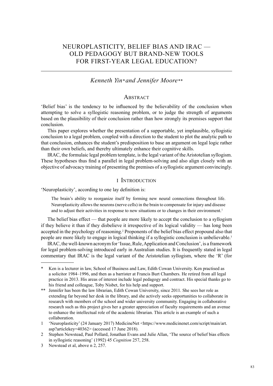# NEUROPLASTICITY, BELIEF BIAS AND IRAC — OLD PEDAGOGY BUT BRAND-NEW TOOLS FOR FIRST-YEAR LEGAL EDUCATION?

# *Kenneth Yin\* and Jennifer Moore\*\**

#### **ABSTRACT**

'Belief bias' is the tendency to be influenced by the believability of the conclusion when attempting to solve a syllogistic reasoning problem, or to judge the strength of arguments based on the plausibility of their conclusion rather than how strongly its premises support that conclusion.

This paper explores whether the presentation of a supportable, yet implausible, syllogistic conclusion to a legal problem, coupled with a direction to the student to plot the analytic path to that conclusion, enhances the student's predisposition to base an argument on legal logic rather than their own beliefs, and thereby ultimately enhance their cognitive skills.

IRAC, the formulaic legal problem template, is the legal variant of the Aristotelian syllogism. These hypotheses thus find a parallel in legal problem-solving and also align closely with an objective of advocacy training of presenting the premises of a syllogistic argument convincingly.

# I Introduction

'Neuroplasticity', according to one lay definition is:

The brain's ability to reorganize itself by forming new neural connections throughout life. Neuroplasticity allows the neurons (nerve cells) in the brain to compensate for injury and disease and to adjust their activities in response to new situations or to changes in their environment.<sup>1</sup>

The belief bias effect — that people are more likely to accept the conclusion to a syllogism if they believe it than if they disbelieve it irrespective of its logical validity — has long been accepted in the psychology of reasoning.<sup>2</sup> Proponents of the belief bias effect propound also that people are more likely to engage in logical thinking if a syllogistic conclusion is unbelievable.<sup>3</sup>

IRAC, the well-known acronym for 'Issue, Rule, Application and Conclusion', is a framework for legal problem-solving introduced early in Australian studies. It is frequently stated in legal commentary that IRAC is the legal variant of the Aristotelian syllogism, where the 'R' (for

3 Newstead et al, above n 2, 257.

Ken is a lecturer in law, School of Business and Law, Edith Cowan University. Ken practised as a solicitor 1984–1996, and then as a barrister at Francis Burt Chambers. He retired from all legal practice in 2013. His areas of interest include legal pedagogy and contract. His special thanks go to his friend and colleague, Toby Nisbet, for his help and support.

<sup>\*\*</sup> Jennifer has been the law librarian, Edith Cowan University, since 2011. She sees her role as extending far beyond her desk in the library, and she actively seeks opportunities to collaborate in research with members of the school and wider university community. Engaging in collaborative research such as this project gives her a greater appreciation of faculty requirements and an avenue to enhance the intellectual role of the academic librarian. This article is an example of such a collaboration.

<sup>1</sup> 'Neuroplasticity' (24 January 2017) MedicineNet <https://www.medicinenet.com/script/main/art. asp?articlekey=40362> (accessed 17 June 2018).

<sup>2</sup> Stephen Newstead, Paul Pollard, Jonathan Evans and Julie Allan, 'The source of belief bias effects in syllogistic reasoning' (1992) 45 *Cognition* 257, 258.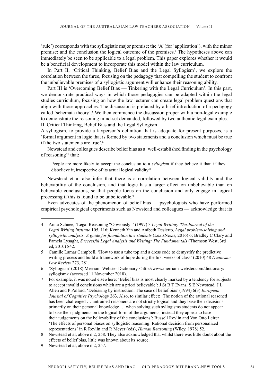'rule') corresponds with the syllogistic major premise; the 'A' (for 'application'), with the minor premise; and the conclusion the logical outcome of the premises.<sup>4</sup> The hypotheses above can immediately be seen to be applicable to a legal problem. This paper explores whether it would be a beneficial development to incorporate this model within the law curriculum.

In Part II, 'Critical Thinking, Belief Bias and the Legal Syllogism', we explore the correlation between the three, focusing on the pedagogy that compelling the student to confront the unbelievable premises of a syllogistic argument will enhance their reasoning ability.

Part III is 'Overcoming Belief Bias — Tinkering with the Legal Curriculum'*.* In this part, we demonstrate practical ways in which those pedagogies can be adapted within the legal studies curriculum, focusing on how the law lecturer can create legal problem questions that align with those approaches. The discussion is prefaced by a brief introduction of a pedagogy called 'schemata theory'.<sup>5</sup> We then commence the discussion proper with a non-legal example to demonstrate the reasoning mind-set demanded, followed by two authentic legal examples. II Critical Thinking, Belief Bias and the Legal Syllogism

A syllogism, to provide a layperson's definition that is adequate for present purposes, is a 'formal argument in logic that is formed by two statements and a conclusion which must be true if the two statements are true'.6

Newstead and colleagues describe belief bias as a 'well-established finding in the psychology of reasoning'7 that:

People are more likely to accept the conclusion to a *syllogism* if they believe it than if they disbelieve it, irrespective of its actual logical validity.<sup>8</sup>

Newstead et al also infer that there is a correlation between logical validity and the believability of the conclusion, and that logic has a larger effect on unbelievable than on believable conclusions, so that people focus on the conclusion and only engage in logical processing if this is found to be unbelievable.9

Even advocates of the phenomenon of belief bias — psychologists who have performed empirical psychological experiments such as Newstead and colleagues — acknowledge that its

<sup>4</sup> Anita Schnee, 'Legal Reasoning "Obviously"' (1997) 3 *Legal Writing: The Journal of the Legal Writing Institute* 105, 116; Kenneth Yin and Anibeth Desierto, *Legal problem-solving and syllogistic analysis: A guide for foundation law students* (LexisNexis, 2016) 6; Bradley C Clary and Pamela Lysaght, *Successful Legal Analysis and Writing: The Fundamentals* (Thomson West, 3rd ed, 2010) 842.

<sup>5</sup> Camille Lamar Campbell, 'How to use a tube top and a dress code to demystify the predictive writing process and build a framework of hope during the first weeks of class' (2010) 48 *Duquesne Law Review* 273, 281.

<sup>6</sup> 'Syllogism' (2018) Merriam-Webster Dictionary <http://www.merriam-webster.com/dictionary/ syllogism> (accessed 11 November 2018).

<sup>7</sup> For example, it was noted elsewhere: 'Belief bias is most clearly marked by a tendency for subjects to accept invalid conclusions which are a priori believable': J St B T Evans, S E Newstead, J L Allen and P Pollard, 'Debiasing by instruction: The case of belief bias' (1994) 6(3) *European Journal of Cognitive Psychology* 263. Also, to similar effect: 'The notion of the rational reasoned has been challenged … untrained reasoners are not strictly logical and they base their decisions primarily on their personal knowledge … when solving such syllogisms students do not appear to base their judgments on the logical form of the arguments; instead they appear to base their judgements on the believability of the conclusions': Russell Revlin and Von Otto Leirer 'The effects of personal biases on syllogistic reasoning: Rational decision from personalized representations' in R Revlin and R Meyer (eds), *Human Reasoning* (Wiley, 1978) 52.

<sup>8</sup> Newstead et al, above n 2, 258. They also acknowledged that whilst there was little doubt about the effects of belief bias, little was known about its source.

<sup>9</sup> Newstead et al, above n 2, 257.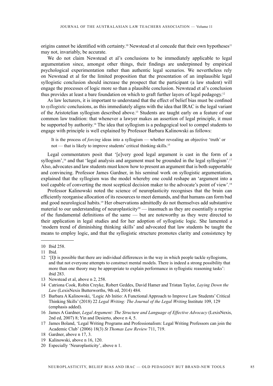origins cannot be identified with certainty.<sup>10</sup> Newstead et al concede that their own hypotheses<sup>11</sup> may not, invariably, be accurate.

We do not claim Newstead et al's conclusions to be immediately applicable to legal argumentation since, amongst other things, their findings are underpinned by empirical psychological experimentation rather than authentic legal scenarios. We nevertheless rely on Newstead et al for the limited proposition that the presentation of an implausible legal syllogistic conclusion should increase the prospect that the participant (a law student) will engage the processes of logic more so than a plausible conclusion. Newstead et al's conclusion thus provides at least a bare foundation on which to graft further layers of legal pedagogy.12

As law lecturers, it is important to understand that the effect of belief bias must be confined to *syllogistic* conclusions, as this immediately aligns with the idea that IRAC is the legal variant of the Aristotelian syllogism described above.13 Students are taught early on a feature of our common law tradition: that whenever a lawyer makes an assertion of legal principle, it must be supported by authority.<sup>14</sup> The idea that syllogism is a pedagogical tool to compel students to engage with principle is well explained by Professor Barbara Kalinowski as follows:

It is the process of *forcing* ideas into a syllogism — whether revealing an objective 'truth' or not — that is likely to improve students' critical thinking skills.15

Legal commentators posit that '[e]very good legal argument is cast in the form of a syllogism', $\frac{1}{6}$  and that 'legal analysis and argument must be grounded in the legal syllogism'.<sup>17</sup> Also, advocates and law students must know how to present an argument that is both supportable and convincing. Professor James Gardner, in his seminal work on syllogistic argumentation, explained that the syllogism was the model whereby one could reshape an 'argument into a tool capable of converting the most sceptical decision maker to the advocate's point of view'.18

Professor Kalinowski noted the science of neuroplasticity recognises that the brain can efficiently reorganise allocation of its resources to meet demands, and that humans can form bad and good neurological habits.19 Her observations admittedly do not themselves add substantive material to our understanding of neuroplasticity<sup>20</sup> — inasmuch as they are essentially a reprise of the fundamental definitions of the same — but are noteworthy as they were directed to their application in legal studies and for her adoption of syllogistic logic. She lamented a 'modern trend of diminishing thinking skills' and advocated that law students be taught the means to employ logic, and that the syllogistic structure promotes clarity and consistency by

- 12 '[I]t is possible that there are individual differences in the way in which people tackle syllogisms, and that not everyone attempts to construct mental models. There is indeed a strong possibility that more than one theory may be appropriate to explain performance in syllogistic reasoning tasks': ibid 283.
- 13 Newstead et al, above n 2, 258.
- 14 Catriona Cook, Robin Creyke, Robert Geddes, David Hamer and Tristan Taylor, *Laying Down the Law* (LexisNexis Butterworths, 9th ed, 2014) 484.
- 15 Barbara A Kalinowski, 'Logic Ab Initio: A Functional Approach to Improve Law Students' Critical Thinking Skills' (2018) 22 *Legal Writing: The Journal of the Legal Writing* Institute 109, 129 (emphasis added).
- 16 James A Gardner, *Legal Argument: The Structure and Language of Effective Advocacy* (LexisNexis, 2nd ed, 2007) 8; Yin and Desierto, above n 4, 5.
- 17 James Boland, 'Legal Writing Programs and Professionalism: Legal Writing Professors can join the Academic Club' (2006) 18(3) *St Thomas Law Review* 711, 719.
- 18 Gardner, above n 17, 3.
- 19 Kalinowski, above n 16, 120.
- 20 Especially 'Neuroplasticity', above n 1.

<sup>10</sup> Ibid 258.

<sup>11</sup> Ibid.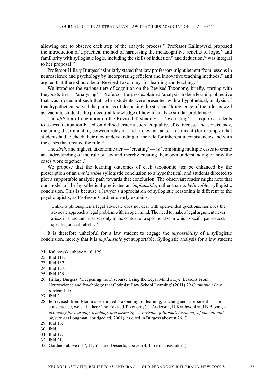allowing one to observe each step of the analytic process.21 Professor Kalinowski proposed the introduction of a practical method of harnessing the metacognitive benefits of logic, $22$  and familiarity with syllogistic logic, including the skills of induction<sup>23</sup> and deduction,<sup>24</sup> was integral to her proposal.<sup>25</sup>

Professor Hillary Burgess<sup>26</sup> similarly stated that law professors might benefit from lessons in neuroscience and psychology by incorporating efficient and innovative teaching methods,<sup>27</sup> and argued that there should be a 'Revised Taxonomy' for learning and teaching.28

We introduce the various tiers of cognition on the Revised Taxonomy briefly, starting with the *fourth* tier — 'analysing'.29 Professor Burgess explained 'analysis' to be a learning objective that was procedural such that, when students were presented with a hypothetical, analysis of that hypothetical served the purposes of deepening the students' knowledge of the rule, as well as teaching students the procedural knowledge of how to analyse similar problems.<sup>30</sup>

The *fifth* tier of cognition on the Revised Taxonomy — 'evaluating' — requires students to assess a situation based on defined criteria such as quality, effectiveness and consistency, including discriminating between relevant and irrelevant facts. This meant (for example) that students had to check their new understanding of the rule for inherent inconsistencies and with the cases that created the rule.<sup>31</sup>

The *sixth*, and highest, taxonomic tier — 'creating' — is 'combining multiple cases to create an understanding of the rule of law and thereby creating their own understanding of how the cases work together'.32

We propose that the learning outcomes of each taxonomic tier be enhanced by the prescription of an *implausible* syllogistic conclusion to a hypothetical, and students directed to plot a supportable analytic path towards that conclusion. The observant reader might note that our model of the hypothetical predicates an *implausible*, rather than *unbelievable*, syllogistic conclusion. This is because a lawyer's appreciation of syllogistic reasoning is different to the psychologist's, as Professor Gardner clearly explains:

Unlike a philosopher, a legal advocate does not deal with open-ended questions, nor does the advocate approach a legal problem with an open mind. The need to make a legal argument never arises in a vacuum; it arises only in the context of a specific case in which specific parties seek specific judicial relief  $\ldots$ <sup>33</sup>

It is therefore unhelpful for a law student to engage the *impossibilit*y of a syllogistic conclusion, merely that it is *implausible* yet supportable. Syllogistic analysis for a law student

- 26 Hillary Burgess, 'Deepening the Discourse Using the Legal Mind's Eye: Lessons From Neuroscience and Psychology that Optimise Law School Learning' (2011) 29 *Quinnipiac Law Review* 1, 16.
- 27 Ibid 2.

<sup>21</sup> Kalinowski, above n 16, 129.

<sup>22</sup> Ibid 111.

<sup>23</sup> Ibid 132.

<sup>24</sup> Ibid 127.

<sup>25</sup> Ibid 139.

<sup>28</sup> Ie 'revised' from Bloom's celebrated 'Taxonomy for learning, teaching and assessment' — for convenience, we call it here 'the Revised Taxonomy'. L Anderson, D Krathwohl and B Bloom, *A taxonomy for learning, teaching, and assessing: A revision of Bloom's taxonomy of educational objectives* (Longman, abridged ed, 2001), as cited in Burgess above n 26, 7.

<sup>29</sup> Ibid 16.

<sup>30</sup> Ibid.

<sup>31</sup> Ibid 19.

<sup>32</sup> Ibid 21.

<sup>33</sup> Gardner*,* above n 17, 11; Yin and Desierto, above n 4, 11 (emphasis added).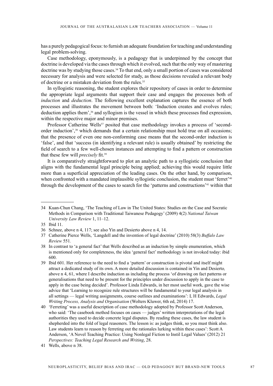has a purely pedagogical focus: to furnish an adequate foundation for teaching and understanding legal problem-solving.

Case methodology, eponymously, is a pedagogy that is underpinned by the concept that doctrine is developed via the cases through which it evolved, such that the only way of mastering doctrine was by studying those cases.<sup>34</sup> To that end, only a small portion of cases was considered necessary for analysis and were selected for study, as those decisions revealed a relevant body of doctrine or a mistaken deviation from the rules.<sup>35</sup>

In syllogistic reasoning, the student explores their repository of cases in order to determine the appropriate legal arguments that support their case and engages the processes both of *induction* and *deduction*. The following excellent explanation captures the essence of both processes and illustrates the movement between both: 'Induction creates and evolves rules; deduction applies them',<sup>36</sup> and syllogism is the vessel in which these processes find expression, within the respective major and minor premises.

Professor Catherine Wells<sup>37</sup> posited that case methodology invokes a process of 'secondorder induction',<sup>38</sup> which demands that a certain relationship must hold true on all occasions; that the presence of even one non-conforming case means that the second-order induction is 'false', and that 'success (in identifying a relevant rule) is usually obtained' by restricting the field of search to a few well-chosen instances and attempting to find a pattern or construction that these few will *precisely* fit.<sup>39</sup>

It is comparatively straightforward to plot an analytic path to a syllogistic conclusion that aligns with the fundamental legal principle being applied; achieving this would require little more than a superficial appreciation of the leading cases. On the other hand, by comparison, when confronted with a mandated implausible syllogistic conclusion, the student must 'ferret'<sup>40</sup> through the development of the cases to search for the 'patterns and constructions'41 within that

<sup>34</sup> Kuan-Chun Chang, 'The Teaching of Law in The United States: Studies on the Case and Socratic Methods in Comparison with Traditional Taiwanese Pedagogy' (2009) 4(2) *National Taiwan University Law Review* 1, 11–12.

<sup>35</sup> Ibid 11.

<sup>36</sup> Schnee, above n 4, 117; see also Yin and Desierto above n 4, 14.

<sup>37</sup> Catherine Pierce Wells, 'Langdell and the invention of legal doctrine' (2010) 58(3) *Buffalo Law Review* 551*.*

<sup>38</sup> In contrast to 'a general fact' that Wells described as an induction by simple enumeration, which is mentioned only for completeness, the idea 'general fact' methodology is not invoked today: ibid 600.

<sup>39</sup> Ibid 601. Her reference to the need to find a 'pattern' or construction is pivotal and itself might attract a dedicated study of its own. A more detailed discussion is contained in Yin and Desierto*,*  above n 4, 61, where I describe induction as including the process 'of drawing on fact patterns or generalisations that need to be present for the principles under discussion to apply in the case to apply in the case being decided'. Professor Linda Edwards, in her most useful work, gave the wise advice that 'Learning to recognize rule structures will be fundamental to your legal analysis in all settings — legal writing assignments, course outlines and examinations': L H Edwards, *Legal Writing Process, Analysis and Organisation* (Wolters Kluwer, 6th ed, 2014) 17.

<sup>40</sup> 'Ferreting' was a useful description of case methodology adopted by Professor Scott Anderson, who said: 'The casebook method focuses on cases — judges' written interpretations of the legal authorities they used to decide concrete legal disputes. By reading these cases, the law student is shepherded into the fold of legal reasoners. The lesson is: as judges think, so you must think also. Law students learn to reason by ferreting out the rationales lurking within these cases': Scott A Anderson, 'A Novel Teaching Practice: Using Nonlegal Fiction to Instil Legal Values' (2012) 21 *Perspectives: Teaching Legal Research and Writing*, 28.

<sup>41</sup> Wells, above n 38.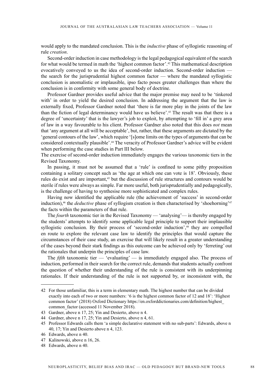would apply to the mandated conclusion. This is the *inductive* phase of syllogistic reasoning of rule *creation*.

Second-order induction in case methodology is the legal pedagogical equivalent of the search for what would be termed in math the 'highest common factor'.<sup>42</sup> This mathematical description evocatively conveyed to us the idea of second-order induction. Second-order induction the search for the jurisprudential highest common factor — where the mandated syllogistic conclusion is anomalistic or implausible, ipso facto poses greater challenges than where the conclusion is in conformity with some general body of doctrine.

Professor Gardner provides useful advice that the major premise may need to be 'tinkered with' in order to yield the desired conclusion. In addressing the argument that the law is externally fixed, Professor Gardner noted that 'there is far more play in the joints of the law than the fiction of legal determinancy would have us believe'.<sup>43</sup> The result was that there is a degree of 'uncertainty' that is the lawyer's job to exploit, by attempting to 'fill in' a grey area of law in a way favourable to his client. Professor Gardner also noted that this does *not* mean that 'any argument at all will be acceptable', but, rather, that these arguments are dictated by the 'general contours of the law', which require '[s]ome limits on the types of arguments that can be considered contextually plausible'.44 The veracity of Professor Gardner's advice will be evident when performing the case studies in Part III below.

The exercise of second-order induction immediately engages the various taxonomic tiers in the Revised Taxonomy.

In passing, it must not be assumed that a 'rule' is confined to some pithy proposition containing a solitary concept such as 'the age at which one can vote is 18'*.* Obviously, these rules do exist and are important,<sup>45</sup> but the discussion of rule structures and contours would be sterile if rules were always as simple. Far more useful, both jurisprudentially and pedagogically, is the challenge of having to synthesise more sophisticated and complex rules.

Having now identified the applicable rule (the achievement of 'success' in second-order induction),46 the *deductive* phase of syllogism creation is then characterised by 'shoehorning'47 the facts within the parameters of that rule.

The *fourth* taxonomic tier in the Revised Taxonomy — 'analysing'— is thereby engaged by the students' attempts to identify some applicable legal principle to support their implausible syllogistic conclusion. By their process of 'second-order induction',<sup>48</sup> they are compelled en route to explore the relevant case law to identify the principles that would capture the circumstances of their case study, an exercise that will likely result in a greater understanding of the cases beyond their stark findings as this outcome can be achieved only by 'ferreting' out the rationales that underpin the principles of case law.

The *fifth* taxonomic tier — 'evaluating' — is immediately engaged also. The process of induction, performed in their search for the correct rule, demands that students actually confront the question of whether their understanding of the rule is consistent with its underpinning rationales. If their understanding of the rule is not supported by, or inconsistent with, the

<sup>42</sup> For those unfamiliar, this is a term in elementary math. The highest number that can be divided exactly into each of two or more numbers: '6 is the highest common factor of 12 and 18': 'Highest common factor' (2018) Oxford Dictionary https://en.oxforddictionaries.com/definition/highest\_ common\_factor (accessed 11 November 2018).

<sup>43</sup> Gardner, above n 17, 25; Yin and Desierto, above n 4.

<sup>44</sup> Gardner, above n 17, 25; Yin and Desierto, above n 4, 61.

<sup>45</sup> Professor Edwards calls them 'a simple declarative statement with no sub-parts': Edwards, above n 40, 17; Yin and Desierto above n 4, 123.

<sup>46</sup> Edwards, above n 40.

<sup>47</sup> Kalinowski, above n 16, 26.

<sup>48</sup> Edwards, above n 40.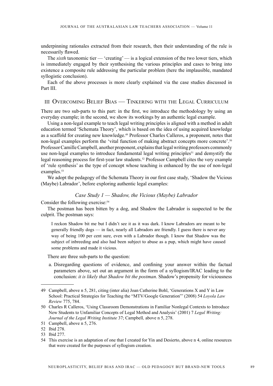underpinning rationales extracted from their research, then their understanding of the rule is necessarily flawed.

The *sixth* taxonomic tier — 'creating' — is a logical extension of the two lower tiers, which is immediately engaged by their synthesising the various principles and cases to bring into existence a composite rule addressing the particular problem (here the implausible, mandated syllogistic conclusion).

Each of the above processes is more clearly explained via the case studies discussed in Part III.

# III Overcoming Belief Bias — Tinkering with the Legal Curriculum

There are two sub-parts to this part: in the first, we introduce the methodology by using an everyday example; in the second, we show its workings by an authentic legal example.

Using a non-legal example to teach legal writing principles is aligned with a method in adult education termed 'Schemata Theory', which is based on the idea of using acquired knowledge as a scaffold for creating new knowledge.49 Professor Charles Calleros, a proponent, notes that non-legal examples perform the 'vital function of making abstract concepts more concrete'.<sup>50</sup> Professor Camille Campbell, another proponent, explains that legal writing professors commonly use non-legal examples to introduce fundamental legal writing principles<sup>51</sup> and demystify the legal reasoning process for first-year law students.<sup>52</sup> Professor Campbell cites the very example of 'rule synthesis' as the type of concept whose teaching is enhanced by the use of non-legal examples.<sup>53</sup>

We adopt the pedagogy of the Schemata Theory in our first case study, 'Shadow the Vicious (Maybe) Labrador', before exploring authentic legal examples:

### *Case Study 1 — Shadow, the Vicious (Maybe) Labrador*

Consider the following exercise:<sup>54</sup>

The postman has been bitten by a dog, and Shadow the Labrador is suspected to be the culprit. The postman says:

I reckon Shadow bit me but I didn't see it as it was dark. I know Labradors are meant to be generally friendly dogs — in fact, nearly all Labradors are friendly. I guess there is never any way of being 100 per cent sure, even with a Labrador though. I know that Shadow was the subject of inbreeding and also had been subject to abuse as a pup, which might have caused some problems and made it vicious.

There are three sub-parts to the question:

a. Disregarding questions of evidence, and confining your answer within the factual parameters above, set out an argument in the form of a syllogism/IRAC leading to the conclusion: *it is likely that Shadow bit the postman*. Shadow's propensity for viciousness

<sup>49</sup> Campbell, above n 5, 281, citing (inter alia) Joan Catherine Bohl, 'Generations X and Y in Law School: Practical Strategies for Teaching the "MTV/Google Generation"' (2008) 54 *Loyola Law Review* 775, 784.

<sup>50</sup> Charles R Calleros, 'Using Classroom Demonstrations in Familiar Nonlegal Contexts to Introduce New Students to Unfamiliar Concepts of Legal Method and Analysis' (2001) 7 *Legal Writing: Journal of the Legal Writing Institute* 37; Campbell*,* above n 5, 278.

<sup>51</sup> Campbell, above n 5, 276.

<sup>52</sup> Ibid 278.

<sup>53</sup> Ibid 277.

<sup>54</sup> This exercise is an adaptation of one that I created for Yin and Desierto, above n 4, online resources that were created for the purposes of syllogism creation.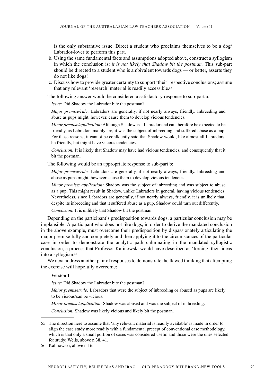is the only substantive issue. Direct a student who proclaims themselves to be a dog/ Labrador-lover to perform this part.

- b. Using the same fundamental facts and assumptions adopted above, construct a syllogism in which the conclusion is: *it is not likely that Shadow bit the postman.* This sub-part should be directed to a student who is ambivalent towards dogs — or better, asserts they do not like dogs!
- c. Discuss how to provide greater certainty to support 'their' respective conclusions; assume that any relevant 'research' material is readily accessible.<sup>55</sup>

The following answer would be considered a satisfactory response to sub-part a:

*Issue:* Did Shadow the Labrador bite the postman?

*Major premise/rule:* Labradors are generally, if not nearly always, friendly. Inbreeding and abuse as pups might, however, cause them to develop vicious tendencies.

*Minor premise/application:* Although Shadow is a Labrador and can therefore be expected to be friendly, as Labradors mainly are, it was the subject of inbreeding and suffered abuse as a pup. For these reasons, it cannot be confidently said that Shadow would, like almost all Labradors, be friendly, but might have vicious tendencies.

*Conclusion:* It is likely that Shadow may have had vicious tendencies, and consequently that it bit the postman.

The following would be an appropriate response to sub-part b:

*Major premise/rule:* Labradors are generally, if not nearly always, friendly. Inbreeding and abuse as pups might, however, cause them to develop vicious tendencies.

*Minor premise/ application:* Shadow was the subject of inbreeding and was subject to abuse as a pup. This might result in Shadow, unlike Labradors in general, having vicious tendencies. Nevertheless, since Labradors are generally, if not nearly always, friendly, it is unlikely that, despite its inbreeding and that it suffered abuse as a pup, Shadow could turn out differently.

*Conclusion:* It is unlikely that Shadow bit the postman.

Depending on the participant's predisposition towards dogs, a particular conclusion may be implausible. A participant who does not like dogs, in order to derive the mandated conclusion in the above example, must overcome their predisposition by dispassionately articulating the major premise fully and completely and then applying it to the circumstances of the particular case in order to demonstrate the analytic path culminating in the mandated syllogistic conclusion, a process that Professor Kalinowski would have described as 'forcing' their ideas into a syllogism.56

We next address another pair of responses to demonstrate the flawed thinking that attempting the exercise will hopefully overcome:

#### **Version 1**

*Issue:* Did Shadow the Labrador bite the postman?

*Major premise/rule:* Labradors that were the subject of inbreeding or abused as pups are likely to be vicious/can be vicious.

*Minor premise/application:* Shadow was abused and was the subject of in breeding.

*Conclusion:* Shadow was likely vicious and likely bit the postman.

<sup>55</sup> The direction here to assume that 'any relevant material is readily available' is made in order to align the case study more readily with a fundamental precept of conventional case methodology, which is that only a small portion of cases was considered useful and those were the ones selected for study: Wells, above n 38, 41.

<sup>56</sup> Kalinowski, above n 16.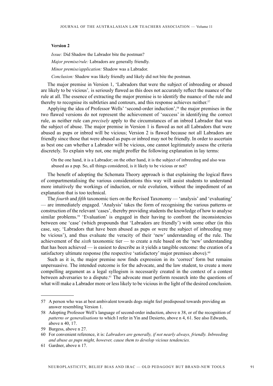#### **Version 2**

*Issue:* Did Shadow the Labrador bite the postman? *Major premise/rule:* Labradors are generally friendly. *Minor premise/application:* Shadow was a Labrador. *Conclusion:* Shadow was likely friendly and likely did not bite the postman.

The major premise in Version 1, 'Labradors that were the subject of inbreeding or abused are likely to be vicious'*,* is seriously flawed as this does not accurately reflect the nuance of the rule at all. The essence of extracting the major premise is to identify the nuance of the rule and thereby to recognise its subtleties and contours, and this response achieves neither.<sup>57</sup>

Applying the idea of Professor Wells' 'second-order induction',<sup>58</sup> the major premises in the two flawed versions do not represent the achievement of 'success' in identifying the correct rule, as neither rule can *precisely* apply to the circumstances of an inbred Labrador that was the subject of abuse. The major premise in Version 1 is flawed as not all Labradors that were abused as pups or inbred will be vicious; Version 2 is flawed because not all Labradors are friendly since those that were abused as pups or inbred may not be friendly. In order to ascertain as best one can whether a Labrador will be vicious, one cannot legitimately assess the criteria discretely. To explain why not, one might proffer the following explanation in lay terms:

On the one hand, it is a Labrador; on the other hand, it is the subject of inbreeding and also was abused as a pup. So, all things considered, is it likely to be vicious or not?

The benefit of adopting the Schemata Theory approach is that explaining the logical flaws of compartmentalising the various considerations this way will assist students to understand more intuitively the workings of induction, or rule evolution, without the impediment of an explanation that is too technical.

The *fourth* and *fifth* taxonomic tiers on the Revised Taxonomy — 'analysis' and 'evaluating' — are immediately engaged. 'Analysis' takes the form of recognising the various patterns or construction of the relevant 'cases', thereby providing students the knowledge of how to analyse similar problems.<sup>59</sup> 'Evaluation' is engaged in their having to confront the inconsistencies between one 'case' (which propounds that 'Labradors are friendly') with some other (in this case, say, 'Labradors that have been abused as pups or were the subject of inbreeding may be vicious'), and thus evaluate the veracity of their 'new' understanding of the rule. The achievement of the *sixth* taxonomic tier — to create a rule based on the 'new' understanding that has been achieved — is easiest to describe as it yields a tangible outcome: the creation of a satisfactory ultimate response (the respective 'satisfactory' major premises above).<sup>60</sup>

Such as it is, the major premise now finds expression in its 'correct' form but remains unpersuasive. The intended outcome is for the advocate, and the law student, to create a more compelling argument as a legal syllogism is necessarily created in the context of a contest between adversaries to a dispute.<sup>61</sup> The advocate must perform research into the questions of what will make a Labrador more or less likely to be vicious in the light of the desired conclusion.

<sup>57</sup> A person who was at best ambivalent towards dogs might feel predisposed towards providing an answer resembling Version 1.

<sup>58</sup> Adopting Professor Well's language of second-order induction, above n 38, or of the recognition of *patterns or generalisations* to which I refer in Yin and Desierto, above n 4, 61. See also Edwards, above n 40, 17.

<sup>59</sup> Burgess, above n 27.

<sup>60</sup> For convenient reference, it is: *Labradors are generally, if not nearly always, friendly. Inbreeding and abuse as pups might, however, cause them to develop vicious tendencies.*

<sup>61</sup> Gardner, above n 17.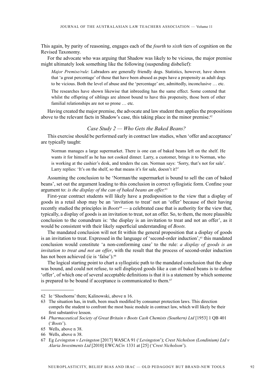This again, by parity of reasoning, engages each of the *fourth* to *sixth* tiers of cognition on the Revised Taxonomy.

For the advocate who was arguing that Shadow was likely to be vicious, the major premise might ultimately look something like the following (suspending disbelief):

*Major Premise/rule*: Labradors are generally friendly dogs. Statistics, however, have shown that 'a great percentage' of those that have been abused as pups have a propensity as adult dogs to be vicious. Both the level of abuse and the 'percentage' are, admittedly, inconclusive … etc.

The researches have shown likewise that inbreeding has the same effect. Some contend that whilst the offspring of siblings are almost bound to have this propensity, those born of other familial relationships are not so prone … etc.

Having created the major premise, the advocate and law student then applies the propositions above to the relevant facts in Shadow's case, this taking place in the minor premise.<sup>62</sup>

## *Case Study 2 — Who Gets the Baked Beans?*

This exercise should be performed early in contract law studies, when 'offer and acceptance' are typically taught:

Norman manages a large supermarket. There is one can of baked beans left on the shelf. He wants it for himself as he has not cooked dinner. Larry, a customer, brings it to Norman, who is working at the cashier's desk, and tenders the can. Norman says: 'Sorry, that's not for sale'. Larry replies: 'It's on the shelf, so that means it's for sale, doesn't it?'

Assuming the conclusion to be 'Norman/the supermarket is bound to sell the can of baked beans', set out the argument leading to this conclusion in correct syllogistic form. Confine your argument to: *is the display of the can of baked beans an offer.*<sup>63</sup>

First-year contract students will likely have a predisposition to the view that a display of goods in a retail shop may be an 'invitation to treat' not an 'offer' because of their having recently studied the principles in *Boots*64 — a celebrated case that is authority for the view that, typically, a display of goods is an invitation to treat, not an offer. So, to them, the more plausible conclusion to the conundrum is: 'the display is an invitation to treat and not an offer', as it would be consistent with their likely superficial understanding of *Boots.*

The mandated conclusion will not fit within the general proposition that a display of goods is an invitation to treat. Expressed in the language of 'second-order induction',<sup>65</sup> this mandated conclusion would constitute 'a non-conforming case' to the rule: *a display of goods is an invitation to treat and not an offer*, with the result that the process of second-order induction has not been achieved (ie is 'false').<sup>66</sup>

The logical starting point to chart a syllogistic path to the mandated conclusion that the shop was bound, and could not refuse, to sell displayed goods like a can of baked beans is to define 'offer', of which one of several acceptable definitions is that it is a statement by which someone is prepared to be bound if acceptance is communicated to them.<sup>67</sup>

<sup>62</sup> Ie 'Shoehorns' them; Kalinowski, above n 16.

<sup>63</sup> The situation has, in truth, been much modified by consumer protection laws. This direction compels the student to confront the most basic module in contract law, which will likely be their first substantive lesson.

<sup>64</sup> *Pharmaceutical Society of Great Britain v Boots Cash Chemists (Southern) Ltd* [1953] 1 QB 401 ('*Boots*').

<sup>65</sup> Wells, above n 38.

<sup>66</sup> Wells, above n 38.

<sup>67</sup> Eg *Levingston v Levingston* [2017] WASCA 91 ('*Levingston*'); *Crest Nicholson (Londinium) Ltd v Alaria Investments Ltd* [2010] EWCACiv 1331 at [25] ('*Crest Nicholson*').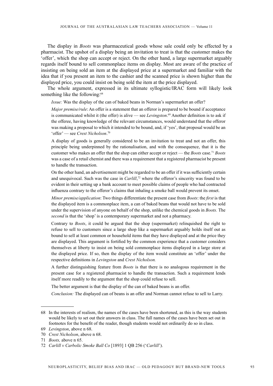The display in *Boots* was pharmaceutical goods whose sale could only be effected by a pharmacist. The upshot of a display being an invitation to treat is that the customer makes the 'offer', which the shop can accept or reject. On the other hand, a large supermarket arguably regards itself bound to sell commonplace items on display. Most are aware of the practice of insisting on being sold an item at the displayed price at a supermarket and familiar with the idea that if you present an item to the cashier and the scanned price is shown higher than the displayed price, you could insist on being sold the item at the price displayed.

The whole argument, expressed in its ultimate syllogistic/IRAC form will likely look something like the following:<sup>68</sup>

*Issue:* Was the display of the can of baked beans in Norman's supermarket an offer?

*Major premise/rule*: An offer is a statement that an offeror is prepared to be bound if acceptance is communicated whilst it (the offer) is alive — see *Levingston*. <sup>69</sup> Another definition is to ask if the offeree, having knowledge of the relevant circumstances, would understand that the offeror was making a proposal to which it intended to be bound, and, if 'yes', that proposal would be an 'offer' — see *Crest Nicholson*. 70

A display of goods is generally considered to be an invitation to treat and not an offer, this principle being underpinned by the rationalisation, and with the consequence, that it is the customer who makes an offer that the shop can either accept or reject — the *Boots* case.71 *Boots* was a case of a retail chemist and there was a requirement that a registered pharmacist be present to handle the transaction.

On the other hand, an advertisement might be regarded to be an offer if it was sufficiently certain and unequivocal. Such was the case in *Carlill*, <sup>72</sup> where the offeror's sincerity was found to be evident in their setting up a bank account to meet possible claims of people who had contracted influenza contrary to the offeror's claims that inhaling a smoke ball would prevent its onset.

*Minor premise/application*: Two things differentiate the present case from *Boots*: the *first* is that the displayed item is a commonplace item, a can of baked beans that would not have to be sold under the supervision of anyone on behalf of the shop, unlike the chemical goods in *Boots.* The *second* is that the 'shop' is a contemporary supermarket and not a pharmacy.

Contrary to *Boots*, it could be argued that the shop (supermarket) relinquished the right to refuse to sell to customers since a large shop like a supermarket arguably holds itself out as bound to sell at least common or household items that they have displayed and at the price they are displayed. This argument is fortified by the common experience that a customer considers themselves at liberty to insist on being sold commonplace items displayed in a large store at the displayed price. If so, then the display of the item would constitute an 'offer' under the respective definitions in *Levingston* and *Crest Nicholson.*

A further distinguishing feature from *Boots* is that there is no analogous requirement in the present case for a registered pharmacist to handle the transaction. Such a requirement lends itself more readily to the argument that the shop could refuse to sell.

The better argument is that the display of the can of baked beans is an offer.

*Conclusion:* The displayed can of beans is an offer and Norman cannot refuse to sell to Larry.

<sup>68</sup> In the interests of realism, the names of the cases have been shortened, as this is the way students would be likely to set out their answers in class. The full names of the cases have been set out in footnotes for the benefit of the reader, though students would not ordinarily do so in class.

<sup>69</sup> *Levingston*, above n 68.

<sup>70</sup> *Crest Nicholson*, above n 68.

<sup>71</sup> *Boots,* above n 65.

<sup>72</sup> *Carlill v Carbolic Smoke Ball Co* [1893] 1 QB 256 ('*Carlill*').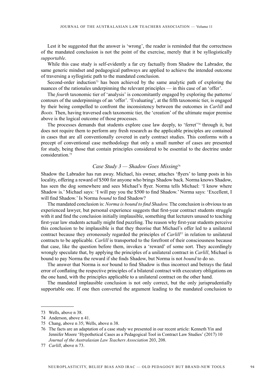Lest it be suggested that the answer is 'wrong', the reader is reminded that the correctness of the mandated conclusion is not the point of the exercise, merely that it be syllogistically *supportable*.

While this case study is self-evidently a far cry factually from Shadow the Labrador, the same generic mindset and pedagogical pathways are applied to achieve the intended outcome of traversing a syllogistic path to the mandated conclusion.

Second-order induction<sup>73</sup> has been achieved by the same analytic path of exploring the nuances of the rationales underpinning the relevant principles — in this case of an 'offer'.

The *fourth* taxonomic tier of 'analysis' is concomitantly engaged by exploring the patterns/ contours of the underpinnings of an 'offer'. 'Evaluating', at the fifth taxonomic tier, is engaged by their being compelled to confront the inconsistency between the outcomes in *Carlill* and *Boots.* Then, having traversed each taxonomic tier, the 'creation' of the ultimate major premise above is the logical outcome of those processes.

The processes demands that students explore case law deeply, to 'ferret'74 through it, but does not require them to perform any fresh research as the applicable principles are contained in cases that are all conventionally covered in early contract studies. This conforms with a precept of conventional case methodology that only a small number of cases are presented for study, being those that contain principles considered to be essential to the doctrine under consideration<sup>75</sup>

#### *Case Study 3 — Shadow Goes Missing*<sup>76</sup>

Shadow the Labrador has run away. Michael, his owner, attaches 'flyers' to lamp posts in his locality, offering a reward of \$500 for anyone who brings Shadow back. Norma knows Shadow, has seen the dog somewhere and sees Michael's flyer. Norma tells Michael: 'I know where Shadow is.' Michael says: 'I will pay you the \$500 to find Shadow.' Norma says: 'Excellent, I will find Shadow.' Is Norma *bound* to find Shadow?

The mandated conclusion is: *Norma is bound to find Shadow.* The conclusion is obvious to an experienced lawyer, but personal experience suggests that first-year contract students struggle with it and find the conclusion initially implausible, something that lecturers unused to teaching first-year law students actually might find puzzling. The reason why first-year students perceive this conclusion to be implausible is that they theorise that Michael's offer led to a unilateral contract because they erroneously regarded the principles of *Carlill*77 in relation to unilateral contracts to be applicable. *Carlill* is transported to the forefront of their consciousness because that case, like the question before them, invokes a 'reward' of some sort. They accordingly wrongly speculate that, by applying the principles of a unilateral contract in *Carlill*, Michael is bound to pay Norma the reward if she finds Shadow, but Norma is not *bound* to do so.

The answer that Norma is *not* bound to find Shadow is thus incorrect and betrays the fatal error of conflating the respective principles of a bilateral contract with executory obligations on the one hand, with the principles applicable to a unilateral contract on the other hand.

The mandated implausible conclusion is not only correct, but the only jurisprudentially supportable one. If one then converted the argument leading to the mandated conclusion to

<sup>73</sup> Wells, above n 38.

<sup>74</sup> Anderson, above n 41.

<sup>75</sup> Chang, above n 35; Wells, above n 38.

<sup>76</sup> The facts are an adaptation of a case study we presented in our recent article: Kenneth Yin and Jennifer Moore 'Hypothetical Cases as a Pedagogical Tool in Contract Law Studies' (2017) 10 *Journal of the Australasian Law Teachers Association* 203, 208.

<sup>77</sup> *Carlill*, above n 73.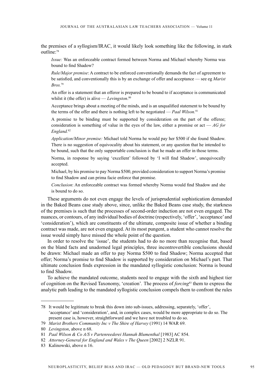the premises of a syllogism/IRAC, it would likely look something like the following, in stark outline:78

*Issue:* Was an enforceable contract formed between Norma and Michael whereby Norma was bound to find Shadow?

*Rule/Major premise*: A contract to be enforced conventionally demands the fact of agreement to be satisfied, and conventionally this is by an exchange of offer and acceptance — see eg *Marist Bros.*<sup>79</sup>

An offer is a statement that an offeror is prepared to be bound to if acceptance is communicated whilst it (the offer) is alive — *Levingston*. 80

Acceptance brings about a meeting of the minds, and is an unqualified statement to be bound by the terms of the offer and there is nothing left to be negotiated — *Paal Wilson.*<sup>81</sup>

A promise to be binding must be supported by consideration on the part of the offeree; consideration is something of value in the eyes of the law, either a promise or  $act - AG$  for *England.*<sup>82</sup>

*Application/Minor premise:* Michael told Norma he would pay her \$500 if she found Shadow. There is no suggestion of equivocality about his statement, or any question that he intended to be bound, such that the only supportable conclusion is that he made an offer in those terms.

Norma, in response by saying 'excellent' followed by 'I will find Shadow', unequivocally accepted.

Michael, by his promise to pay Norma \$500, provided consideration to support Norma's promise to find Shadow and can prima facie enforce that promise.

*Conclusion*: An enforceable contract was formed whereby Norma would find Shadow and she is bound to do so.

These arguments do not even engage the levels of jurisprudential sophistication demanded in the Baked Beans case study above, since, unlike the Baked Beans case study, the starkness of the premises is such that the processes of second-order induction are not even engaged. The nuances, or contours, of any individual bodies of doctrine (respectively, 'offer', 'acceptance' and 'consideration'), which are constituents of the ultimate, composite issue of whether a binding contract was made, are not even engaged. At its most pungent, a student who cannot resolve the issue would simply have missed the whole point of the question.

In order to resolve the 'issue', the students had to do no more than recognise that, based on the bland facts and unadorned legal principles, three incontrovertible conclusions should be drawn: Michael made an offer to pay Norma \$500 to find Shadow; Norma accepted that offer; Norma's promise to find Shadow is supported by consideration on Michael's part. That ultimate conclusion finds expression in the mandated syllogistic conclusion: Norma is bound to find Shadow.

To achieve the mandated outcome, students need to engage with the sixth and highest tier of cognition on the Revised Taxonomy, 'creation'*.* The process of *forcing*83 them to express the analytic path leading to the mandated syllogistic conclusion compels them to confront the rules

<sup>78</sup> It would be legitimate to break this down into sub-issues, addressing, separately, 'offer', 'acceptance' and 'consideration', and, in complex cases, would be more appropriate to do so. The present case is, however, straightforward and we have not troubled to do so.

<sup>79</sup> *Marist Brothers Community Inc v The Shire of Harvey* (1991) 14 WAR 69.

<sup>80</sup> *Levingston*, above n 68.

<sup>81</sup> Paal Wilson & Co A/S v Partenreederei Hannah Blumenthal [1983] AC 854.

<sup>82</sup> *Attorney-General for England and Wales v The Queen* [2002] 2 NZLR 91.

<sup>83</sup> Kalinowski, above n 16.